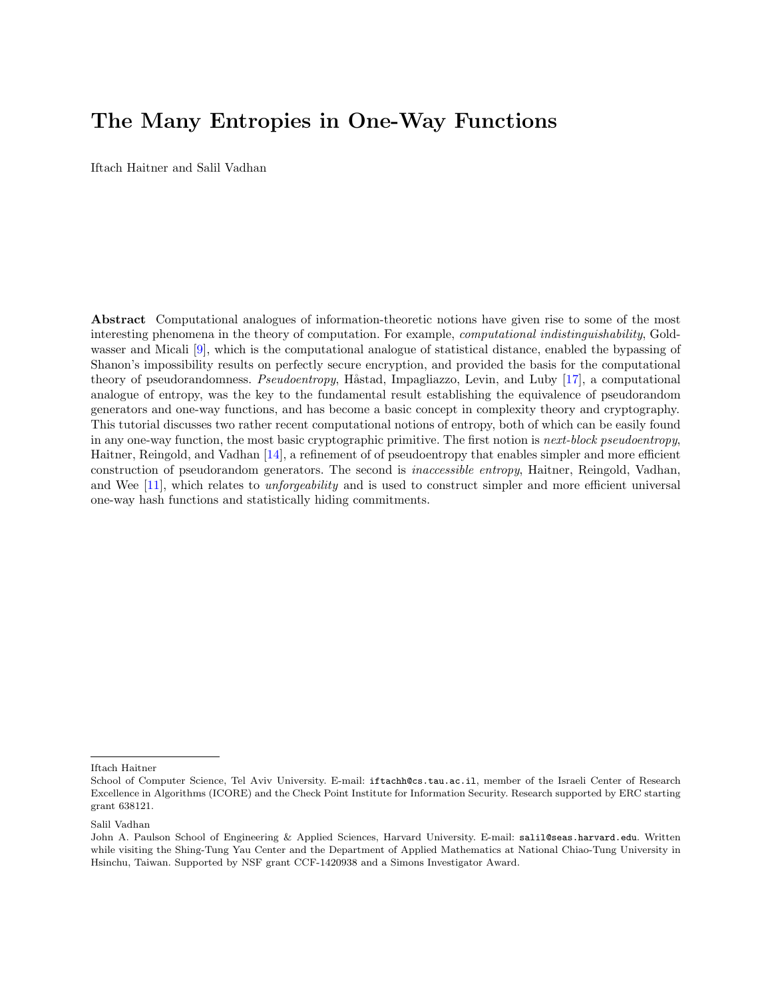## <span id="page-0-0"></span>The Many Entropies in One-Way Functions

Iftach Haitner and Salil Vadhan

Abstract Computational analogues of information-theoretic notions have given rise to some of the most interesting phenomena in the theory of computation. For example, computational indistinguishability, Goldwasser and Micali [\[9\]](#page-46-0), which is the computational analogue of statistical distance, enabled the bypassing of Shanon's impossibility results on perfectly secure encryption, and provided the basis for the computational theory of pseudorandomness. *Pseudoentropy*, Håstad, Impagliazzo, Levin, and Luby [\[17\]](#page-46-1), a computational analogue of entropy, was the key to the fundamental result establishing the equivalence of pseudorandom generators and one-way functions, and has become a basic concept in complexity theory and cryptography. This tutorial discusses two rather recent computational notions of entropy, both of which can be easily found in any one-way function, the most basic cryptographic primitive. The first notion is next-block pseudoentropy, Haitner, Reingold, and Vadhan [\[14\]](#page-46-2), a refinement of of pseudoentropy that enables simpler and more efficient construction of pseudorandom generators. The second is inaccessible entropy, Haitner, Reingold, Vadhan, and Wee [\[11\]](#page-46-3), which relates to *unforgeability* and is used to construct simpler and more efficient universal one-way hash functions and statistically hiding commitments.

Iftach Haitner

Salil Vadhan

School of Computer Science, Tel Aviv University. E-mail: iftachh@cs.tau.ac.il, member of the Israeli Center of Research Excellence in Algorithms (ICORE) and the Check Point Institute for Information Security. Research supported by ERC starting grant 638121.

John A. Paulson School of Engineering & Applied Sciences, Harvard University. E-mail: salil@seas.harvard.edu. Written while visiting the Shing-Tung Yau Center and the Department of Applied Mathematics at National Chiao-Tung University in Hsinchu, Taiwan. Supported by NSF grant CCF-1420938 and a Simons Investigator Award.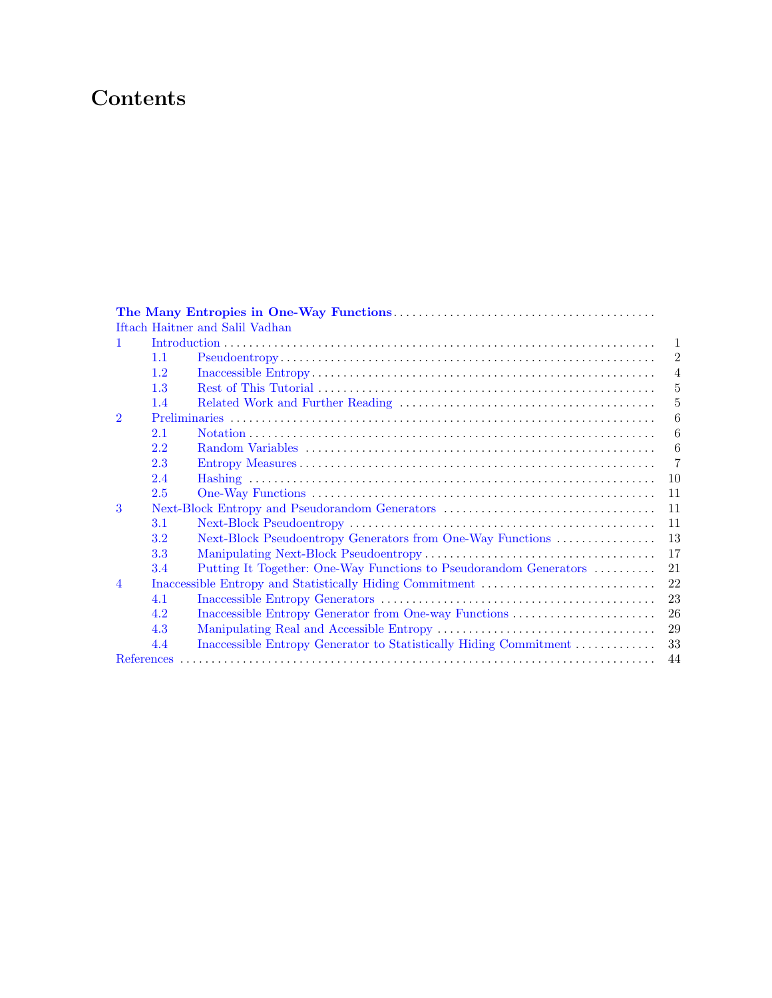# Contents

|                |     | Iftach Haitner and Salil Vadhan                                   |                |  |  |
|----------------|-----|-------------------------------------------------------------------|----------------|--|--|
| ı.             |     |                                                                   | $\mathbf{1}$   |  |  |
|                | 1.1 |                                                                   | $\overline{2}$ |  |  |
|                | 1.2 |                                                                   | $\overline{4}$ |  |  |
|                | 1.3 |                                                                   | $\overline{5}$ |  |  |
|                | 1.4 |                                                                   | 5              |  |  |
| $\overline{2}$ |     |                                                                   | 6              |  |  |
|                | 2.1 |                                                                   | 6              |  |  |
|                | 2.2 |                                                                   | 6              |  |  |
|                | 2.3 |                                                                   | $\overline{7}$ |  |  |
|                | 2.4 |                                                                   | 10             |  |  |
|                | 2.5 |                                                                   | 11             |  |  |
| 3              |     | Next-Block Entropy and Pseudorandom Generators                    | 11             |  |  |
|                | 3.1 |                                                                   | 11             |  |  |
|                | 3.2 | Next-Block Pseudoentropy Generators from One-Way Functions        | 13             |  |  |
|                | 3.3 |                                                                   | 17             |  |  |
|                | 3.4 | Putting It Together: One-Way Functions to Pseudorandom Generators | 21<br>22       |  |  |
| $\overline{4}$ |     |                                                                   |                |  |  |
|                | 4.1 |                                                                   | 23             |  |  |
|                | 4.2 |                                                                   | 26             |  |  |
|                | 4.3 |                                                                   | 29             |  |  |
|                | 4.4 | Inaccessible Entropy Generator to Statistically Hiding Commitment | 33             |  |  |
|                |     |                                                                   | 44             |  |  |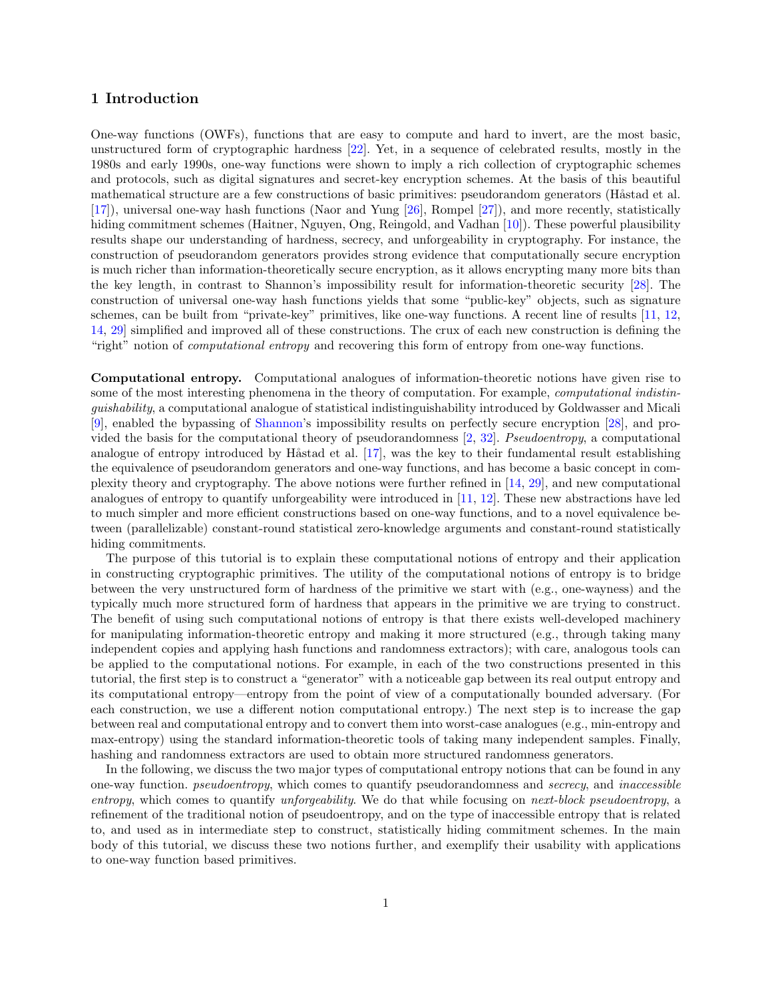## <span id="page-3-0"></span>1 Introduction

One-way functions (OWFs), functions that are easy to compute and hard to invert, are the most basic, unstructured form of cryptographic hardness [\[22\]](#page-47-0). Yet, in a sequence of celebrated results, mostly in the 1980s and early 1990s, one-way functions were shown to imply a rich collection of cryptographic schemes and protocols, such as digital signatures and secret-key encryption schemes. At the basis of this beautiful mathematical structure are a few constructions of basic primitives: pseudorandom generators (Håstad et al. [\[17\]](#page-46-1)), universal one-way hash functions (Naor and Yung [\[26\]](#page-47-1), Rompel [\[27\]](#page-47-2)), and more recently, statistically hiding commitment schemes (Haitner, Nguyen, Ong, Reingold, and Vadhan [\[10\]](#page-46-4)). These powerful plausibility results shape our understanding of hardness, secrecy, and unforgeability in cryptography. For instance, the construction of pseudorandom generators provides strong evidence that computationally secure encryption is much richer than information-theoretically secure encryption, as it allows encrypting many more bits than the key length, in contrast to Shannon's impossibility result for information-theoretic security [\[28\]](#page-47-3). The construction of universal one-way hash functions yields that some "public-key" objects, such as signature schemes, can be built from "private-key" primitives, like one-way functions. A recent line of results [\[11,](#page-46-3) [12,](#page-46-5) [14,](#page-46-2) [29\]](#page-47-4) simplified and improved all of these constructions. The crux of each new construction is defining the "right" notion of *computational entropy* and recovering this form of entropy from one-way functions.

Computational entropy. Computational analogues of information-theoretic notions have given rise to some of the most interesting phenomena in the theory of computation. For example, *computational indistin*guishability, a computational analogue of statistical indistinguishability introduced by Goldwasser and Micali [\[9\]](#page-46-0), enabled the bypassing of [Shannon'](#page-47-3)s impossibility results on perfectly secure encryption [\[28\]](#page-47-3), and provided the basis for the computational theory of pseudorandomness  $[2, 32]$  $[2, 32]$  $[2, 32]$ . *Pseudoentropy*, a computational analogue of entropy introduced by Håstad et al.  $[17]$ , was the key to their fundamental result establishing the equivalence of pseudorandom generators and one-way functions, and has become a basic concept in complexity theory and cryptography. The above notions were further refined in [\[14,](#page-46-2) [29\]](#page-47-4), and new computational analogues of entropy to quantify unforgeability were introduced in [\[11,](#page-46-3) [12\]](#page-46-5). These new abstractions have led to much simpler and more efficient constructions based on one-way functions, and to a novel equivalence between (parallelizable) constant-round statistical zero-knowledge arguments and constant-round statistically hiding commitments.

The purpose of this tutorial is to explain these computational notions of entropy and their application in constructing cryptographic primitives. The utility of the computational notions of entropy is to bridge between the very unstructured form of hardness of the primitive we start with (e.g., one-wayness) and the typically much more structured form of hardness that appears in the primitive we are trying to construct. The benefit of using such computational notions of entropy is that there exists well-developed machinery for manipulating information-theoretic entropy and making it more structured (e.g., through taking many independent copies and applying hash functions and randomness extractors); with care, analogous tools can be applied to the computational notions. For example, in each of the two constructions presented in this tutorial, the first step is to construct a "generator" with a noticeable gap between its real output entropy and its computational entropy—entropy from the point of view of a computationally bounded adversary. (For each construction, we use a different notion computational entropy.) The next step is to increase the gap between real and computational entropy and to convert them into worst-case analogues (e.g., min-entropy and max-entropy) using the standard information-theoretic tools of taking many independent samples. Finally, hashing and randomness extractors are used to obtain more structured randomness generators.

<span id="page-3-1"></span>In the following, we discuss the two major types of computational entropy notions that can be found in any one-way function. pseudoentropy, which comes to quantify pseudorandomness and secrecy, and inaccessible entropy, which comes to quantify unforgeability. We do that while focusing on next-block pseudoentropy, a refinement of the traditional notion of pseudoentropy, and on the type of inaccessible entropy that is related to, and used as in intermediate step to construct, statistically hiding commitment schemes. In the main body of this tutorial, we discuss these two notions further, and exemplify their usability with applications to one-way function based primitives.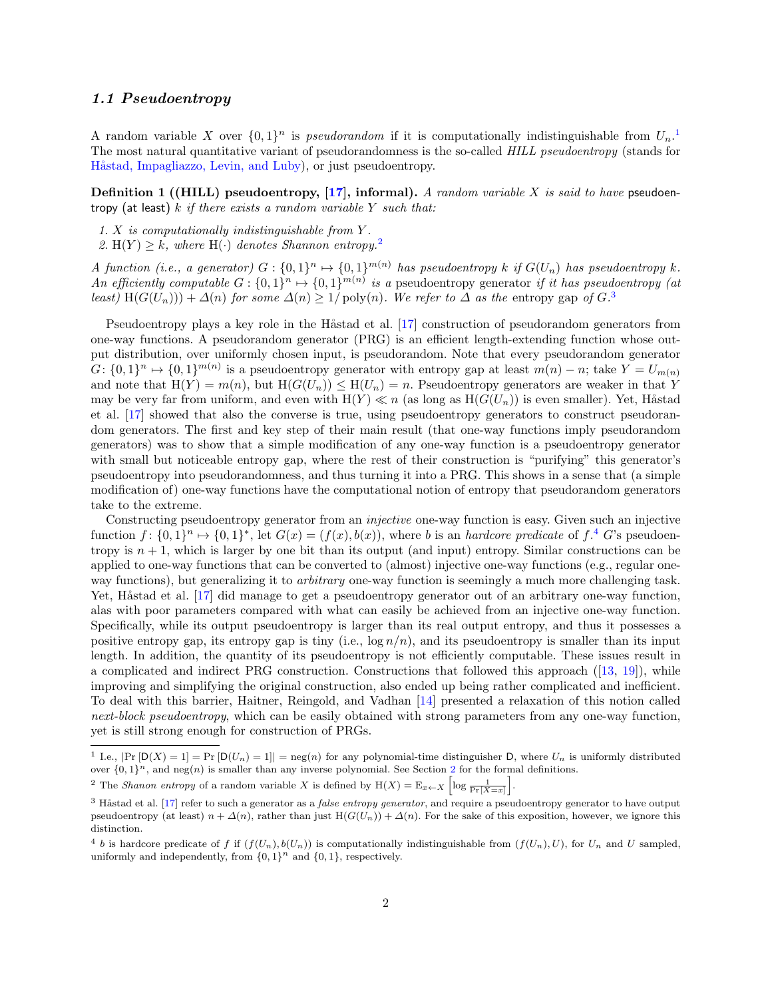## 1.1 Pseudoentropy

A random variable X over  $\{0,1\}^n$  $\{0,1\}^n$  $\{0,1\}^n$  is *pseudorandom* if it is computationally indistinguishable from  $U_n$ .<sup>1</sup> The most natural quantitative variant of pseudorandomness is the so-called HILL pseudoentropy (stands for Håstad, Impagliazzo, Levin, and Luby), or just pseudoentropy.

<span id="page-4-4"></span>**Definition 1 ((HILL) pseudoentropy, [\[17\]](#page-46-1), informal).** A random variable X is said to have pseudoentropy (at least)  $k$  if there exists a random variable  $Y$  such that:

- 1.  $X$  is computationally indistinguishable from  $Y$ .
- [2](#page-4-1). H(Y)  $\geq k$ , where H( $\cdot$ ) denotes Shannon entropy.<sup>2</sup>

A function (i.e., a generator)  $G: \{0,1\}^n \mapsto \{0,1\}^{m(n)}$  has pseudoentropy k if  $G(U_n)$  has pseudoentropy k. An efficiently computable  $G: \{0,1\}^n \mapsto \{0,1\}^{m(n)}$  is a pseudoentropy generator if it has pseudoentropy (at least)  $H(G(U_n))) + \Delta(n)$  for some  $\Delta(n) \geq 1/\text{poly}(n)$ . We refer to  $\Delta$  as the entropy gap of  $G<sup>3</sup>$  $G<sup>3</sup>$  $G<sup>3</sup>$ .

Pseudoentropy plays a key role in the Håstad et al. [\[17\]](#page-46-1) construction of pseudorandom generators from one-way functions. A pseudorandom generator (PRG) is an efficient length-extending function whose output distribution, over uniformly chosen input, is pseudorandom. Note that every pseudorandom generator  $G: \{0,1\}^n \mapsto \{0,1\}^{m(n)}$  is a pseudoentropy generator with entropy gap at least  $m(n) - n$ ; take  $Y = U_{m(n)}$ and note that  $H(Y) = m(n)$ , but  $H(G(U_n)) \leq H(U_n) = n$ . Pseudoentropy generators are weaker in that Y may be very far from uniform, and even with  $H(Y) \ll n$  (as long as  $H(G(U_n))$ ) is even smaller). Yet, Håstad et al. [\[17\]](#page-46-1) showed that also the converse is true, using pseudoentropy generators to construct pseudorandom generators. The first and key step of their main result (that one-way functions imply pseudorandom generators) was to show that a simple modification of any one-way function is a pseudoentropy generator with small but noticeable entropy gap, where the rest of their construction is "purifying" this generator's pseudoentropy into pseudorandomness, and thus turning it into a PRG. This shows in a sense that (a simple modification of) one-way functions have the computational notion of entropy that pseudorandom generators take to the extreme.

Constructing pseudoentropy generator from an injective one-way function is easy. Given such an injective function  $f: \{0,1\}^n \mapsto \{0,1\}^*$ , let  $G(x) = (f(x), b(x))$ , where b is an hardcore predicate of  $f^A$  G's pseudoentropy is  $n + 1$ , which is larger by one bit than its output (and input) entropy. Similar constructions can be applied to one-way functions that can be converted to (almost) injective one-way functions (e.g., regular oneway functions), but generalizing it to arbitrary one-way function is seemingly a much more challenging task. Yet, Håstad et al. [\[17\]](#page-46-1) did manage to get a pseudoentropy generator out of an arbitrary one-way function, alas with poor parameters compared with what can easily be achieved from an injective one-way function. Specifically, while its output pseudoentropy is larger than its real output entropy, and thus it possesses a positive entropy gap, its entropy gap is tiny (i.e.,  $\log n/n$ ), and its pseudoentropy is smaller than its input length. In addition, the quantity of its pseudoentropy is not efficiently computable. These issues result in a complicated and indirect PRG construction. Constructions that followed this approach ([\[13,](#page-46-7) [19\]](#page-46-8)), while improving and simplifying the original construction, also ended up being rather complicated and inefficient. To deal with this barrier, Haitner, Reingold, and Vadhan [\[14\]](#page-46-2) presented a relaxation of this notion called next-block pseudoentropy, which can be easily obtained with strong parameters from any one-way function, yet is still strong enough for construction of PRGs.

<span id="page-4-0"></span><sup>&</sup>lt;sup>1</sup> I.e.,  $|\Pr[D(X) = 1] = \Pr[D(U_n) = 1]| = \text{neg}(n)$  for any polynomial-time distinguisher D, where  $U_n$  is uniformly distributed over  $\{0,1\}^n$ , and neg(n) is smaller than any inverse polynomial. See Section [2](#page-8-0) for the formal definitions.

<span id="page-4-1"></span><sup>&</sup>lt;sup>2</sup> The Shanon entropy of a random variable X is defined by  $H(X) = E_{x \leftarrow X} \left[ \log \frac{1}{\Pr[X=x]} \right]$ .

<span id="page-4-2"></span> $3$  Håstad et al. [\[17\]](#page-46-1) refer to such a generator as a *false entropy generator*, and require a pseudoentropy generator to have output pseudoentropy (at least)  $n + \Delta(n)$ , rather than just H( $G(U_n)$ ) +  $\Delta(n)$ . For the sake of this exposition, however, we ignore this distinction.

<span id="page-4-3"></span><sup>&</sup>lt;sup>4</sup> *b* is hardcore predicate of f if  $(f(U_n), b(U_n))$  is computationally indistinguishable from  $(f(U_n), U)$ , for  $U_n$  and U sampled, uniformly and independently, from  $\{0,1\}^n$  and  $\{0,1\}$ , respectively.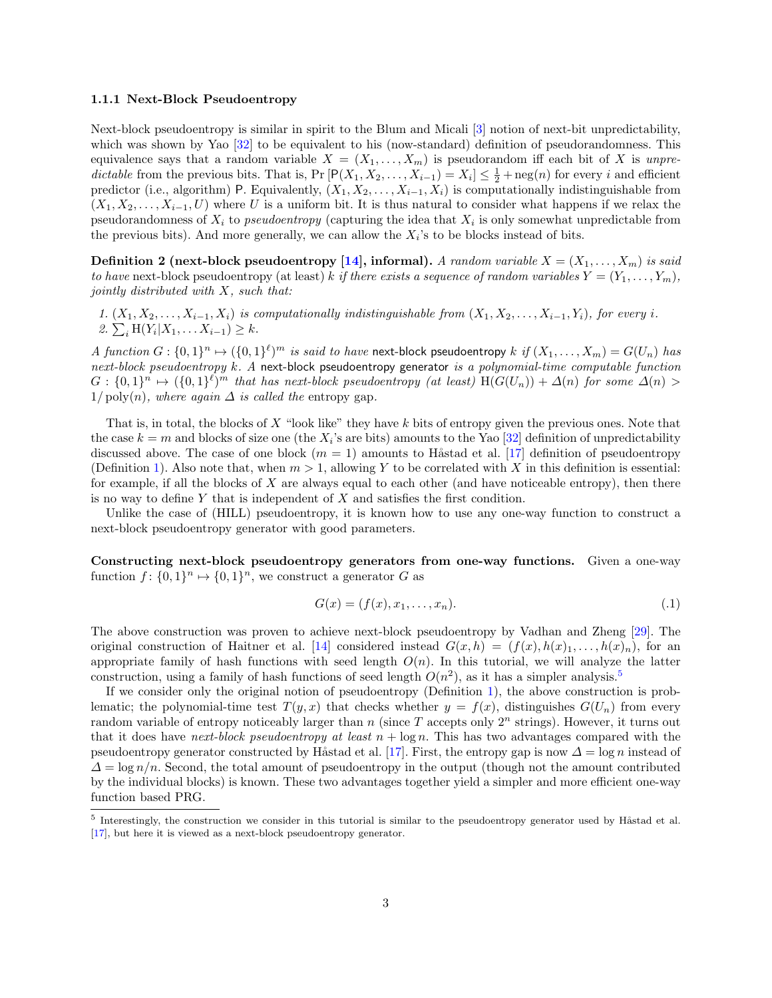#### 1.1.1 Next-Block Pseudoentropy

Next-block pseudoentropy is similar in spirit to the Blum and Micali [\[3\]](#page-46-9) notion of next-bit unpredictability, which was shown by Yao [\[32\]](#page-47-5) to be equivalent to his (now-standard) definition of pseudorandomness. This equivalence says that a random variable  $X = (X_1, \ldots, X_m)$  is pseudorandom iff each bit of X is unpredictable from the previous bits. That is,  $Pr[P(X_1, X_2, ..., X_{i-1}) = X_i] \leq \frac{1}{2} + neg(n)$  for every i and efficient predictor (i.e., algorithm) P. Equivalently,  $(X_1, X_2, \ldots, X_{i-1}, X_i)$  is computationally indistinguishable from  $(X_1, X_2, \ldots, X_{i-1}, U)$  where U is a uniform bit. It is thus natural to consider what happens if we relax the pseudorandomness of  $X_i$  to *pseudoentropy* (capturing the idea that  $X_i$  is only somewhat unpredictable from the previous bits). And more generally, we can allow the  $X_i$ 's to be blocks instead of bits.

**Definition 2** (next-block pseudoentropy [\[14\]](#page-46-2), informal). A random variable  $X = (X_1, \ldots, X_m)$  is said to have next-block pseudoentropy (at least) k if there exists a sequence of random variables  $Y = (Y_1, \ldots, Y_m)$ , jointly distributed with X, such that:

1.  $(X_1, X_2, \ldots, X_{i-1}, X_i)$  is computationally indistinguishable from  $(X_1, X_2, \ldots, X_{i-1}, Y_i)$ , for every i. 2.  $\sum_i H(Y_i | X_1, \ldots X_{i-1}) \geq k$ .

A function  $G: \{0,1\}^n \mapsto (\{0,1\}^{\ell})^m$  is said to have next-block pseudoentropy k if  $(X_1,\ldots,X_m)=G(U_n)$  has next-block pseudoentropy k. A next-block pseudoentropy generator is a polynomial-time computable function  $G: \{0,1\}^n \mapsto (\{0,1\}^{\ell})^m$  that has next-block pseudoentropy (at least)  $H(G(U_n)) + \Delta(n)$  for some  $\Delta(n) >$  $1/\text{poly}(n)$ , where again  $\Delta$  is called the entropy gap.

That is, in total, the blocks of X "look like" they have k bits of entropy given the previous ones. Note that the case  $k = m$  and blocks of size one (the  $X_i$ 's are bits) amounts to the Yao [\[32\]](#page-47-5) definition of unpredictability discussed above. The case of one block  $(m = 1)$  amounts to Håstad et al. [\[17\]](#page-46-1) definition of pseudoentropy (Definition [1\)](#page-4-4). Also note that, when  $m > 1$ , allowing Y to be correlated with X in this definition is essential: for example, if all the blocks of  $X$  are always equal to each other (and have noticeable entropy), then there is no way to define  $Y$  that is independent of  $X$  and satisfies the first condition.

Unlike the case of (HILL) pseudoentropy, it is known how to use any one-way function to construct a next-block pseudoentropy generator with good parameters.

Constructing next-block pseudoentropy generators from one-way functions. Given a one-way function  $f: \{0,1\}^n \mapsto \{0,1\}^n$ , we construct a generator G as

<span id="page-5-2"></span>
$$
G(x) = (f(x), x_1, \dots, x_n). \tag{1}
$$

The above construction was proven to achieve next-block pseudoentropy by Vadhan and Zheng [\[29\]](#page-47-4). The original construction of Haitner et al. [\[14\]](#page-46-2) considered instead  $G(x, h) = (f(x), h(x), \ldots, h(x), h(x))$ , for an appropriate family of hash functions with seed length  $O(n)$ . In this tutorial, we will analyze the latter construction, using a family of hash functions of seed length  $O(n^2)$ , as it has a simpler analysis.<sup>[5](#page-5-1)</sup>

If we consider only the original notion of pseudoentropy (Definition [1\)](#page-4-4), the above construction is problematic; the polynomial-time test  $T(y, x)$  that checks whether  $y = f(x)$ , distinguishes  $G(U_n)$  from every random variable of entropy noticeably larger than n (since T accepts only  $2^n$  strings). However, it turns out that it does have next-block pseudoentropy at least  $n + \log n$ . This has two advantages compared with the pseudoentropy generator constructed by Håstad et al. [\[17\]](#page-46-1). First, the entropy gap is now  $\Delta = \log n$  instead of  $\Delta = \log n/n$ . Second, the total amount of pseudoentropy in the output (though not the amount contributed by the individual blocks) is known. These two advantages together yield a simpler and more efficient one-way function based PRG.

<span id="page-5-1"></span><span id="page-5-0"></span><sup>&</sup>lt;sup>5</sup> Interestingly, the construction we consider in this tutorial is similar to the pseudoentropy generator used by Håstad et al. [\[17\]](#page-46-1), but here it is viewed as a next-block pseudoentropy generator.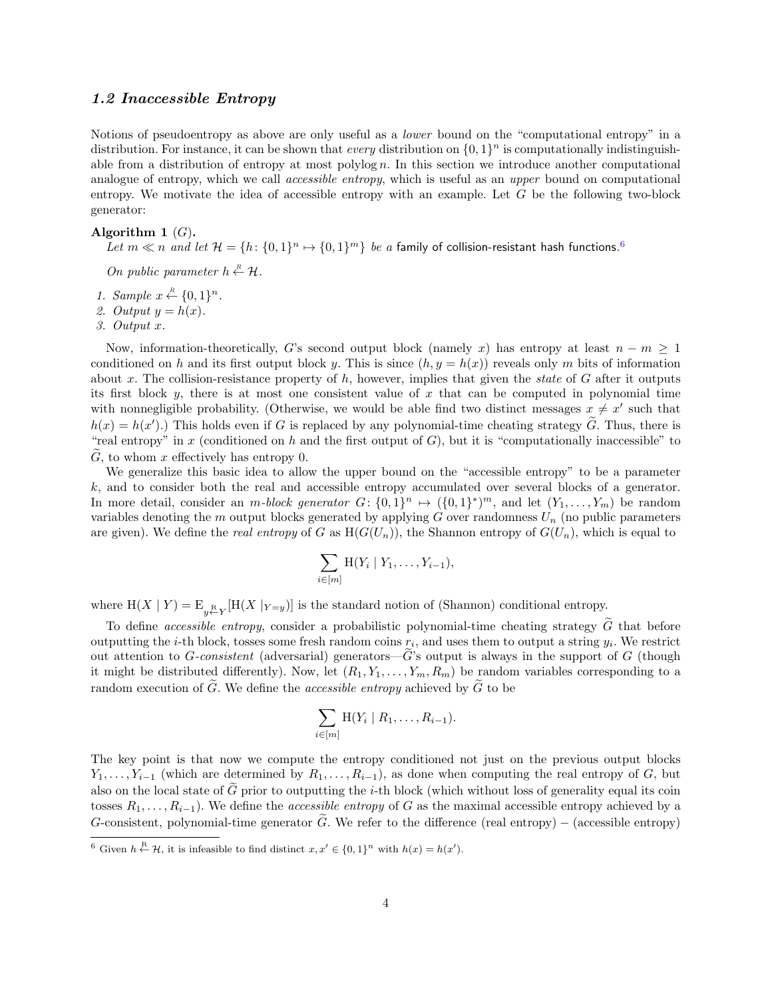## 1.2 Inaccessible Entropy

Notions of pseudoentropy as above are only useful as a lower bound on the "computational entropy" in a distribution. For instance, it can be shown that *every* distribution on  $\{0,1\}^n$  is computationally indistinguishable from a distribution of entropy at most polylog  $n$ . In this section we introduce another computational analogue of entropy, which we call *accessible entropy*, which is useful as an *upper* bound on computational entropy. We motivate the idea of accessible entropy with an example. Let  $G$  be the following two-block generator:

#### Algorithm 1  $(G)$ .

Let  $m \ll n$  and let  $\mathcal{H} = \{h: \{0,1\}^n \mapsto \{0,1\}^m\}$  be a family of collision-resistant hash functions.<sup>[6](#page-6-0)</sup>

On public parameter  $h \stackrel{R}{\leftarrow} \mathcal{H}$ .

- 1. Sample  $x \stackrel{R}{\leftarrow} \{0,1\}^n$ .
- 2. Output  $y = h(x)$ .
- 3. Output x.

Now, information-theoretically, G's second output block (namely x) has entropy at least  $n - m \geq 1$ conditioned on h and its first output block y. This is since  $(h, y = h(x))$  reveals only m bits of information about x. The collision-resistance property of h, however, implies that given the *state* of G after it outputs its first block  $y$ , there is at most one consistent value of  $x$  that can be computed in polynomial time with nonnegligible probability. (Otherwise, we would be able find two distinct messages  $x \neq x'$  such that  $h(x) = h(x')$ .) This holds even if G is replaced by any polynomial-time cheating strategy  $\tilde{G}$ . Thus, there is "real entropy" in x (conditioned on h and the first output of  $G$ ), but it is "computationally inaccessible" to  $G$ , to whom x effectively has entropy 0.

We generalize this basic idea to allow the upper bound on the "accessible entropy" to be a parameter k, and to consider both the real and accessible entropy accumulated over several blocks of a generator. In more detail, consider an *m-block generator*  $G: \{0,1\}^n \mapsto (\{0,1\}^*)^m$ , and let  $(Y_1,\ldots,Y_m)$  be random variables denoting the m output blocks generated by applying  $G$  over randomness  $U_n$  (no public parameters are given). We define the *real entropy* of G as  $H(G(U_n))$ , the Shannon entropy of  $G(U_n)$ , which is equal to

$$
\sum_{i\in[m]} H(Y_i \mid Y_1,\ldots,Y_{i-1}),
$$

where  $H(X | Y) = E_{y \stackrel{R}{\leftarrow} Y} [H(X | Y = y)]$  is the standard notion of (Shannon) conditional entropy.

To define accessible entropy, consider a probabilistic polynomial-time cheating strategy  $\tilde{G}$  that before outputting the *i*-th block, tosses some fresh random coins  $r_i$ , and uses them to output a string  $y_i$ . We restrict out attention to G-consistent (adversarial) generators— $\tilde{G}$ 's output is always in the support of G (though it might be distributed differently). Now, let  $(R_1, Y_1, \ldots, Y_m, R_m)$  be random variables corresponding to a random execution of  $\tilde{G}$ . We define the *accessible entropy* achieved by  $\tilde{G}$  to be

$$
\sum_{i\in[m]} \mathrm{H}(Y_i \mid R_1,\ldots,R_{i-1}).
$$

The key point is that now we compute the entropy conditioned not just on the previous output blocks  $Y_1, \ldots, Y_{i-1}$  (which are determined by  $R_1, \ldots, R_{i-1}$ ), as done when computing the real entropy of G, but also on the local state of  $\tilde{G}$  prior to outputting the *i*-th block (which without loss of generality equal its coin tosses  $R_1, \ldots, R_{i-1}$ ). We define the *accessible entropy* of G as the maximal accessible entropy achieved by a G-consistent, polynomial-time generator  $\tilde{G}$ . We refer to the difference (real entropy) – (accessible entropy)

<span id="page-6-0"></span><sup>&</sup>lt;sup>6</sup> Given  $h \stackrel{R}{\leftarrow} \mathcal{H}$ , it is infeasible to find distinct  $x, x' \in \{0, 1\}^n$  with  $h(x) = h(x')$ .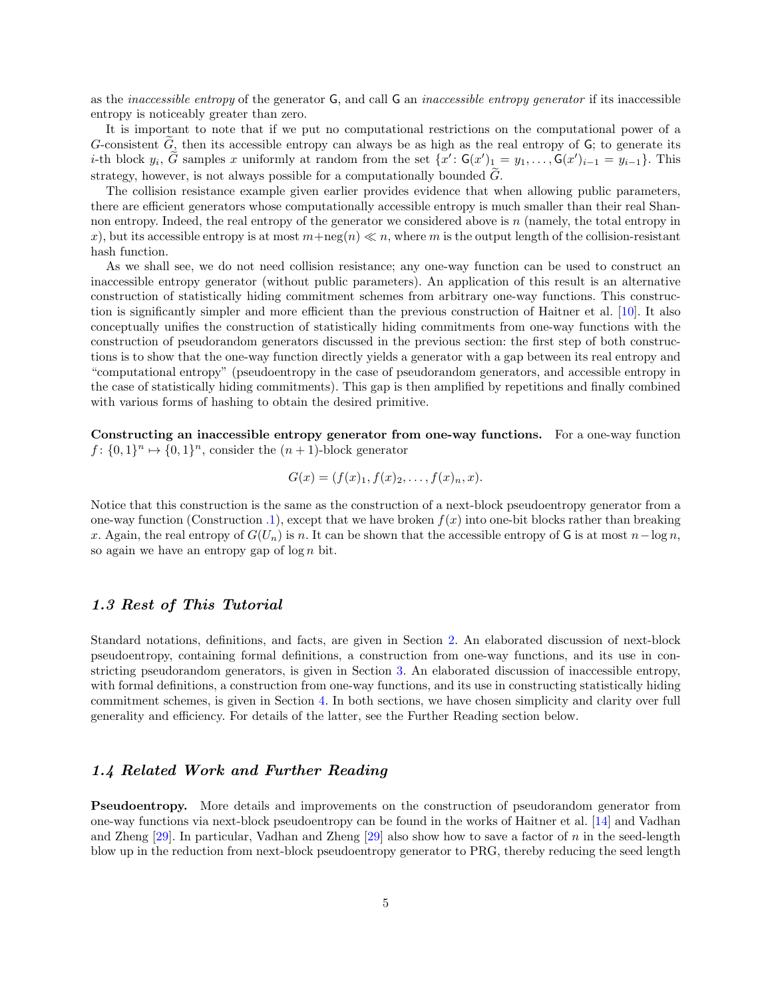as the inaccessible entropy of the generator G, and call G an inaccessible entropy generator if its inaccessible entropy is noticeably greater than zero.

It is important to note that if we put no computational restrictions on the computational power of a G-consistent  $G$ , then its accessible entropy can always be as high as the real entropy of  $\mathsf{G}$ ; to generate its *i*-th block  $y_i$ ,  $\tilde{G}$  samples x uniformly at random from the set  $\{x' : G(x')_1 = y_1, \ldots, G(x')_{i-1} = y_{i-1}\}.$  This strategy, however, is not always possible for a computationally bounded  $\tilde{G}$ .

The collision resistance example given earlier provides evidence that when allowing public parameters, there are efficient generators whose computationally accessible entropy is much smaller than their real Shannon entropy. Indeed, the real entropy of the generator we considered above is  $n$  (namely, the total entropy in x), but its accessible entropy is at most  $m+\operatorname{neg}(n) \ll n$ , where m is the output length of the collision-resistant hash function.

As we shall see, we do not need collision resistance; any one-way function can be used to construct an inaccessible entropy generator (without public parameters). An application of this result is an alternative construction of statistically hiding commitment schemes from arbitrary one-way functions. This construction is significantly simpler and more efficient than the previous construction of Haitner et al. [\[10\]](#page-46-4). It also conceptually unifies the construction of statistically hiding commitments from one-way functions with the construction of pseudorandom generators discussed in the previous section: the first step of both constructions is to show that the one-way function directly yields a generator with a gap between its real entropy and "computational entropy" (pseudoentropy in the case of pseudorandom generators, and accessible entropy in the case of statistically hiding commitments). This gap is then amplified by repetitions and finally combined with various forms of hashing to obtain the desired primitive.

Constructing an inaccessible entropy generator from one-way functions. For a one-way function  $f: \{0,1\}^n \mapsto \{0,1\}^n$ , consider the  $(n+1)$ -block generator

$$
G(x) = (f(x)1, f(x)2, ..., f(x)n, x).
$$

Notice that this construction is the same as the construction of a next-block pseudoentropy generator from a one-way function (Construction [.1\)](#page-5-2), except that we have broken  $f(x)$  into one-bit blocks rather than breaking x. Again, the real entropy of  $G(U_n)$  is n. It can be shown that the accessible entropy of G is at most  $n-\log n$ , so again we have an entropy gap of  $\log n$  bit.

## <span id="page-7-0"></span>1.3 Rest of This Tutorial

Standard notations, definitions, and facts, are given in Section [2.](#page-8-0) An elaborated discussion of next-block pseudoentropy, containing formal definitions, a construction from one-way functions, and its use in constricting pseudorandom generators, is given in Section [3.](#page-13-0) An elaborated discussion of inaccessible entropy, with formal definitions, a construction from one-way functions, and its use in constructing statistically hiding commitment schemes, is given in Section [4.](#page-24-0) In both sections, we have chosen simplicity and clarity over full generality and efficiency. For details of the latter, see the Further Reading section below.

## <span id="page-7-1"></span>1.4 Related Work and Further Reading

Pseudoentropy. More details and improvements on the construction of pseudorandom generator from one-way functions via next-block pseudoentropy can be found in the works of Haitner et al. [\[14\]](#page-46-2) and Vadhan and Zheng [\[29\]](#page-47-4). In particular, Vadhan and Zheng [\[29\]](#page-47-4) also show how to save a factor of n in the seed-length blow up in the reduction from next-block pseudoentropy generator to PRG, thereby reducing the seed length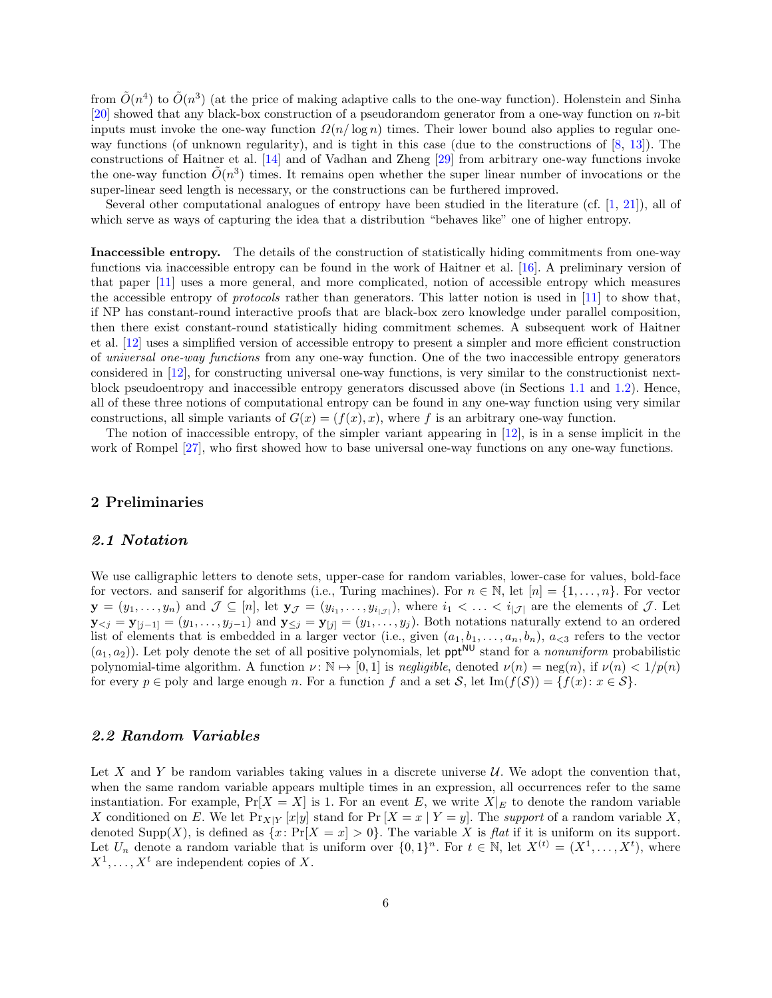from  $\tilde{O}(n^4)$  to  $\tilde{O}(n^3)$  (at the price of making adaptive calls to the one-way function). Holenstein and Sinha [\[20\]](#page-46-10) showed that any black-box construction of a pseudorandom generator from a one-way function on n-bit inputs must invoke the one-way function  $\Omega(n/\log n)$  times. Their lower bound also applies to regular oneway functions (of unknown regularity), and is tight in this case (due to the constructions of [\[8,](#page-46-11) [13\]](#page-46-7)). The constructions of Haitner et al. [\[14\]](#page-46-2) and of Vadhan and Zheng [\[29\]](#page-47-4) from arbitrary one-way functions invoke the one-way function  $\tilde{O}(n^3)$  times. It remains open whether the super linear number of invocations or the super-linear seed length is necessary, or the constructions can be furthered improved.

Several other computational analogues of entropy have been studied in the literature (cf. [\[1,](#page-46-12) [21\]](#page-46-13)), all of which serve as ways of capturing the idea that a distribution "behaves like" one of higher entropy.

Inaccessible entropy. The details of the construction of statistically hiding commitments from one-way functions via inaccessible entropy can be found in the work of Haitner et al. [\[16\]](#page-46-14). A preliminary version of that paper [\[11\]](#page-46-3) uses a more general, and more complicated, notion of accessible entropy which measures the accessible entropy of protocols rather than generators. This latter notion is used in [\[11\]](#page-46-3) to show that, if NP has constant-round interactive proofs that are black-box zero knowledge under parallel composition, then there exist constant-round statistically hiding commitment schemes. A subsequent work of Haitner et al. [\[12\]](#page-46-5) uses a simplified version of accessible entropy to present a simpler and more efficient construction of universal one-way functions from any one-way function. One of the two inaccessible entropy generators considered in [\[12\]](#page-46-5), for constructing universal one-way functions, is very similar to the constructionist nextblock pseudoentropy and inaccessible entropy generators discussed above (in Sections [1.1](#page-3-1) and [1.2\)](#page-5-0). Hence, all of these three notions of computational entropy can be found in any one-way function using very similar constructions, all simple variants of  $G(x) = (f(x), x)$ , where f is an arbitrary one-way function.

<span id="page-8-0"></span>The notion of inaccessible entropy, of the simpler variant appearing in [\[12\]](#page-46-5), is in a sense implicit in the work of Rompel [\[27\]](#page-47-2), who first showed how to base universal one-way functions on any one-way functions.

## 2 Preliminaries

#### <span id="page-8-1"></span>2.1 Notation

We use calligraphic letters to denote sets, upper-case for random variables, lower-case for values, bold-face for vectors. and sanserif for algorithms (i.e., Turing machines). For  $n \in \mathbb{N}$ , let  $[n] = \{1, \ldots, n\}$ . For vector  $\mathbf{y}=(y_1,\ldots,y_n)$  and  $\mathcal{J}\subseteq[n]$ , let  $\mathbf{y}_{\mathcal{J}}=(y_{i_1},\ldots,y_{i_{|\mathcal{J}|}})$ , where  $i_1<\ldots are the elements of  $\mathcal{J}$ . Let$  $\mathbf{y}_{\leq j} = \mathbf{y}_{[j-1]} = (y_1, \ldots, y_{j-1})$  and  $\mathbf{y}_{\leq j} = \mathbf{y}_{[j]} = (y_1, \ldots, y_j)$ . Both notations naturally extend to an ordered list of elements that is embedded in a larger vector (i.e., given  $(a_1, b_1, \ldots, a_n, b_n)$ ,  $a_{< 3}$  refers to the vector  $(a_1, a_2)$ ). Let poly denote the set of all positive polynomials, let ppt<sup>NU</sup> stand for a *nonuniform* probabilistic polynomial-time algorithm. A function  $\nu : \mathbb{N} \to [0, 1]$  is negligible, denoted  $\nu(n) = \text{neg}(n)$ , if  $\nu(n) < 1/p(n)$ for every  $p \in \text{poly}$  and large enough n. For a function f and a set S, let  $\text{Im}(f(\mathcal{S})) = \{f(x) : x \in \mathcal{S}\}\.$ 

## <span id="page-8-2"></span>2.2 Random Variables

Let X and Y be random variables taking values in a discrete universe  $\mathcal{U}$ . We adopt the convention that, when the same random variable appears multiple times in an expression, all occurrences refer to the same instantiation. For example,  $Pr[X = X]$  is 1. For an event E, we write  $X|_E$  to denote the random variable X conditioned on E. We let  $\Pr_{X|Y} [x|y]$  stand for  $\Pr [X = x | Y = y]$ . The support of a random variable X, denoted Supp(X), is defined as  $\{x: \Pr[X = x] > 0\}$ . The variable X is flat if it is uniform on its support. Let  $U_n$  denote a random variable that is uniform over  $\{0,1\}^n$ . For  $t \in \mathbb{N}$ , let  $X^{(t)} = (X^1, \ldots, X^t)$ , where  $X^1, \ldots, X^t$  are independent copies of X.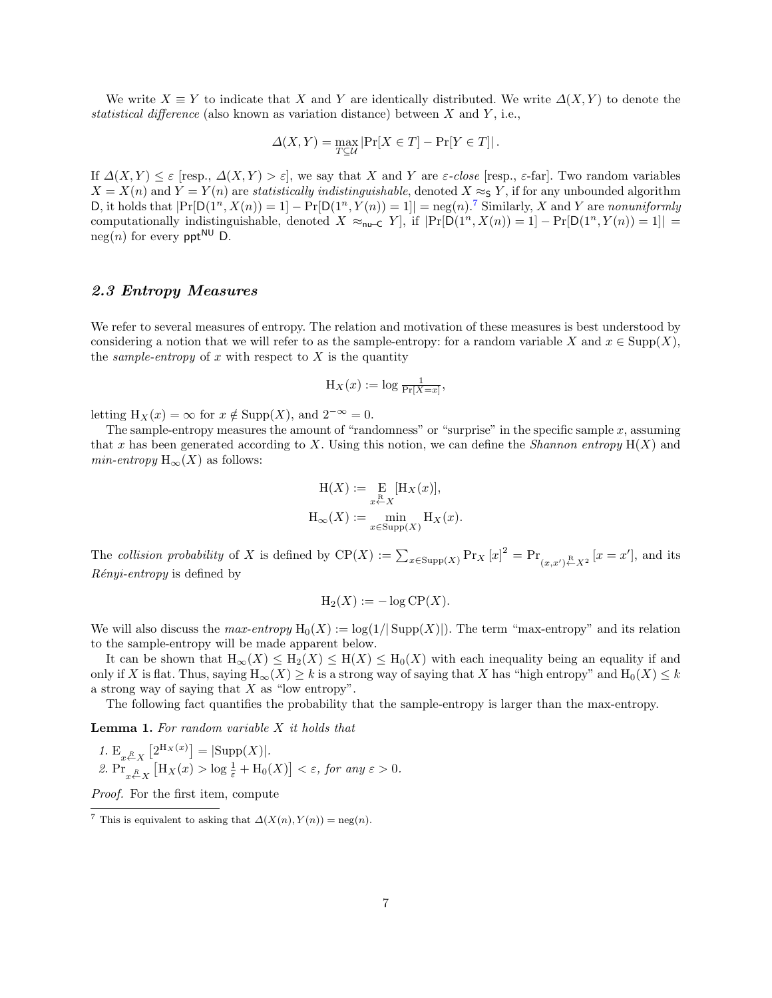We write  $X \equiv Y$  to indicate that X and Y are identically distributed. We write  $\Delta(X, Y)$  to denote the statistical difference (also known as variation distance) between  $X$  and  $Y$ , i.e.,

$$
\Delta(X, Y) = \max_{T \subseteq \mathcal{U}} |\Pr[X \in T] - \Pr[Y \in T]|.
$$

If  $\Delta(X, Y) \leq \varepsilon$  [resp.,  $\Delta(X, Y) > \varepsilon$ ], we say that X and Y are  $\varepsilon$ -close [resp.,  $\varepsilon$ -far]. Two random variables  $X = X(n)$  and  $Y = Y(n)$  are statistically indistinguishable, denoted  $X \approx_{S} Y$ , if for any unbounded algorithm D, it holds that  $|\Pr[\mathsf{D}(1^n, X(n)) = 1] - \Pr[\mathsf{D}(1^n, Y(n)) = 1]| = \text{neg}(n)$ .<sup>[7](#page-9-1)</sup> Similarly, X and Y are nonuniformly computationally indistinguishable, denoted  $X \approx_{\mathsf{nu}\text{-C}} Y$ , if  $|\Pr[\mathsf{D}(1^n, X(n)) = 1] - \Pr[\mathsf{D}(1^n, Y(n)) = 1]|$  $neg(n)$  for every ppt<sup>NU</sup> D.

## <span id="page-9-0"></span>2.3 Entropy Measures

We refer to several measures of entropy. The relation and motivation of these measures is best understood by considering a notion that we will refer to as the sample-entropy: for a random variable X and  $x \in \text{Supp}(X)$ , the *sample-entropy* of  $x$  with respect to  $X$  is the quantity

$$
H_X(x) := \log \frac{1}{Pr[X=x]},
$$

letting  $H_X(x) = \infty$  for  $x \notin \text{Supp}(X)$ , and  $2^{-\infty} = 0$ .

The sample-entropy measures the amount of "randomness" or "surprise" in the specific sample  $x$ , assuming that x has been generated according to X. Using this notion, we can define the *Shannon entropy*  $H(X)$  and min-entropy H<sub>∞</sub>(X) as follows:

$$
H(X) := \underset{x \in X}{\mathbb{E}} [H_X(x)],
$$
  

$$
H_{\infty}(X) := \underset{x \in \text{Supp}(X)}{\min} H_X(x).
$$

The collision probability of X is defined by  $\text{CP}(X) := \sum_{x \in \text{Supp}(X)} \text{Pr}_X [x]^2 = \text{Pr}_{(x,x') \stackrel{\text{R}}{\leftarrow} X^2} [x = x']$ , and its  $Rényi-entropy$  is defined by

<span id="page-9-2"></span>
$$
H_2(X) := -\log CP(X).
$$

We will also discuss the max-entropy  $H_0(X) := \log(1/|\text{Supp}(X)|)$ . The term "max-entropy" and its relation to the sample-entropy will be made apparent below.

It can be shown that  $H_{\infty}(X) \leq H_2(X) \leq H(X) \leq H_0(X)$  with each inequality being an equality if and only if X is flat. Thus, saying  $H_{\infty}(X) \geq k$  is a strong way of saying that X has "high entropy" and  $H_0(X) \leq k$ a strong way of saying that  $X$  as "low entropy".

The following fact quantifies the probability that the sample-entropy is larger than the max-entropy.

**Lemma 1.** For random variable  $X$  it holds that

1. 
$$
E_{x \stackrel{R}{\sim} X} [2^{H_X(x)}] = |\text{Supp}(X)|
$$
.  
2.  $\Pr_{x \stackrel{R}{\sim} X} [H_X(x) > \log \frac{1}{\varepsilon} + H_0(X)] < \varepsilon$ , for any  $\varepsilon > 0$ .

Proof. For the first item, compute

<span id="page-9-1"></span><sup>&</sup>lt;sup>7</sup> This is equivalent to asking that  $\Delta(X(n), Y(n)) = \text{neg}(n)$ .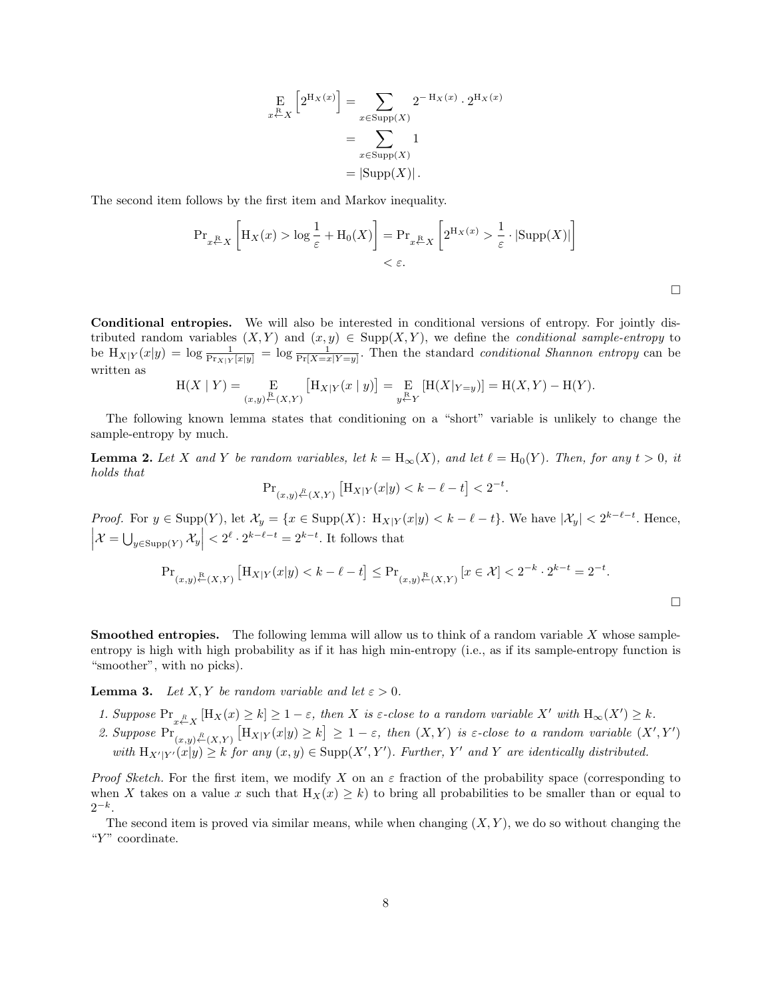$$
\mathop{\mathbf{E}}_{x \leftarrow X} \left[ 2^{\mathop{\text{H}}\nolimits_X(x)} \right] = \sum_{x \in \text{Supp}(X)} 2^{-\mathop{\text{H}}\nolimits_X(x)} \cdot 2^{\mathop{\text{H}}\nolimits_X(x)}
$$

$$
= \sum_{x \in \text{Supp}(X)} 1
$$

$$
= |\text{Supp}(X)|.
$$

The second item follows by the first item and Markov inequality.

$$
\Pr_{x \stackrel{R}{\leftarrow} X} \left[ H_X(x) > \log \frac{1}{\varepsilon} + H_0(X) \right] = \Pr_{x \stackrel{R}{\leftarrow} X} \left[ 2^{H_X(x)} > \frac{1}{\varepsilon} \cdot |\text{Supp}(X)| \right] < \varepsilon.
$$

 $\Box$ 

Conditional entropies. We will also be interested in conditional versions of entropy. For jointly distributed random variables  $(X, Y)$  and  $(x, y) \in \text{Supp}(X, Y)$ , we define the *conditional sample-entropy* to be  $H_{X|Y}(x|y) = \log \frac{1}{\Pr_X[\Gamma[x|y]} = \log \frac{1}{\Pr[X=x|Y=y]}$ . Then the standard conditional Shannon entropy can be written as

$$
H(X | Y) = \underset{(x,y) \stackrel{R}{\leftarrow} (X,Y)}{E} \left[ H_{X|Y}(x | y) \right] = \underset{y \stackrel{R}{\leftarrow} Y}{E} \left[ H(X |_{Y=y}) \right] = H(X,Y) - H(Y).
$$

The following known lemma states that conditioning on a "short" variable is unlikely to change the sample-entropy by much.

**Lemma 2.** Let X and Y be random variables, let  $k = H_{\infty}(X)$ , and let  $\ell = H_0(Y)$ . Then, for any  $t > 0$ , it holds that

<span id="page-10-1"></span>
$$
\mathrm{Pr}_{(x,y)\stackrel{R}{\leftarrow}(X,Y)}\left[\mathrm{H}_{X|Y}(x|y)
$$

*Proof.* For  $y \in \text{Supp}(Y)$ , let  $\mathcal{X}_y = \{x \in \text{Supp}(X): H_{X|Y}(x|y) < k - \ell - t\}$ . We have  $|\mathcal{X}_y| < 2^{k-\ell-t}$ . Hence,  $\left|\mathcal{X}=\bigcup_{y\in\text{Supp}(Y)}\mathcal{X}_y\right| < 2^{\ell}\cdot 2^{k-\ell-t} = 2^{k-t}$ . It follows that

$$
\Pr_{(x,y)\stackrel{\text{R}}{\leftarrow}(X,Y)}\left[\text{H}_{X|Y}(x|y)
$$

**Smoothed entropies.** The following lemma will allow us to think of a random variable  $X$  whose sampleentropy is high with high probability as if it has high min-entropy (i.e., as if its sample-entropy function is "smoother", with no picks).

<span id="page-10-0"></span>**Lemma 3.** Let X, Y be random variable and let  $\varepsilon > 0$ .

- 1. Suppose  $Pr_{x \stackrel{R}{\leftarrow} X} [H_X(x) \ge k] \ge 1 \varepsilon$ , then X is  $\varepsilon$ -close to a random variable X' with  $H_\infty(X') \ge k$ .
- 2. Suppose  $Pr_{(x,y)\stackrel{R}{\leftarrow}(X,Y)} [H_{X|Y}(x|y) \ge k] \ge 1-\varepsilon$ , then  $(X,Y)$  is  $\varepsilon$ -close to a random variable  $(X',Y')$ with  $H_{X'|Y'}(x|y) \geq k$  for any  $(x, y) \in \text{Supp}(X', Y')$ . Further, Y' and Y are identically distributed.

*Proof Sketch.* For the first item, we modify X on an  $\varepsilon$  fraction of the probability space (corresponding to when X takes on a value x such that  $H_X(x) \geq k$ ) to bring all probabilities to be smaller than or equal to  $2^{-k}$ .

The second item is proved via similar means, while when changing  $(X, Y)$ , we do so without changing the " $Y$ " coordinate.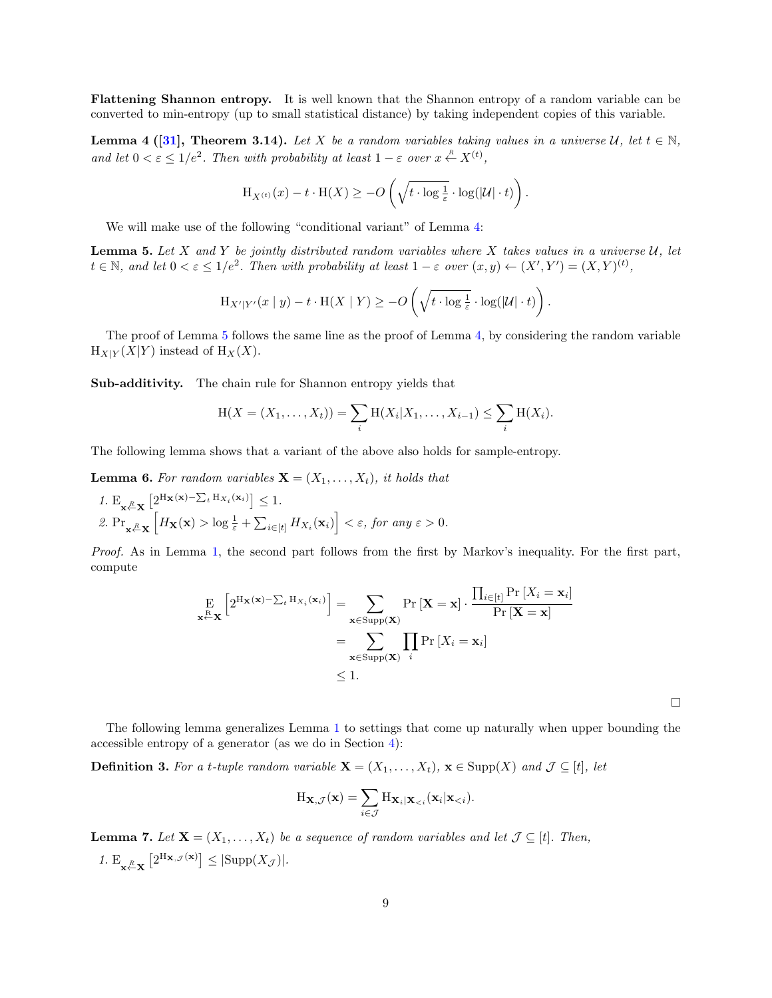Flattening Shannon entropy. It is well known that the Shannon entropy of a random variable can be converted to min-entropy (up to small statistical distance) by taking independent copies of this variable.

<span id="page-11-0"></span>**Lemma 4 ([\[31\]](#page-47-6), Theorem 3.14).** Let X be a random variables taking values in a universe U, let  $t \in \mathbb{N}$ , and let  $0 < \varepsilon \leq 1/e^2$ . Then with probability at least  $1 - \varepsilon$  over  $x \stackrel{R}{\leftarrow} X^{(t)}$ ,

$$
\mathrm{H}_{X^{(t)}}(x) - t \cdot \mathrm{H}(X) \geq -O\left(\sqrt{t \cdot \log \frac{1}{\varepsilon}} \cdot \log(|\mathcal{U}| \cdot t)\right).
$$

We will make use of the following "conditional variant" of Lemma [4:](#page-11-0)

**Lemma 5.** Let  $X$  and  $Y$  be jointly distributed random variables where  $X$  takes values in a universe  $U$ , let  $t \in \mathbb{N}$ , and let  $0 < \varepsilon \leq 1/e^2$ . Then with probability at least  $1 - \varepsilon$  over  $(x, y) \leftarrow (X', Y') = (X, Y)^{(t)}$ ,

$$
H_{X'|Y'}(x \mid y) - t \cdot H(X \mid Y) \ge -O\left(\sqrt{t \cdot \log_{\varepsilon} \frac{1}{\varepsilon}} \cdot \log(|\mathcal{U}| \cdot t)\right)
$$

<span id="page-11-1"></span>.

The proof of Lemma [5](#page-11-1) follows the same line as the proof of Lemma [4,](#page-11-0) by considering the random variable  $H_{X|Y}(X|Y)$  instead of  $H_X(X)$ .

Sub-additivity. The chain rule for Shannon entropy yields that

$$
H(X = (X_1, ..., X_t)) = \sum_i H(X_i | X_1, ..., X_{i-1}) \leq \sum_i H(X_i).
$$

<span id="page-11-3"></span>The following lemma shows that a variant of the above also holds for sample-entropy.

**Lemma 6.** For random variables  $\mathbf{X} = (X_1, \ldots, X_t)$ , it holds that

1.  $E_{\mathbf{x} \leftarrow \mathbf{X}} \left[ 2^{H_{\mathbf{X}}(\mathbf{x}) - \sum_{t} H_{X_i}(\mathbf{x}_i)} \right] \leq 1.$ 2.  $Pr_{\mathbf{x} \leftarrow \mathbf{X}}$  $\left[H_{\mathbf{X}}(\mathbf{x}) > \log \frac{1}{\varepsilon} + \sum_{i \in [t]} H_{X_i}(\mathbf{x}_i)\right] < \varepsilon$ , for any  $\varepsilon > 0$ .

Proof. As in Lemma [1,](#page-9-2) the second part follows from the first by Markov's inequality. For the first part, compute

$$
\underset{\mathbf{x} \in \mathbf{X}}{\mathbb{E}} \left[ 2^{\mathrm{H}_{\mathbf{X}}(\mathbf{x}) - \sum_{t} \mathrm{H}_{X_{i}}(\mathbf{x}_{i})} \right] = \sum_{\mathbf{x} \in \mathrm{Supp}(\mathbf{X})} \mathrm{Pr}\left[ \mathbf{X} = \mathbf{x} \right] \cdot \frac{\prod_{i \in [t]} \mathrm{Pr}\left[ X_{i} = \mathbf{x}_{i} \right]}{\mathrm{Pr}\left[ \mathbf{X} = \mathbf{x} \right]}
$$
\n
$$
= \sum_{\mathbf{x} \in \mathrm{Supp}(\mathbf{X})} \prod_{i} \mathrm{Pr}\left[ X_{i} = \mathbf{x}_{i} \right]
$$
\n
$$
\leq 1.
$$

 $\Box$ 

The following lemma generalizes Lemma [1](#page-9-2) to settings that come up naturally when upper bounding the accessible entropy of a generator (as we do in Section [4\)](#page-24-0):

**Definition 3.** For a t-tuple random variable  $\mathbf{X} = (X_1, \ldots, X_t)$ ,  $\mathbf{x} \in \text{Supp}(X)$  and  $\mathcal{J} \subseteq [t]$ , let

$$
H_{\mathbf{X},\mathcal{J}}(\mathbf{x}) = \sum_{i \in \mathcal{J}} H_{\mathbf{X}_i|\mathbf{X}_{&i}}(\mathbf{x}_i|\mathbf{x}_{&i}).
$$

<span id="page-11-2"></span>**Lemma 7.** Let  $X = (X_1, ..., X_t)$  be a sequence of random variables and let  $\mathcal{J} \subseteq [t]$ . Then, 1.  $E_{\mathbf{x} \leftarrow \mathbf{X}}$   $[2^{H_{\mathbf{X},\mathcal{J}}(\mathbf{x})}] \leq |\text{Supp}(X_{\mathcal{J}})|$ .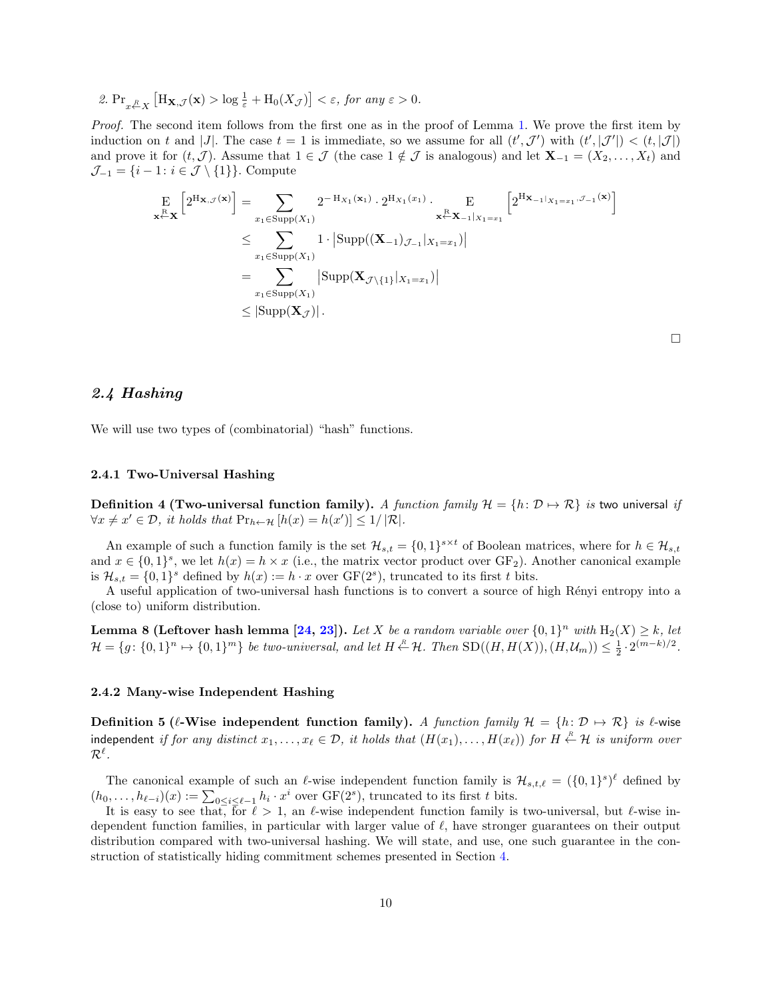2. 
$$
\Pr_{x \stackrel{R}{\leftarrow} X} \left[ H_{\mathbf{X}, \mathcal{J}}(\mathbf{x}) > \log \frac{1}{\varepsilon} + H_0(X_{\mathcal{J}}) \right] < \varepsilon
$$
, for any  $\varepsilon > 0$ .

Proof. The second item follows from the first one as in the proof of Lemma [1.](#page-9-2) We prove the first item by induction on t and |J|. The case  $t = 1$  is immediate, so we assume for all  $(t', \mathcal{J}')$  with  $(t', |\mathcal{J}'|) < (t, |\mathcal{J}|)$ and prove it for  $(t,\mathcal{J})$ . Assume that  $1 \in \mathcal{J}$  (the case  $1 \notin \mathcal{J}$  is analogous) and let  $\mathbf{X}_{-1} = (X_2,\ldots,X_t)$  and  $\mathcal{J}_{-1} = \{i-1: i \in \mathcal{J} \setminus \{1\}\}\.$  Compute

$$
\mathop{\mathbf{E}}_{\mathbf{x}_{\cdot}}\left[2^{\mathrm{H}_{\mathbf{X},\mathcal{J}}(\mathbf{x})}\right] = \sum_{x_1 \in \mathrm{Supp}(X_1)} 2^{-\mathrm{H}_{X_1}(\mathbf{x}_1)} \cdot 2^{\mathrm{H}_{X_1}(x_1)} \cdot \mathop{\mathbf{E}}_{\mathbf{x}_{\cdot}}\mathop{\mathbf{E}}_{\mathbf{x}_{-1}|_{X_1=x_1}}\left[2^{\mathrm{H}_{\mathbf{X}_{-1}|_{X_1=x_1},\mathcal{J}_{-1}}(\mathbf{x})}\right]
$$
\n
$$
\leq \sum_{x_1 \in \mathrm{Supp}(X_1)} 1 \cdot |\mathrm{Supp}((\mathbf{X}_{-1})_{\mathcal{J}_{-1}|X_1=x_1})|
$$
\n
$$
= \sum_{x_1 \in \mathrm{Supp}(X_1)} |\mathrm{Supp}(\mathbf{X}_{\mathcal{J}\setminus\{1\}}|_{X_1=x_1})|
$$
\n
$$
\leq |\mathrm{Supp}(\mathbf{X}_{\mathcal{J}})|.
$$

 $\Box$ 

## <span id="page-12-0"></span>2.4 Hashing

We will use two types of (combinatorial) "hash" functions.

#### 2.4.1 Two-Universal Hashing

**Definition 4 (Two-universal function family).** A function family  $\mathcal{H} = \{h: \mathcal{D} \mapsto \mathcal{R}\}\$ is two universal if  $\forall x \neq x' \in \mathcal{D}, \text{ it holds that } Pr_{h \leftarrow \mathcal{H}} [h(x) = h(x')] \leq 1/|\mathcal{R}|.$ 

An example of such a function family is the set  $\mathcal{H}_{s,t} = \{0,1\}^{s \times t}$  of Boolean matrices, where for  $h \in \mathcal{H}_{s,t}$ and  $x \in \{0,1\}^s$ , we let  $h(x) = h \times x$  (i.e., the matrix vector product over GF<sub>2</sub>). Another canonical example is  $\mathcal{H}_{s,t} = \{0,1\}^s$  defined by  $h(x) := h \cdot x$  over  $GF(2^s)$ , truncated to its first t bits.

<span id="page-12-2"></span>A useful application of two-universal hash functions is to convert a source of high Rényi entropy into a (close to) uniform distribution.

**Lemma 8 (Leftover hash lemma [\[24,](#page-47-7) [23\]](#page-47-8)).** Let X be a random variable over  $\{0,1\}^n$  with  $H_2(X) \geq k$ , let  $\mathcal{H} = \{g: \{0,1\}^n \mapsto \{0,1\}^m\}$  be two-universal, and let  $H \stackrel{\mathcal{R}}{\leftarrow} \mathcal{H}$ . Then  $\text{SD}((H, H(X)), (H, \mathcal{U}_m)) \leq \frac{1}{2} \cdot 2^{(m-k)/2}$ .

#### 2.4.2 Many-wise Independent Hashing

Definition 5 ( $\ell$ -Wise independent function family). A function family  $\mathcal{H} = \{h: \mathcal{D} \mapsto \mathcal{R}\}\$ is  $\ell$ -wise independent *if for any distinct*  $x_1,\ldots,x_\ell\in\mathcal{D},$  *it holds that*  $(H(x_1),\ldots,H(x_\ell))$  *for*  $H\stackrel{\mathbb{R}}{\leftarrow}\mathcal{H}$  *is uniform over*  $\mathcal{R}^\ell.$ 

The canonical example of such an  $\ell$ -wise independent function family is  $\mathcal{H}_{s,t,\ell} = (\{0, 1\}^s)^{\ell}$  defined by  $(h_0, \ldots, h_{\ell-i})(x) := \sum_{0 \le i \le \ell-1} h_i \cdot x^i$  over  $GF(2^s)$ , truncated to its first t bits.

<span id="page-12-1"></span>It is easy to see that, for  $\ell > 1$ , an  $\ell$ -wise independent function family is two-universal, but  $\ell$ -wise independent function families, in particular with larger value of  $\ell$ , have stronger guarantees on their output distribution compared with two-universal hashing. We will state, and use, one such guarantee in the construction of statistically hiding commitment schemes presented in Section [4.](#page-24-0)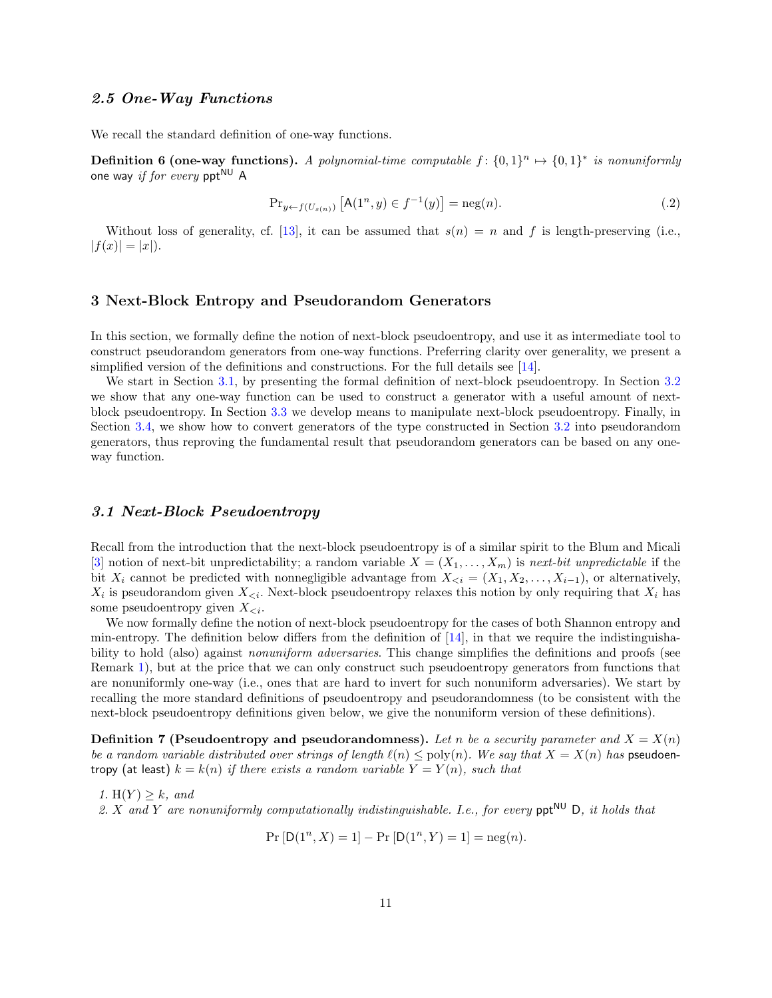## 2.5 One-Way Functions

We recall the standard definition of one-way functions.

**Definition 6 (one-way functions).** A polynomial-time computable  $f: \{0,1\}^n \mapsto \{0,1\}^*$  is nonuniformly one way if for every ppt $^{NU}$  A

$$
\Pr_{y \leftarrow f(U_{s(n)})} \left[ A(1^n, y) \in f^{-1}(y) \right] = \text{neg}(n). \tag{2}
$$

<span id="page-13-0"></span>Without loss of generality, cf. [\[13\]](#page-46-7), it can be assumed that  $s(n) = n$  and f is length-preserving (i.e.,  $|f(x)| = |x|$ .

## 3 Next-Block Entropy and Pseudorandom Generators

In this section, we formally define the notion of next-block pseudoentropy, and use it as intermediate tool to construct pseudorandom generators from one-way functions. Preferring clarity over generality, we present a simplified version of the definitions and constructions. For the full details see [\[14\]](#page-46-2).

We start in Section [3.1,](#page-13-1) by presenting the formal definition of next-block pseudoentropy. In Section [3.2](#page-14-0) we show that any one-way function can be used to construct a generator with a useful amount of nextblock pseudoentropy. In Section [3.3](#page-19-0) we develop means to manipulate next-block pseudoentropy. Finally, in Section [3.4,](#page-22-0) we show how to convert generators of the type constructed in Section [3.2](#page-14-0) into pseudorandom generators, thus reproving the fundamental result that pseudorandom generators can be based on any oneway function.

## <span id="page-13-1"></span>3.1 Next-Block Pseudoentropy

Recall from the introduction that the next-block pseudoentropy is of a similar spirit to the Blum and Micali [\[3\]](#page-46-9) notion of next-bit unpredictability; a random variable  $X = (X_1, \ldots, X_m)$  is next-bit unpredictable if the bit  $X_i$  cannot be predicted with nonnegligible advantage from  $X_{\leq i} = (X_1, X_2, \ldots, X_{i-1})$ , or alternatively,  $X_i$  is pseudorandom given  $X_{\leq i}$ . Next-block pseudoentropy relaxes this notion by only requiring that  $X_i$  has some pseudoentropy given  $X_{\leq i}$ .

We now formally define the notion of next-block pseudoentropy for the cases of both Shannon entropy and min-entropy. The definition below differs from the definition of  $[14]$ , in that we require the indistinguishability to hold (also) against *nonuniform adversaries*. This change simplifies the definitions and proofs (see Remark [1\)](#page-14-1), but at the price that we can only construct such pseudoentropy generators from functions that are nonuniformly one-way (i.e., ones that are hard to invert for such nonuniform adversaries). We start by recalling the more standard definitions of pseudoentropy and pseudorandomness (to be consistent with the next-block pseudoentropy definitions given below, we give the nonuniform version of these definitions).

<span id="page-13-2"></span>**Definition 7 (Pseudoentropy and pseudorandomness).** Let n be a security parameter and  $X = X(n)$ be a random variable distributed over strings of length  $\ell(n) \leq poly(n)$ . We say that  $X = X(n)$  has pseudoentropy (at least)  $k = k(n)$  if there exists a random variable  $Y = Y(n)$ , such that

1. H(Y) > k, and 2. X and Y are nonuniformly computationally indistinguishable. I.e., for every ppt<sup>NU</sup> D, it holds that

 $Pr[D(1^n, X) = 1] - Pr[D(1^n, Y) = 1] = neg(n).$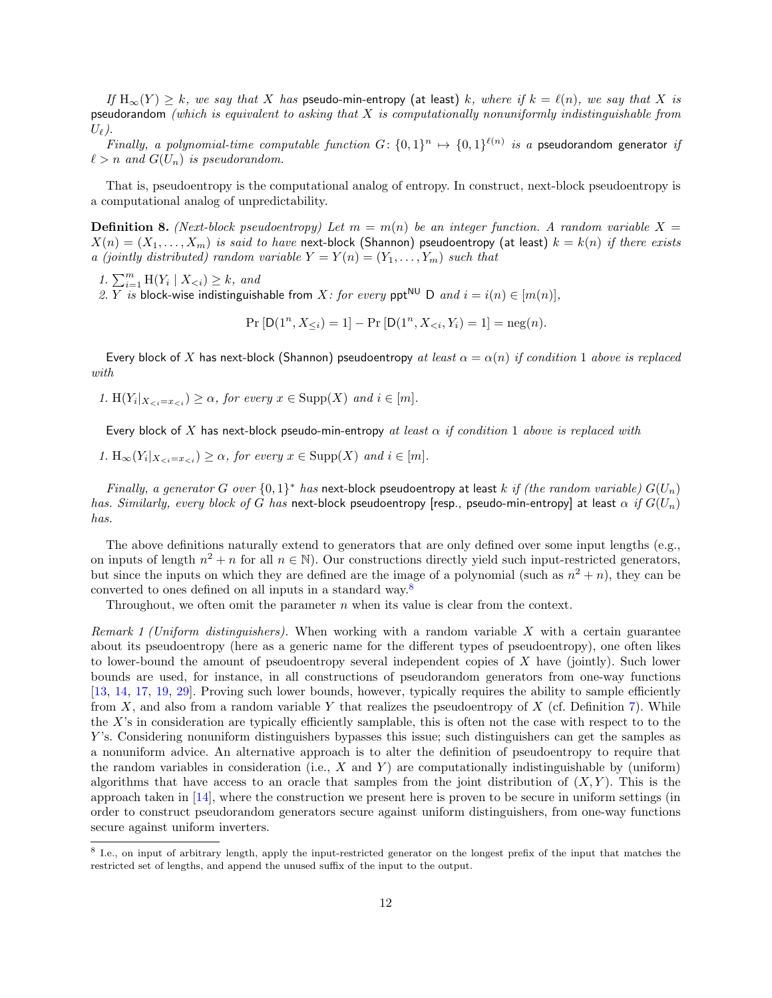If  $H_{\infty}(Y) > k$ , we say that X has pseudo-min-entropy (at least) k, where if  $k = \ell(n)$ , we say that X is pseudorandom (which is equivalent to asking that  $X$  is computationally nonuniformly indistinguishable from  $U_{\ell}$ ).

Finally, a polynomial-time computable function  $G: \{0,1\}^n \mapsto \{0,1\}^{\ell(n)}$  is a pseudorandom generator if  $\ell > n$  and  $G(U_n)$  is pseudorandom.

That is, pseudoentropy is the computational analog of entropy. In construct, next-block pseudoentropy is a computational analog of unpredictability.

**Definition 8.** (Next-block pseudoentropy) Let  $m = m(n)$  be an integer function. A random variable  $X =$  $X(n) = (X_1, \ldots, X_m)$  is said to have next-block (Shannon) pseudoentropy (at least)  $k = k(n)$  if there exists a (jointly distributed) random variable  $Y = Y(n) = (Y_1, \ldots, Y_m)$  such that

1.  $\sum_{i=1}^{m}$  H(Y<sub>i</sub> | X<sub><i</sub>)  $\geq k$ , and

2. Y is block-wise indistinguishable from X: for every ppt<sup>NU</sup> D and  $i = i(n) \in [m(n)],$ 

 $Pr[D(1^n, X_{\leq i}) = 1] - Pr[D(1^n, X_{\leq i}, Y_i) = 1] = neg(n).$ 

Every block of X has next-block (Shannon) pseudoentropy at least  $\alpha = \alpha(n)$  if condition 1 above is replaced with

1.  $H(Y_i|_{X_{< i}=x_{< i}}) \geq \alpha$ , for every  $x \in \text{Supp}(X)$  and  $i \in [m]$ .

Every block of X has next-block pseudo-min-entropy at least  $\alpha$  if condition 1 above is replaced with

1.  $\mathcal{H}_{\infty}(Y_i|_{X_{< i}=x_{< i}}) \geq \alpha$ , for every  $x \in \text{Supp}(X)$  and  $i \in [m]$ .

Finally, a generator G over  $\{0,1\}^*$  has next-block pseudoentropy at least k if (the random variable)  $G(U_n)$ has. Similarly, every block of G has next-block pseudoentropy [resp., pseudo-min-entropy] at least  $\alpha$  if  $G(U_n)$ has.

The above definitions naturally extend to generators that are only defined over some input lengths (e.g., on inputs of length  $n^2 + n$  for all  $n \in \mathbb{N}$ ). Our constructions directly yield such input-restricted generators, but since the inputs on which they are defined are the image of a polynomial (such as  $n^2 + n$ ), they can be converted to ones defined on all inputs in a standard way.[8](#page-14-2)

Throughout, we often omit the parameter  $n$  when its value is clear from the context.

<span id="page-14-1"></span>Remark 1 (Uniform distinguishers). When working with a random variable X with a certain guarantee about its pseudoentropy (here as a generic name for the different types of pseudoentropy), one often likes to lower-bound the amount of pseudoentropy several independent copies of X have (jointly). Such lower bounds are used, for instance, in all constructions of pseudorandom generators from one-way functions [\[13,](#page-46-7) [14,](#page-46-2) [17,](#page-46-1) [19,](#page-46-8) [29\]](#page-47-4). Proving such lower bounds, however, typically requires the ability to sample efficiently from X, and also from a random variable Y that realizes the pseudoentropy of  $X$  (cf. Definition [7\)](#page-13-2). While the X's in consideration are typically efficiently samplable, this is often not the case with respect to to the Y's. Considering nonuniform distinguishers bypasses this issue; such distinguishers can get the samples as a nonuniform advice. An alternative approach is to alter the definition of pseudoentropy to require that the random variables in consideration (i.e.,  $X$  and  $Y$ ) are computationally indistinguishable by (uniform) algorithms that have access to an oracle that samples from the joint distribution of  $(X, Y)$ . This is the approach taken in [\[14\]](#page-46-2), where the construction we present here is proven to be secure in uniform settings (in order to construct pseudorandom generators secure against uniform distinguishers, from one-way functions secure against uniform inverters.

<span id="page-14-2"></span><span id="page-14-0"></span><sup>8</sup> I.e., on input of arbitrary length, apply the input-restricted generator on the longest prefix of the input that matches the restricted set of lengths, and append the unused suffix of the input to the output.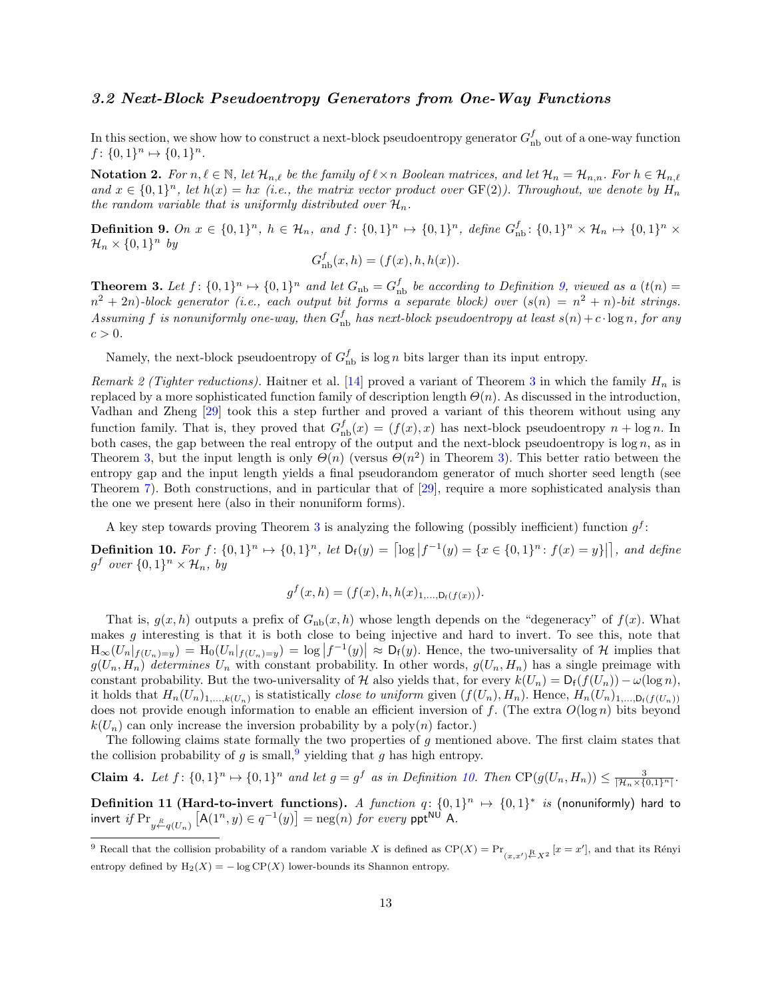## 3.2 Next-Block Pseudoentropy Generators from One-Way Functions

In this section, we show how to construct a next-block pseudoentropy generator  $G_{\text{nb}}^f$  out of a one-way function  $f: \{0,1\}^n \mapsto \{0,1\}^n$ .

Notation 2. For  $n, \ell \in \mathbb{N}$ , let  $\mathcal{H}_{n,\ell}$  be the family of  $\ell \times n$  Boolean matrices, and let  $\mathcal{H}_n = \mathcal{H}_{n,n}$ . For  $h \in \mathcal{H}_{n,\ell}$ and  $x \in \{0,1\}^n$ , let  $h(x) = hx$  (i.e., the matrix vector product over GF(2)). Throughout, we denote by  $H_n$ the random variable that is uniformly distributed over  $\mathcal{H}_n$ .

<span id="page-15-0"></span>**Definition 9.** On  $x \in \{0,1\}^n$ ,  $h \in \mathcal{H}_n$ , and  $f: \{0,1\}^n \mapsto \{0,1\}^n$ , define  $G_{\text{nb}}^f: \{0,1\}^n \times \mathcal{H}_n \mapsto \{0,1\}^n \times$  $\mathcal{H}_n \times \{0,1\}^n$  by

$$
G_{\rm nb}^f(x, h) = (f(x), h, h(x)).
$$

<span id="page-15-1"></span>**Theorem 3.** Let  $f: \{0,1\}^n \mapsto \{0,1\}^n$  and let  $G_{\text{nb}} = G_{\text{nb}}^f$  be according to Definition [9,](#page-15-0) viewed as a  $(t(n) =$  $n^2 + 2n$ )-block generator (i.e., each output bit forms a separate block) over  $(s(n) = n^2 + n)$ -bit strings. Assuming f is nonuniformly one-way, then  $G_{\text{nb}}^f$  has next-block pseudoentropy at least  $s(n) + c \cdot \log n$ , for any  $c > 0$ .

Namely, the next-block pseudoentropy of  $G_{\text{nb}}^f$  is log n bits larger than its input entropy.

Remark 2 (Tighter reductions). Haitner et al. [\[14\]](#page-46-2) proved a variant of Theorem [3](#page-15-1) in which the family  $H_n$  is replaced by a more sophisticated function family of description length  $\Theta(n)$ . As discussed in the introduction, Vadhan and Zheng [\[29\]](#page-47-4) took this a step further and proved a variant of this theorem without using any function family. That is, they proved that  $G_{\text{nb}}^{f}(x) = (f(x), x)$  has next-block pseudoentropy  $n + \log n$ . In both cases, the gap between the real entropy of the output and the next-block pseudoentropy is  $\log n$ , as in Theorem [3,](#page-15-1) but the input length is only  $\Theta(n)$  (versus  $\Theta(n^2)$ ) in Theorem [3\)](#page-15-1). This better ratio between the entropy gap and the input length yields a final pseudorandom generator of much shorter seed length (see Theorem [7\)](#page-23-0). Both constructions, and in particular that of [\[29\]](#page-47-4), require a more sophisticated analysis than the one we present here (also in their nonuniform forms).

A key step towards proving Theorem [3](#page-15-1) is analyzing the following (possibly inefficient) function  $g^f$ :

**Definition 10.** For  $f: \{0,1\}^n \mapsto \{0,1\}^n$ , let  $D_f(y) = \left[\log |f^{-1}(y)| = \{x \in \{0,1\}^n : f(x) = y\}|\right]$ , and define  $g^f$  over  $\{0,1\}^n \times \mathcal{H}_n$ , by

<span id="page-15-3"></span>
$$
g^{f}(x,h) = (f(x), h, h(x)_{1,\ldots,D_{f}(f(x))}).
$$

That is,  $g(x, h)$  outputs a prefix of  $G_{\text{nb}}(x, h)$  whose length depends on the "degeneracy" of  $f(x)$ . What makes g interesting is that it is both close to being injective and hard to invert. To see this, note that  $H_{\infty}(U_n|_{f(U_n)=y}) = H_0(U_n|_{f(U_n)=y}) = \log |f^{-1}(y)| \approx D_f(y)$ . Hence, the two-universality of H implies that  $g(U_n, H_n)$  determines  $U_n$  with constant probability. In other words,  $g(U_n, H_n)$  has a single preimage with constant probability. But the two-universality of H also yields that, for every  $k(U_n) = D_f(f(U_n)) - \omega(\log n)$ , it holds that  $H_n(U_n)_{1,\ldots,k(U_n)}$  is statistically *close to uniform* given  $(f(U_n), H_n)$ . Hence,  $H_n(U_n)_{1,\ldots,D_f(f(U_n))}$ does not provide enough information to enable an efficient inversion of f. (The extra  $O(\log n)$ ) bits beyond  $k(U_n)$  can only increase the inversion probability by a poly $(n)$  factor.)

The following claims state formally the two properties of  $g$  mentioned above. The first claim states that the collision probability of g is small,<sup>[9](#page-15-2)</sup> yielding that g has high entropy.

<span id="page-15-4"></span>**Claim 4.** Let  $f: \{0,1\}^n \mapsto \{0,1\}^n$  and let  $g = g^f$  as in Definition [10.](#page-15-3) Then  $\text{CP}(g(U_n, H_n)) \leq \frac{3}{|\mathcal{H}_n \times \{0,1\}^n|}$ .

Definition 11 (Hard-to-invert functions). A function  $q: \{0,1\}^n \mapsto \{0,1\}^*$  is (nonuniformly) hard to invert  $\textit{if } \Pr_{y \stackrel{R}{\leftarrow} q(U_n)}\left[\mathsf{A}(1^n,y) \in q^{-1}(y)\right] = \text{neg}(n) \ \textit{for every } \mathsf{ppt}^{\mathsf{NU}}\text{ } \mathsf{A}.$ 

<span id="page-15-2"></span><sup>&</sup>lt;sup>9</sup> Recall that the collision probability of a random variable X is defined as  $\text{CP}(X) = \text{Pr}_{(x,x') \leftarrow X^2} [x = x']$ , and that its Rényi entropy defined by  $H_2(X) = -\log CP(X)$  lower-bounds its Shannon entropy.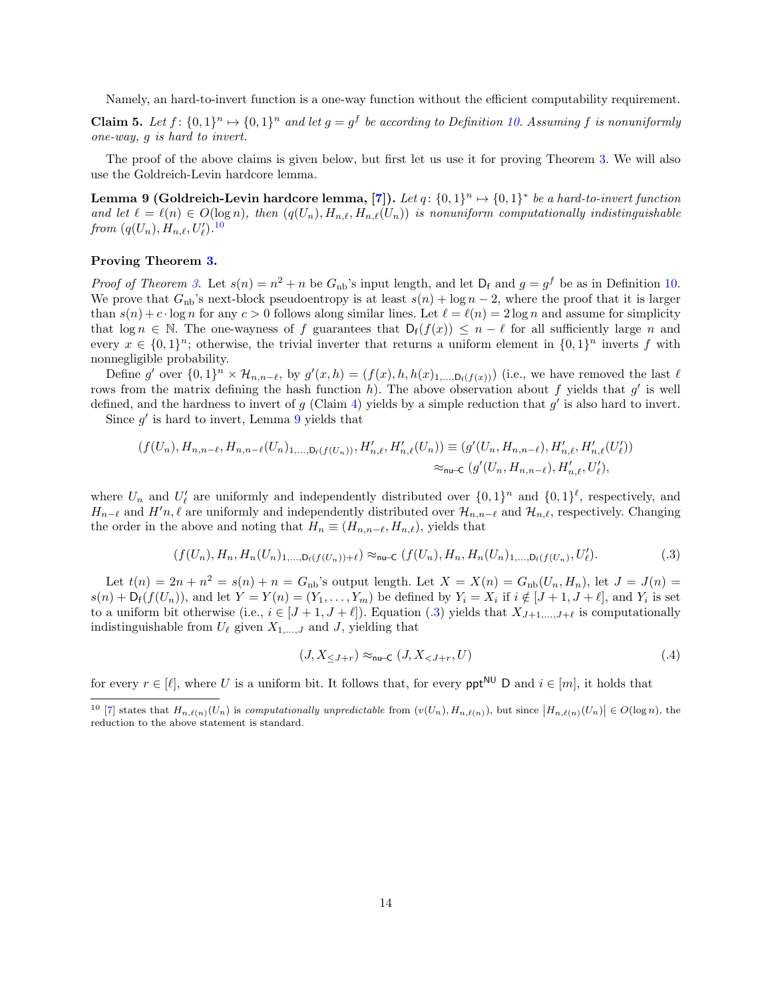<span id="page-16-1"></span>Namely, an hard-to-invert function is a one-way function without the efficient computability requirement.

<span id="page-16-4"></span>**Claim 5.** Let  $f: \{0,1\}^n \mapsto \{0,1\}^n$  and let  $g = g^f$  be according to Definition [10.](#page-15-3) Assuming f is nonuniformly one-way, g is hard to invert.

The proof of the above claims is given below, but first let us use it for proving Theorem [3.](#page-15-1) We will also use the Goldreich-Levin hardcore lemma.

**Lemma 9 (Goldreich-Levin hardcore lemma, [\[7\]](#page-46-15)).** Let  $q: \{0,1\}^n \mapsto \{0,1\}^*$  be a hard-to-invert function and let  $\ell = \ell(n) \in O(\log n)$ , then  $(q(U_n), H_{n,\ell}, H_{n,\ell}(U_n))$  is nonuniform computationally indistinguishable from  $(q(U_n), H_{n,\ell}, U'_\ell)$ .<sup>[10](#page-16-0)</sup>

#### Proving Theorem [3.](#page-15-1)

*Proof of Theorem [3.](#page-15-1)* Let  $s(n) = n^2 + n$  be  $G_{\text{nb}}$ 's input length, and let  $D_f$  and  $g = g^f$  be as in Definition [10.](#page-15-3) We prove that  $G_{\text{nb}}$ 's next-block pseudoentropy is at least  $s(n) + \log n - 2$ , where the proof that it is larger than  $s(n) + c \cdot \log n$  for any  $c > 0$  follows along similar lines. Let  $\ell = \ell(n) = 2 \log n$  and assume for simplicity that  $\log n \in \mathbb{N}$ . The one-wayness of f guarantees that  $D_f(f(x)) \leq n - \ell$  for all sufficiently large n and every  $x \in \{0,1\}^n$ ; otherwise, the trivial inverter that returns a uniform element in  $\{0,1\}^n$  inverts f with nonnegligible probability.

Define g' over  $\{0,1\}^n \times \mathcal{H}_{n,n-\ell}$ , by  $g'(x,h) = (f(x), h, h(x)_{1,\ldots,D_f(f(x))})$  (i.e., we have removed the last  $\ell$ rows from the matrix defining the hash function h). The above observation about f yields that  $g'$  is well defined, and the hardness to invert of  $g$  (Claim [4\)](#page-15-4) yields by a simple reduction that  $g'$  is also hard to invert.

Since  $g'$  is hard to invert, Lemma [9](#page-16-1) yields that

$$
(f(U_n), H_{n,n-\ell}, H_{n,n-\ell}(U_n), H_{n,\ell}(U_n)), H'_{n,\ell}, H'_{n,\ell}(U_n)) \equiv (g'(U_n, H_{n,n-\ell}), H'_{n,\ell}, H'_{n,\ell}(U'_{\ell}))
$$
  

$$
\approx_{\text{nu-C}} (g'(U_n, H_{n,n-\ell}), H'_{n,\ell}, U'_{\ell}),
$$

where  $U_n$  and  $U'_\ell$  are uniformly and independently distributed over  $\{0,1\}^n$  and  $\{0,1\}^\ell$ , respectively, and  $H_{n-\ell}$  and  $H'n, \ell$  are uniformly and independently distributed over  $\mathcal{H}_{n,n-\ell}$  and  $\mathcal{H}_{n,\ell}$ , respectively. Changing the order in the above and noting that  $H_n \equiv (H_{n,n-\ell}, H_{n,\ell}),$  yields that

$$
(f(U_n), H_n, H_n(U_n)_{1,\ldots,D_f(f(U_n))+\ell}) \approx_{\mathsf{nu-C}} (f(U_n), H_n, H_n(U_n)_{1,\ldots,D_f(f(U_n)}, U'_\ell).
$$
 (3)

Let  $t(n) = 2n + n^2 = s(n) + n = G_{\text{nb}}$ 's output length. Let  $X = X(n) = G_{\text{nb}}(U_n, H_n)$ , let  $J = J(n) = G_{\text{nb}}(U_n, H_n)$  $s(n) + D_f(f(U_n))$ , and let  $Y = Y(n) = (Y_1, \ldots, Y_m)$  be defined by  $Y_i = X_i$  if  $i \notin [J + 1, J + \ell]$ , and  $Y_i$  is set to a uniform bit otherwise (i.e.,  $i \in [J + 1, J + \ell]$ ). Equation [\(.3\)](#page-16-2) yields that  $X_{J+1,\dots,J+\ell}$  is computationally indistinguishable from  $U_{\ell}$  given  $X_{1,...,J}$  and J, yielding that

<span id="page-16-3"></span><span id="page-16-2"></span>
$$
(J, X_{\leq J+r}) \approx_{\text{nu-C}} (J, X_{
$$

for every  $r \in [\ell]$ , where U is a uniform bit. It follows that, for every ppt<sup>NU</sup> D and  $i \in [m]$ , it holds that

<span id="page-16-0"></span><sup>&</sup>lt;sup>10</sup> [\[7\]](#page-46-15) states that  $H_{n,\ell(n)}(U_n)$  is computationally unpredictable from  $(v(U_n), H_{n,\ell(n)})$ , but since  $|H_{n,\ell(n)}(U_n)| \in O(\log n)$ , the reduction to the above statement is standard.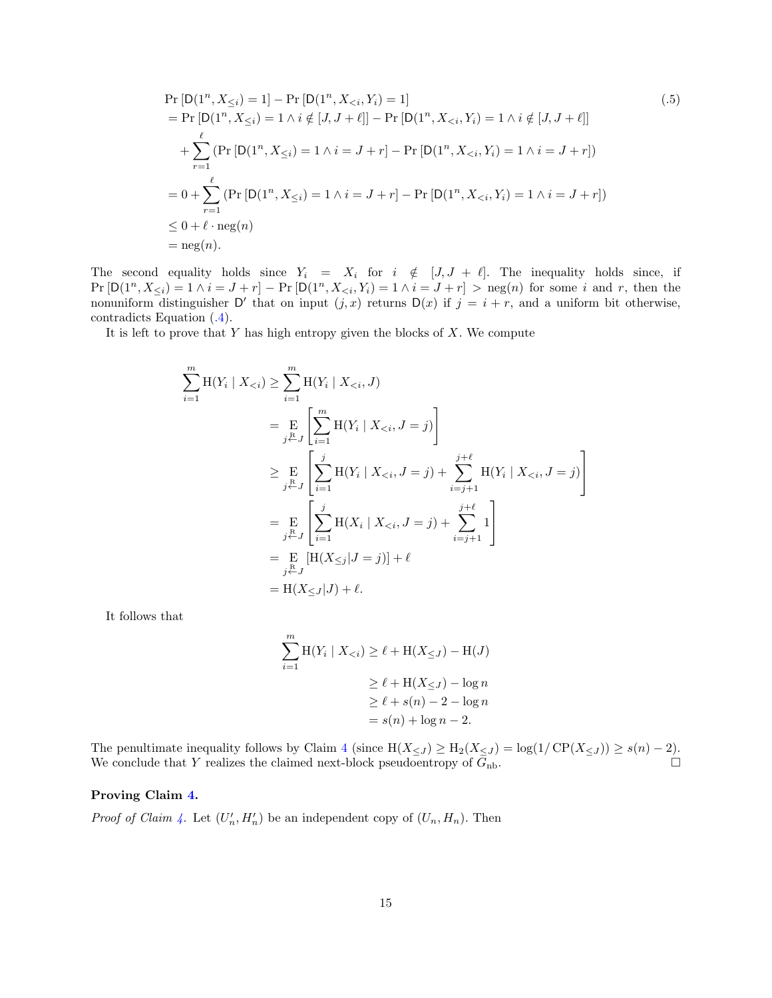$$
\Pr\left[D(1^n, X_{\leq i}) = 1\right] - \Pr\left[D(1^n, X_{\n
$$
= \Pr\left[D(1^n, X_{\leq i}) = 1 \land i \notin [J, J + \ell]\right] - \Pr\left[D(1^n, X_{\n
$$
+ \sum_{r=1}^{\ell} \left(\Pr\left[D(1^n, X_{\leq i}) = 1 \land i = J + r\right] - \Pr\left[D(1^n, X_{\n
$$
= 0 + \sum_{r=1}^{\ell} \left(\Pr\left[D(1^n, X_{\leq i}) = 1 \land i = J + r\right] - \Pr\left[D(1^n, X_{\n
$$
\leq 0 + \ell \cdot \text{neg}(n)
$$
\n
$$
= \text{neg}(n).
$$
\n(1.11)
$$
$$
$$
$$

The second equality holds since  $Y_i = X_i$  for  $i \notin [J, J + \ell]$ . The inequality holds since, if  $\Pr\left[\mathsf{D}(1^n,X_{\leq i})=1 \land i=J+r\right] - \Pr\left[\mathsf{D}(1^n,X_{< i},Y_i)=1 \land i=J+r\right] > \mathrm{neg}(n) \text{ for some $i$ and $r$, then the }$ nonuniform distinguisher D' that on input  $(j, x)$  returns  $D(x)$  if  $j = i + r$ , and a uniform bit otherwise, contradicts Equation [\(.4\)](#page-16-3).

It is left to prove that  $Y$  has high entropy given the blocks of  $X$ . We compute

$$
\sum_{i=1}^{m} H(Y_i | X_{< i}) \geq \sum_{i=1}^{m} H(Y_i | X_{< i}, J)
$$
\n
$$
= \sum_{j \stackrel{\text{R}}{\leftarrow} J} \left[ \sum_{i=1}^{m} H(Y_i | X_{< i}, J = j) \right]
$$
\n
$$
\geq \sum_{j \stackrel{\text{R}}{\leftarrow} J} \left[ \sum_{i=1}^{j} H(Y_i | X_{< i}, J = j) + \sum_{i=j+1}^{j+\ell} H(Y_i | X_{< i}, J = j) \right]
$$
\n
$$
= \sum_{j \stackrel{\text{R}}{\leftarrow} J} \left[ \sum_{i=1}^{j} H(X_i | X_{< i}, J = j) + \sum_{i=j+1}^{j+\ell} 1 \right]
$$
\n
$$
= \sum_{j \stackrel{\text{R}}{\leftarrow} J} \left[ H(X_{< j} | J = j) \right] + \ell
$$
\n
$$
= H(X_{< J} | J) + \ell.
$$

It follows that

$$
\sum_{i=1}^{m} \mathcal{H}(Y_i \mid X_{< i}) \ge \ell + \mathcal{H}(X_{\le J}) - \mathcal{H}(J)
$$
\n
$$
\ge \ell + \mathcal{H}(X_{\le J}) - \log n
$$
\n
$$
\ge \ell + s(n) - 2 - \log n
$$
\n
$$
= s(n) + \log n - 2.
$$

The penultimate inequality follows by Claim [4](#page-15-4) (since  $H(X_{\leq J}) \geq H_2(X_{\leq J}) = \log(1/\text{CP}(X_{\leq J})) \geq s(n) - 2$ ). We conclude that Y realizes the claimed next-block pseudoentropy of  $\bar{G}_{\text{nb}}$ .

#### Proving Claim [4.](#page-15-4)

*Proof of Claim [4.](#page-15-4)* Let  $(U'_n, H'_n)$  be an independent copy of  $(U_n, H_n)$ . Then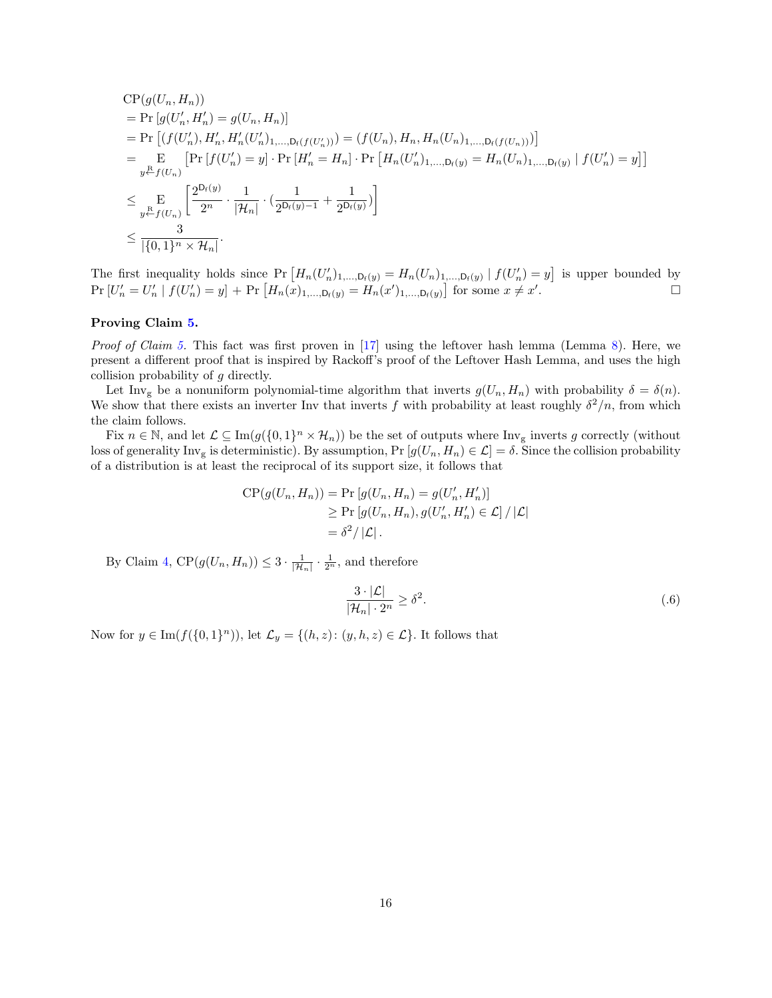$$
CP(g(U_n, H_n))
$$
  
= Pr [g(U'\_n, H'\_n) = g(U\_n, H\_n)]  
= Pr [(f(U'\_n), H'\_n, H'\_n(U'\_n)\_{1,...,D\_t(f(U'\_n))}) = (f(U\_n), H\_n, H\_n(U\_n)\_{1,...,D\_t(f(U\_n))})]  
= 
$$
\underset{y \in f(U_n)}{\mathbf{E}} \left[ \Pr [f(U'_n) = y] \cdot \Pr [H'_n = H_n] \cdot \Pr [H_n(U'_n)_{1,...,D_t(y)} = H_n(U_n)_{1,...,D_t(y)} | f(U'_n) = y] \right]
$$
  

$$
\leq \underset{y \in f(U_n)}{\mathbf{E}} \left[ \frac{2^{D_t(y)}}{2^n} \cdot \frac{1}{|H_n|} \cdot \left( \frac{1}{2^{D_t(y)-1}} + \frac{1}{2^{D_t(y)}} \right) \right]
$$
  

$$
\leq \frac{3}{|\{0,1\}^n \times H_n|}.
$$

The first inequality holds since  $Pr \left[ H_n(U'_n)_{1,\ldots,D_f(y)} = H_n(U_n)_{1,\ldots,D_f(y)} \mid f(U'_n) = y \right]$  is upper bounded by  $Pr [U'_n = U'_n | f(U'_n) = y] + Pr [H_n(x)_{1,\dots,D_f(y)} = H_n(x')_{1,\dots,D_f(y)}]$  for some  $x \neq x'$ .

#### Proving Claim [5.](#page-16-4)

*Proof of Claim [5.](#page-16-4)* This fact was first proven in  $\left[17\right]$  using the leftover hash lemma (Lemma [8\)](#page-12-2). Here, we present a different proof that is inspired by Rackoff's proof of the Leftover Hash Lemma, and uses the high collision probability of g directly.

Let Inv<sub>g</sub> be a nonuniform polynomial-time algorithm that inverts  $g(U_n, H_n)$  with probability  $\delta = \delta(n)$ . We show that there exists an inverter Inv that inverts f with probability at least roughly  $\delta^2/n$ , from which the claim follows.

Fix  $n \in \mathbb{N}$ , and let  $\mathcal{L} \subseteq \text{Im}(g(\{0,1\}^n \times \mathcal{H}_n))$  be the set of outputs where  $\text{Inv}_g$  inverts g correctly (without loss of generality Inv<sub>g</sub> is deterministic). By assumption, Pr  $[g(U_n, H_n) \in \mathcal{L}] = \delta$ . Since the collision probability of a distribution is at least the reciprocal of its support size, it follows that

$$
CP(g(U_n, H_n)) = \Pr [g(U_n, H_n) = g(U'_n, H'_n)]
$$
  
\n
$$
\geq \Pr [g(U_n, H_n), g(U'_n, H'_n) \in \mathcal{L}] / |\mathcal{L}|
$$
  
\n
$$
= \delta^2 / |\mathcal{L}|.
$$

By Claim [4,](#page-15-4)  $\text{CP}(g(U_n, H_n)) \leq 3 \cdot \frac{1}{|\mathcal{H}_n|} \cdot \frac{1}{2^n}$ , and therefore

$$
\frac{3 \cdot |\mathcal{L}|}{|\mathcal{H}_n| \cdot 2^n} \ge \delta^2. \tag{6}
$$

Now for  $y \in \text{Im}(f(\{0,1\}^n))$ , let  $\mathcal{L}_y = \{(h, z): (y, h, z) \in \mathcal{L}\}\)$ . It follows that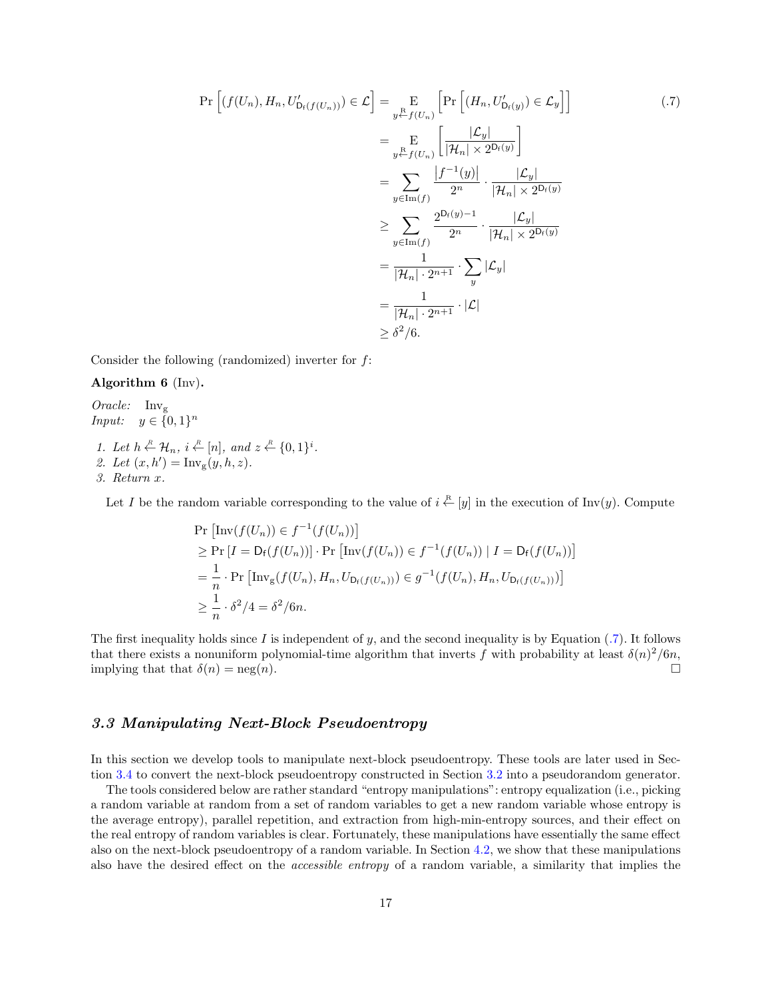<span id="page-19-1"></span>
$$
\Pr\left[\left(f(U_n), H_n, U'_{\mathsf{D}_{\mathsf{f}}(U_n)}\right) \in \mathcal{L}\right] = \mathop{\mathbb{E}}_{y \xleftarrow{\mathsf{R}} f(U_n)} \left[\Pr\left[\left(H_n, U'_{\mathsf{D}_{\mathsf{f}}(y)}\right) \in \mathcal{L}_y\right]\right] \tag{.7}
$$
\n
$$
= \mathop{\mathbb{E}}_{y \xleftarrow{\mathsf{R}} f(U_n)} \left[\frac{|\mathcal{L}_y|}{|\mathcal{H}_n| \times 2^{\mathsf{D}_{\mathsf{f}}(y)}}\right]
$$
\n
$$
= \sum_{y \in \text{Im}(f)} \frac{|f^{-1}(y)|}{2^n} \cdot \frac{|\mathcal{L}_y|}{|\mathcal{H}_n| \times 2^{\mathsf{D}_{\mathsf{f}}(y)}} \times \frac{|\mathcal{L}_y|}{|\mathcal{H}_n| \times 2^{\mathsf{D}_{\mathsf{f}}(y)}} \times \frac{|\mathcal{L}_y|}{|\mathcal{H}_n| \times 2^{\mathsf{D}_{\mathsf{f}}(y)}} \times \frac{|\mathcal{L}_y|}{|\mathcal{H}_n| \times 2^{\mathsf{D}_{\mathsf{f}}(y)}} = \frac{1}{|\mathcal{H}_n| \cdot 2^{n+1}} \cdot \sum_{y} |\mathcal{L}_y| \times \frac{1}{|\mathcal{H}_n| \cdot 2^{n+1}} \cdot |\mathcal{L}| \times \frac{1}{2^{\mathsf{d}} \cdot 2^{\mathsf{d}} \cdot 2^{n+1}} \cdot |\mathcal{L}|
$$

Consider the following (randomized) inverter for  $f$ :

Algorithm 6 (Inv).

Oracle: Inv<sup>g</sup> *Input:*  $y \in \{0,1\}^n$ 1. Let  $h \stackrel{R}{\leftarrow} \mathcal{H}_n$ ,  $i \stackrel{R}{\leftarrow} [n]$ , and  $z \stackrel{R}{\leftarrow} \{0,1\}^i$ . 2. Let  $(x, h') = \text{Inv}_{g}(y, h, z)$ . 3. Return x.

Let I be the random variable corresponding to the value of  $i \in [y]$  in the execution of Inv(y). Compute

$$
\begin{aligned} &\Pr\left[\text{Inv}(f(U_n)) \in f^{-1}(f(U_n))\right] \\ &\geq \Pr\left[I = \mathsf{D}_{\mathsf{f}}(f(U_n))\right] \cdot \Pr\left[\text{Inv}(f(U_n)) \in f^{-1}(f(U_n)) \mid I = \mathsf{D}_{\mathsf{f}}(f(U_n))\right] \\ &= \frac{1}{n} \cdot \Pr\left[\text{Inv}_{\mathsf{g}}(f(U_n), H_n, U_{\mathsf{D}_{\mathsf{f}}(f(U_n))}) \in g^{-1}(f(U_n), H_n, U_{\mathsf{D}_{\mathsf{f}}(f(U_n))})\right] \\ &\geq \frac{1}{n} \cdot \delta^2/4 = \delta^2/6n. \end{aligned}
$$

The first inequality holds since I is independent of y, and the second inequality is by Equation [\(.7\)](#page-19-1). It follows that there exists a nonuniform polynomial-time algorithm that inverts f with probability at least  $\delta(n)^2/6n$ , implying that that  $\delta(n) = \text{neg}(n)$ .

## <span id="page-19-0"></span>3.3 Manipulating Next-Block Pseudoentropy

In this section we develop tools to manipulate next-block pseudoentropy. These tools are later used in Section [3.4](#page-22-0) to convert the next-block pseudoentropy constructed in Section [3.2](#page-14-0) into a pseudorandom generator.

The tools considered below are rather standard "entropy manipulations": entropy equalization (i.e., picking a random variable at random from a set of random variables to get a new random variable whose entropy is the average entropy), parallel repetition, and extraction from high-min-entropy sources, and their effect on the real entropy of random variables is clear. Fortunately, these manipulations have essentially the same effect also on the next-block pseudoentropy of a random variable. In Section [4.2,](#page-27-0) we show that these manipulations also have the desired effect on the accessible entropy of a random variable, a similarity that implies the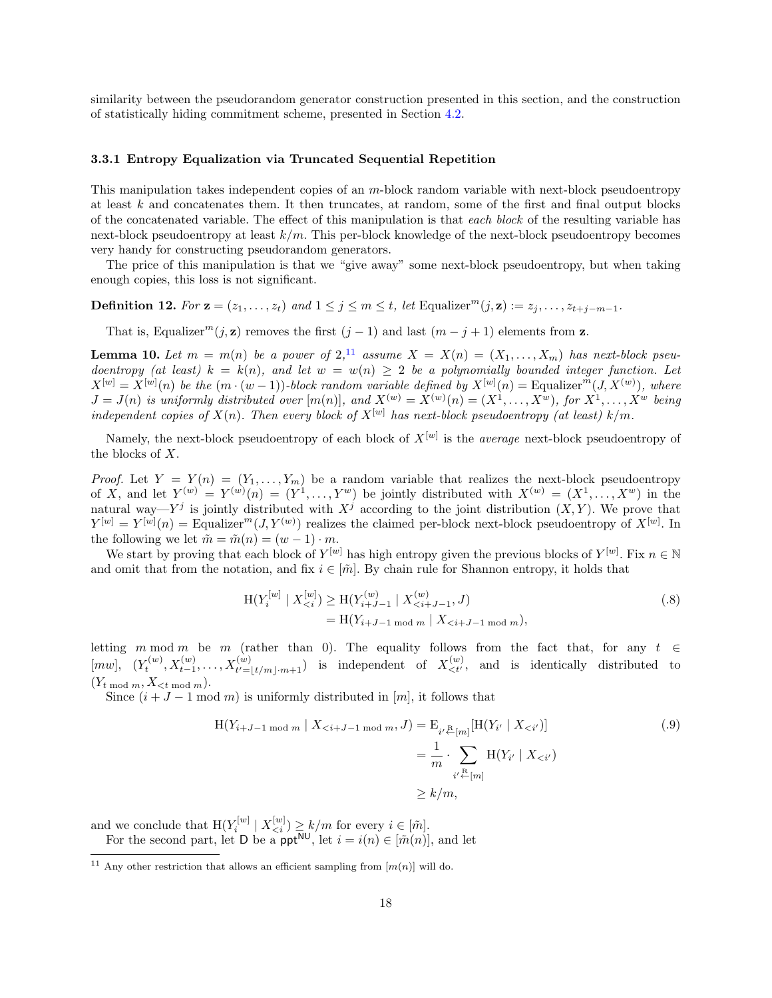similarity between the pseudorandom generator construction presented in this section, and the construction of statistically hiding commitment scheme, presented in Section [4.2.](#page-27-0)

#### 3.3.1 Entropy Equalization via Truncated Sequential Repetition

This manipulation takes independent copies of an m-block random variable with next-block pseudoentropy at least k and concatenates them. It then truncates, at random, some of the first and final output blocks of the concatenated variable. The effect of this manipulation is that each block of the resulting variable has next-block pseudoentropy at least  $k/m$ . This per-block knowledge of the next-block pseudoentropy becomes very handy for constructing pseudorandom generators.

The price of this manipulation is that we "give away" some next-block pseudoentropy, but when taking enough copies, this loss is not significant.

<span id="page-20-2"></span>**Definition 12.** For  $\mathbf{z} = (z_1, \ldots, z_t)$  and  $1 \leq j \leq m \leq t$ , let Equalizer<sup>m</sup> $(j, \mathbf{z}) := z_j, \ldots, z_{t+j-m-1}$ .

That is, Equalizer<sup>m</sup> $(j, z)$  removes the first  $(j - 1)$  and last  $(m - j + 1)$  elements from z.

**Lemma 10.** Let  $m = m(n)$  be a power of  $2<sup>11</sup>$  $2<sup>11</sup>$  $2<sup>11</sup>$  assume  $X = X(n) = (X_1, \ldots, X_m)$  has next-block pseudoentropy (at least)  $k = k(n)$ , and let  $w = w(n) \ge 2$  be a polynomially bounded integer function. Let  $X^{[w]} = X^{[w]}(n)$  be the  $(m \cdot (w-1))$ -block random variable defined by  $X^{[w]}(n) =$  Equalizer<sup>m</sup> $(J, X^{(w)})$ , where  $J = J(n)$  is uniformly distributed over  $[m(n)]$ , and  $X^{(w)} = X^{(w)}(n) = (X^1, \ldots, X^w)$ , for  $X^1, \ldots, X^w$  being independent copies of  $X(n)$ . Then every block of  $X^{[w]}$  has next-block pseudoentropy (at least) k/m.

Namely, the next-block pseudoentropy of each block of  $X^{[w]}$  is the *average* next-block pseudoentropy of the blocks of X.

*Proof.* Let  $Y = Y(n) = (Y_1, \ldots, Y_m)$  be a random variable that realizes the next-block pseudoentropy of X, and let  $Y^{(w)} = Y^{(w)}(n) = (Y^1, \ldots, Y^w)$  be jointly distributed with  $X^{(w)} = (X^1, \ldots, X^w)$  in the natural way—Y<sup>j</sup> is jointly distributed with  $X^j$  according to the joint distribution  $(X, Y)$ . We prove that  $Y^{[w]} = Y^{[w]}(n) = \text{Equalizer}^m(J, Y^{(w)})$  realizes the claimed per-block next-block pseudoentropy of  $X^{[w]}$ . In the following we let  $\tilde{m} = \tilde{m}(n) = (w - 1) \cdot m$ .

We start by proving that each block of  $Y^{[w]}$  has high entropy given the previous blocks of  $Y^{[w]}$ . Fix  $n \in \mathbb{N}$ and omit that from the notation, and fix  $i \in [\tilde{m}]$ . By chain rule for Shannon entropy, it holds that

<span id="page-20-1"></span>
$$
H(Y_i^{[w]} \mid X_{\leq i}^{[w]}) \geq H(Y_{i+J-1}^{(w)} \mid X_{\leq i+J-1}^{(w)}, J)
$$
  
= 
$$
H(Y_{i+J-1 \mod m} \mid X_{\leq i+J-1 \mod m}),
$$
 (.8)

letting m mod m be m (rather than 0). The equality follows from the fact that, for any  $t \in$  $[mw], (Y_t^{(w)}, X_{t-1}^{(w)}, \ldots, X_{t'=|t/m| \cdot m+1}^{(w)})$  is independent of  $X_{\leq t'}^{(w)}$ , and is identically distributed to  $(Y_{t \mod m}, X_{\leq t \mod m}).$ 

Since  $(i + J - 1 \mod m)$  is uniformly distributed in [m], it follows that

$$
H(Y_{i+J-1 \mod m} \mid X_{< i+J-1 \mod m}, J) = E_{i' \stackrel{R}{\leftarrow}[m]} [H(Y_{i'} \mid X_{< i'})]
$$
\n
$$
= \frac{1}{m} \cdot \sum_{i' \stackrel{R}{\leftarrow}[m]} H(Y_{i'} \mid X_{< i'})
$$
\n
$$
\geq k/m,
$$
\n
$$
(.9)
$$

and we conclude that  $H(Y_i^{[w]} | X_{&i}^{[w]}) \geq k/m$  for every  $i \in [\tilde{m}]$ . For the second part, let D be a ppt<sup>NU</sup>, let  $i = i(n) \in [\tilde{m}(n)]$ , and let

<span id="page-20-0"></span><sup>&</sup>lt;sup>11</sup> Any other restriction that allows an efficient sampling from  $[m(n)]$  will do.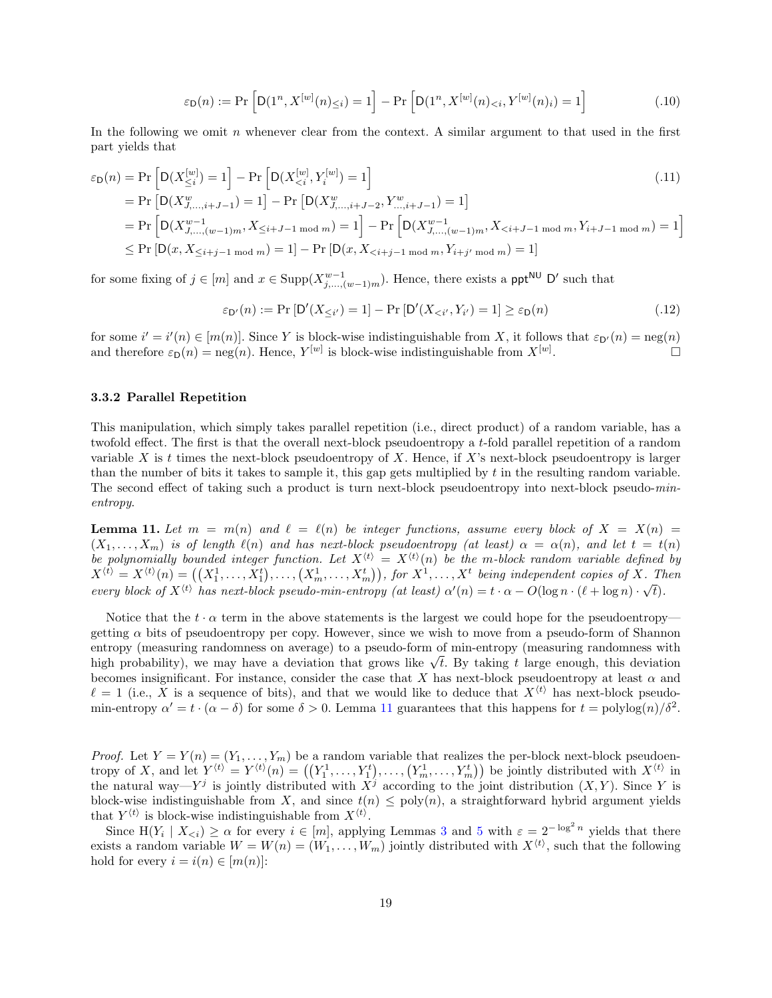$$
\varepsilon_{\mathsf{D}}(n) := \Pr\left[\mathsf{D}(1^n, X^{[w]}(n)_{\leq i}) = 1\right] - \Pr\left[\mathsf{D}(1^n, X^{[w]}(n)_{< i}, Y^{[w]}(n)_i) = 1\right] \tag{.10}
$$

In the following we omit  $n$  whenever clear from the context. A similar argument to that used in the first part yields that

$$
\varepsilon_{\mathsf{D}}(n) = \Pr\left[\mathsf{D}(X_{\leq i}^{[w]}) = 1\right] - \Pr\left[\mathsf{D}(X_{(.11)  
\n
$$
= \Pr\left[\mathsf{D}(X_{J,\ldots,i+J-1}^{w}) = 1\right] - \Pr\left[\mathsf{D}(X_{J,\ldots,i+J-2}^{w}, Y_{\ldots,i+J-1}^{w}) = 1\right]
$$
  
\n
$$
= \Pr\left[\mathsf{D}(X_{J,\ldots,(w-1)m}^{w-1}, X_{\leq i+J-1 \mod m}) = 1\right] - \Pr\left[\mathsf{D}(X_{J,\ldots,(w-1)m}^{w-1}, X_{  
\n
$$
\leq \Pr\left[\mathsf{D}(x, X_{\leq i+j-1 \mod m}) = 1\right] - \Pr\left[\mathsf{D}(x, X_{ (.11)
$$
$$
$$

for some fixing of  $j \in [m]$  and  $x \in \text{Supp}(X^{w-1}_{j,\ldots,(w-1)m})$ . Hence, there exists a ppt<sup>NU</sup> D' such that

$$
\varepsilon_{\mathsf{D}'}(n) := \Pr\left[\mathsf{D}'(X_{\leq i'}) = 1\right] - \Pr\left[\mathsf{D}'(X_{\leq i'}, Y_{i'}) = 1\right] \geq \varepsilon_{\mathsf{D}}(n) \tag{.12}
$$

for some  $i' = i'(n) \in [m(n)]$ . Since Y is block-wise indistinguishable from X, it follows that  $\varepsilon_{\mathsf{D}'}(n) = \text{neg}(n)$ and therefore  $\varepsilon_{\mathsf{D}}(n) = \text{neg}(n)$ . Hence,  $Y^{[w]}$  is block-wise indistinguishable from  $X^{[w]}$ .

#### 3.3.2 Parallel Repetition

This manipulation, which simply takes parallel repetition (i.e., direct product) of a random variable, has a twofold effect. The first is that the overall next-block pseudoentropy a t-fold parallel repetition of a random variable  $X$  is  $t$  times the next-block pseudoentropy of  $X$ . Hence, if  $X$ 's next-block pseudoentropy is larger than the number of bits it takes to sample it, this gap gets multiplied by t in the resulting random variable. The second effect of taking such a product is turn next-block pseudoentropy into next-block pseudo-minentropy.

<span id="page-21-0"></span>**Lemma 11.** Let  $m = m(n)$  and  $\ell = \ell(n)$  be integer functions, assume every block of  $X = X(n)$  $(X_1, \ldots, X_m)$  is of length  $\ell(n)$  and has next-block pseudoentropy (at least)  $\alpha = \alpha(n)$ , and let  $t = t(n)$ be polynomially bounded integer function. Let  $X^{(t)} = X^{(t)}(n)$  be the m-block random variable defined by  $X^{\langle t \rangle} = X^{\langle t \rangle}(n) = ((X_1^1, \ldots, X_1^t), \ldots, (X_m^1, \ldots, X_m^t)),$  for  $X^1, \ldots, X^t$  being independent copies of X. Then every block of  $X^{\langle t \rangle}$  has next-block pseudo-min-entropy (at least)  $\alpha'(n) = t \cdot \alpha - O(\log n \cdot (\ell + \log n) \cdot \sqrt{t})$ .

Notice that the  $t \cdot \alpha$  term in the above statements is the largest we could hope for the pseudoentropy getting  $\alpha$  bits of pseudoentropy per copy. However, since we wish to move from a pseudo-form of Shannon entropy (measuring randomness on average) to a pseudo-form of min-entropy (measuring randomness with entropy (measuring randomness on average) to a pseudo-form of min-entropy (measuring randomness with high probability), we may have a deviation that grows like  $\sqrt{t}$ . By taking t large enough, this deviation becomes insignificant. For instance, consider the case that X has next-block pseudoentropy at least  $\alpha$  and  $\ell = 1$  (i.e., X is a sequence of bits), and that we would like to deduce that  $X^{(t)}$  has next-block pseudomin-entropy  $\alpha' = t \cdot (\alpha - \delta)$  for some  $\delta > 0$ . Lemma [11](#page-21-0) guarantees that this happens for  $t = \text{polylog}(n)/\delta^2$ .

*Proof.* Let  $Y = Y(n) = (Y_1, \ldots, Y_m)$  be a random variable that realizes the per-block next-block pseudoentropy of X, and let  $Y^{(t)} = Y^{(t)}(n) = ((Y_1^1, \ldots, Y_1^t), \ldots, (Y_m^1, \ldots, Y_m^t))$  be jointly distributed with  $X^{(t)}$  in the natural way—Y<sup>j</sup> is jointly distributed with  $X^j$  according to the joint distribution  $(X, Y)$ . Since Y is block-wise indistinguishable from X, and since  $t(n) \leq poly(n)$ , a straightforward hybrid argument yields that  $Y^{\langle t \rangle}$  is block-wise indistinguishable from  $X^{\langle t \rangle}$ .

Since  $H(Y_i | X_{\leq i}) \geq \alpha$  for every  $i \in [m]$ , applying Lemmas [3](#page-10-0) and [5](#page-11-1) with  $\varepsilon = 2^{-\log^2 n}$  yields that there exists a random variable  $W = W(n) = (W_1, \ldots, W_m)$  jointly distributed with  $X^{(t)}$ , such that the following hold for every  $i = i(n) \in [m(n)]$ :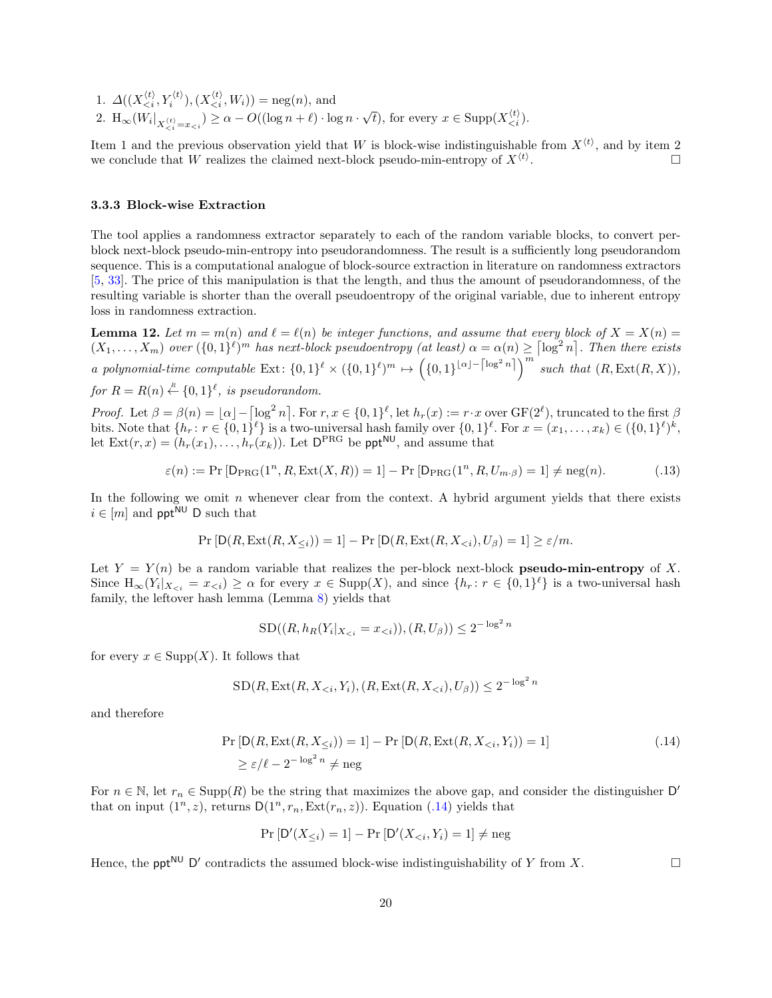1.  $\Delta((X_{\leq i}^{\langle t \rangle}, Y_i^{\langle t \rangle}), (X_{\leq i}^{\langle t \rangle}, W_i)) = \text{neg}(n)$ , and 2.  $H_{\infty}(W_i|_{X_{\leq i}^{(t)}=x_{\leq i}}) \geq \alpha - O((\log n + \ell) \cdot \log n \cdot$ √  $\overline{t}$ ), for every  $x \in \text{Supp}(X_{\leq i}^{\langle t \rangle}).$ 

Item 1 and the previous observation yield that W is block-wise indistinguishable from  $X^{(t)}$ , and by item 2 we conclude that W realizes the claimed next-block pseudo-min-entropy of  $X^{\langle t \rangle}$ . .

#### 3.3.3 Block-wise Extraction

The tool applies a randomness extractor separately to each of the random variable blocks, to convert perblock next-block pseudo-min-entropy into pseudorandomness. The result is a sufficiently long pseudorandom sequence. This is a computational analogue of block-source extraction in literature on randomness extractors [\[5,](#page-46-16) [33\]](#page-47-9). The price of this manipulation is that the length, and thus the amount of pseudorandomness, of the resulting variable is shorter than the overall pseudoentropy of the original variable, due to inherent entropy loss in randomness extraction.

<span id="page-22-2"></span>**Lemma 12.** Let  $m = m(n)$  and  $\ell = \ell(n)$  be integer functions, and assume that every block of  $X = X(n)$  $(X_1,\ldots,X_m)$  over  $(\{0,1\}^{\ell})^m$  has next-block pseudoentropy (at least)  $\alpha = \alpha(n) \geq \lceil \log^2 n \rceil$ . Then there exists a polynomial-time computable  $\text{Ext}: \{0,1\}^{\ell} \times (\{0,1\}^{\ell})^m \mapsto (\{0,1\}^{[\alpha]-[\log^2 n]})^m$  such that  $(R, \text{Ext}(R, X)),$ for  $R = R(n) \stackrel{R}{\leftarrow} \{0,1\}^{\ell}$ , is pseudorandom.

Proof. Let  $\beta = \beta(n) = \lfloor \alpha \rfloor - \lceil \log^2 n \rceil$ . For  $r, x \in \{0, 1\}^{\ell}$ , let  $h_r(x) := r \cdot x$  over  $GF(2^{\ell})$ , truncated to the first  $\beta$ bits. Note that  $\{h_r: r \in \{0,1\}^{\ell}\}\$ is a two-universal hash family over  $\{0,1\}^{\ell}$ . For  $x=(x_1,\ldots,x_k) \in (\{0,1\}^{\ell})^k$ , let  $\text{Ext}(r, x) = (h_r(x_1), \dots, h_r(x_k))$ . Let  $\mathsf{D}^{\text{PRG}}$  be  $\mathsf{ppt}^{\text{NU}}$ , and assume that

$$
\varepsilon(n) := \Pr\left[\mathsf{D}_{\mathrm{PRG}}(1^n, R, \mathrm{Ext}(X, R)) = 1\right] - \Pr\left[\mathsf{D}_{\mathrm{PRG}}(1^n, R, U_{m\cdot\beta}) = 1\right] \neq \mathrm{neg}(n). \tag{13}
$$

In the following we omit  $n$  whenever clear from the context. A hybrid argument yields that there exists  $i \in [m]$  and ppt<sup>NU</sup> D such that

$$
\Pr[D(R, \text{Ext}(R, X_{\leq i})) = 1] - \Pr[D(R, \text{Ext}(R, X_{\leq i}), U_{\beta}) = 1] \geq \varepsilon/m.
$$

Let  $Y = Y(n)$  be a random variable that realizes the per-block next-block **pseudo-min-entropy** of X. Since  $H_{\infty}(Y_i|_{X_{\leq i}} = x_{\leq i}) \geq \alpha$  for every  $x \in \text{Supp}(X)$ , and since  $\{h_r : r \in \{0,1\}^{\ell}\}\$  is a two-universal hash family, the leftover hash lemma (Lemma [8\)](#page-12-2) yields that

$$
SD((R, h_R(Y_i | X_{< i} = x_{< i})), (R, U_\beta)) \leq 2^{-\log^2 n}
$$

for every  $x \in \text{Supp}(X)$ . It follows that

$$
SD(R, Ext(R, X_{\leq i}, Y_i), (R, Ext(R, X_{\leq i}), U_\beta)) \leq 2^{-\log^2 n}
$$

and therefore

$$
\Pr\left[\mathsf{D}(R, \mathrm{Ext}(R, X_{\leq i})) = 1\right] - \Pr\left[\mathsf{D}(R, \mathrm{Ext}(R, X_{< i}, Y_i)) = 1\right]
$$
\n
$$
\geq \varepsilon/\ell - 2^{-\log^2 n} \neq \text{neg}
$$
\n(.14)

For  $n \in \mathbb{N}$ , let  $r_n \in \text{Supp}(R)$  be the string that maximizes the above gap, and consider the distinguisher D' that on input  $(1^n, z)$ , returns  $D(1^n, r_n, Ext(r_n, z))$ . Equation [\(.14\)](#page-22-1) yields that

<span id="page-22-1"></span>
$$
Pr[D'(X_{\leq i}) = 1] - Pr[D'(X_{\leq i}, Y_i) = 1] \neq neg
$$

<span id="page-22-0"></span>Hence, the ppt<sup>NU</sup> D' contradicts the assumed block-wise indistinguishability of Y from X.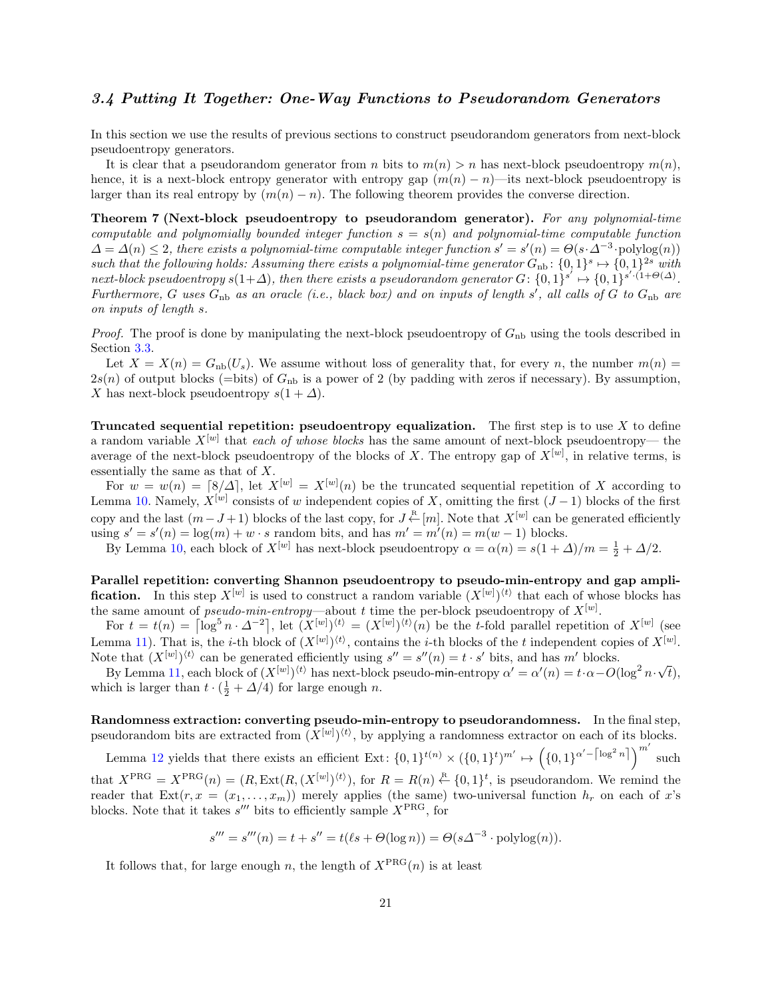## 3.4 Putting It Together: One-Way Functions to Pseudorandom Generators

In this section we use the results of previous sections to construct pseudorandom generators from next-block pseudoentropy generators.

It is clear that a pseudorandom generator from n bits to  $m(n) > n$  has next-block pseudoentropy  $m(n)$ , hence, it is a next-block entropy generator with entropy gap  $(m(n) - n)$ —its next-block pseudoentropy is larger than its real entropy by  $(m(n) - n)$ . The following theorem provides the converse direction.

<span id="page-23-0"></span>Theorem 7 (Next-block pseudoentropy to pseudorandom generator). For any polynomial-time computable and polynomially bounded integer function  $s = s(n)$  and polynomial-time computable function  $\Delta = \Delta(n) \leq 2$ , there exists a polynomial-time computable integer function  $s' = s'(n) = \Theta(s \cdot \Delta^{-3} \cdot \text{polylog}(n))$ such that the following holds: Assuming there exists a polynomial-time generator  $G_{\rm nb}$ :  $\{0,1\}^s \mapsto \{0,1\}^{2s}$  with next-block pseudoentropy  $s(1+\Delta)$ , then there exists a pseudorandom generator  $G: \{0,1\}^{s'} \mapsto \{0,1\}^{s' \cdot (1+\Theta(\Delta))}$ . Furthermore, G uses  $G_{\rm nb}$  as an oracle (i.e., black box) and on inputs of length s', all calls of G to  $G_{\rm nb}$  are on inputs of length s.

*Proof.* The proof is done by manipulating the next-block pseudoentropy of  $G<sub>nb</sub>$  using the tools described in Section [3.3.](#page-19-0)

Let  $X = X(n) = G_{\text{nb}}(U_s)$ . We assume without loss of generality that, for every n, the number  $m(n)$  $2s(n)$  of output blocks (=bits) of  $G_{\rm nb}$  is a power of 2 (by padding with zeros if necessary). By assumption, X has next-block pseudoentropy  $s(1 + \Delta)$ .

**Truncated sequential repetition: pseudoentropy equalization.** The first step is to use  $X$  to define a random variable  $X^{[w]}$  that *each of whose blocks* has the same amount of next-block pseudoentropy— the average of the next-block pseudoentropy of the blocks of X. The entropy gap of  $X^{[w]}$ , in relative terms, is essentially the same as that of X.

For  $w = w(n) = \lfloor 8/\Delta \rfloor$ , let  $X^{[w]} = X^{[w]}(n)$  be the truncated sequential repetition of X according to Lemma [10.](#page-20-1) Namely,  $X^{[w]}$  consists of w independent copies of X, omitting the first  $(J-1)$  blocks of the first copy and the last  $(m-J+1)$  blocks of the last copy, for  $J \stackrel{\text{R}}{\leftarrow} [m]$ . Note that  $X^{[w]}$  can be generated efficiently using  $s' = s'(n) = \log(m) + w \cdot s$  random bits, and has  $m' = m'(n) = m(w - 1)$  blocks.

By Lemma [10,](#page-20-1) each block of  $X^{[w]}$  has next-block pseudoentropy  $\alpha = \alpha(n) = s(1 + \Delta)/m = \frac{1}{2} + \Delta/2$ .

Parallel repetition: converting Shannon pseudoentropy to pseudo-min-entropy and gap ampli**fication.** In this step  $X^{[w]}$  is used to construct a random variable  $(X^{[w]})^{(t)}$  that each of whose blocks has the same amount of *pseudo-min-entropy*—about t time the per-block pseudoentropy of  $X^{[w]}$ .

For  $t = t(n) = \lceil \log^5 n \cdot \Delta^{-2} \rceil$ , let  $(X^{[w]})^{\langle t \rangle} = (X^{[w]})^{\langle t \rangle}(n)$  be the t-fold parallel repetition of  $X^{[w]}$  (see Lemma [11\)](#page-21-0). That is, the *i*-th block of  $(X^{[w]})^{(t)}$ , contains the *i*-th blocks of the *t* independent copies of  $X^{[w]}$ . Note that  $(X^{[w]})^{(t)}$  can be generated efficiently using  $s'' = s''(n) = t \cdot s'$  bits, and has m' blocks. √

By Lemma [11,](#page-21-0) each block of  $(X^{[w]})^{(t)}$  has next-block pseudo-min-entropy  $\alpha' = \alpha'(n) = t \cdot \alpha - O(\log^2 n \cdot$  $(t),$ which is larger than  $t \cdot (\frac{1}{2} + \Delta/4)$  for large enough n.

Randomness extraction: converting pseudo-min-entropy to pseudorandomness. In the final step, pseudorandom bits are extracted from  $(X^{[w]})^{\langle t \rangle}$ , by applying a randomness extractor on each of its blocks.

Lemma [12](#page-22-2) yields that there exists an efficient Ext:  $\{0,1\}^{t(n)} \times (\{0,1\}^{t})^{m'} \mapsto (\{0,1\}^{\alpha'-\lceil \log^2 n \rceil})^{m'}$  such that  $X<sup>PRG</sup> = X<sup>PRG</sup>(n) = (R, Ext(R, (X<sup>[w]</sup>)<sup>(t)</sup>),$  for  $R = R(n) \stackrel{R}{\leftarrow} \{0,1\}^t$ , is pseudorandom. We remind the reader that  $Ext(r, x = (x_1, \ldots, x_m))$  merely applies (the same) two-universal function  $h_r$  on each of x's blocks. Note that it takes  $s^{\prime\prime\prime}$  bits to efficiently sample  $X<sup>PRG</sup>$ , for

$$
s''' = s'''(n) = t + s'' = t(\ell s + \Theta(\log n)) = \Theta(s\Delta^{-3}\cdot \mathrm{polylog}(n)).
$$

It follows that, for large enough n, the length of  $X<sup>PRG</sup>(n)$  is at least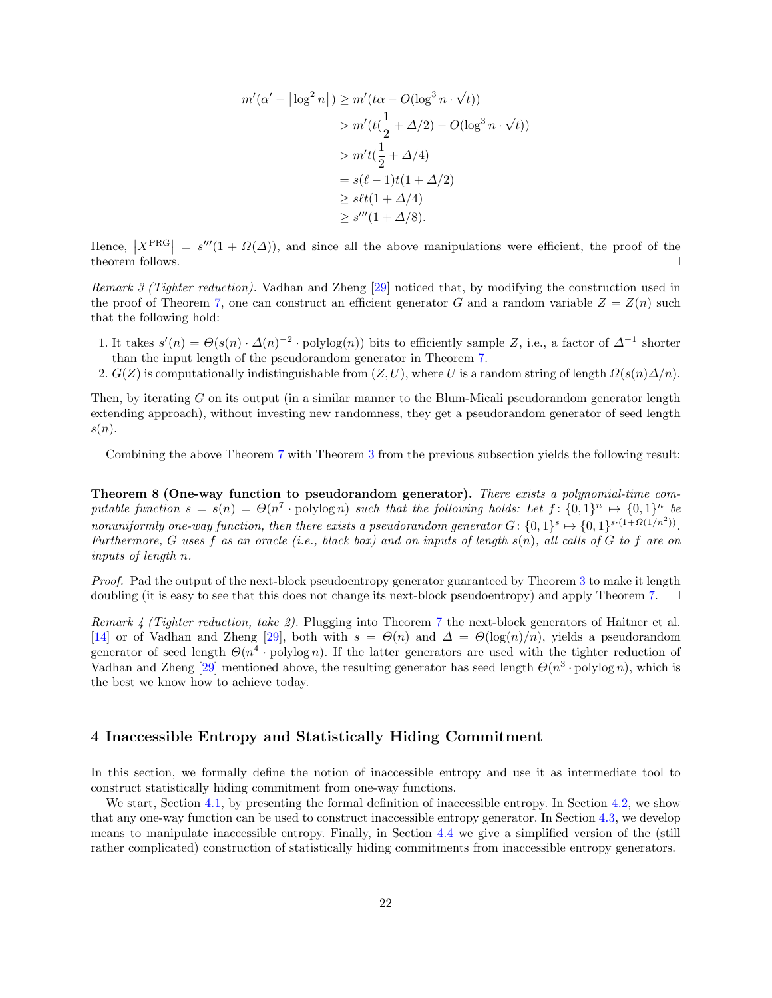$$
m'(\alpha' - \left\lceil \log^2 n \right\rceil) \ge m'(t\alpha - O(\log^3 n \cdot \sqrt{t}))
$$
  
\n
$$
> m'(t(\frac{1}{2} + \Delta/2) - O(\log^3 n \cdot \sqrt{t}))
$$
  
\n
$$
> m't(\frac{1}{2} + \Delta/4)
$$
  
\n
$$
= s(\ell - 1)t(1 + \Delta/2)
$$
  
\n
$$
\ge stt(1 + \Delta/4)
$$
  
\n
$$
\ge s'''(1 + \Delta/8).
$$

Hence,  $|X^{PRG}| = s'''(1 + \Omega(\Delta))$ , and since all the above manipulations were efficient, the proof of the theorem follows.  $\Box$ 

Remark 3 (Tighter reduction). Vadhan and Zheng [\[29\]](#page-47-4) noticed that, by modifying the construction used in the proof of Theorem [7,](#page-23-0) one can construct an efficient generator G and a random variable  $Z = Z(n)$  such that the following hold:

- 1. It takes  $s'(n) = \Theta(s(n) \cdot \Delta(n)^{-2} \cdot \text{polylog}(n))$  bits to efficiently sample Z, i.e., a factor of  $\Delta^{-1}$  shorter than the input length of the pseudorandom generator in Theorem [7.](#page-23-0)
- 2.  $G(Z)$  is computationally indistinguishable from  $(Z, U)$ , where U is a random string of length  $\Omega(s(n)\Delta/n)$ .

Then, by iterating G on its output (in a similar manner to the Blum-Micali pseudorandom generator length extending approach), without investing new randomness, they get a pseudorandom generator of seed length  $s(n).$ 

Combining the above Theorem [7](#page-23-0) with Theorem [3](#page-15-1) from the previous subsection yields the following result:

Theorem 8 (One-way function to pseudorandom generator). There exists a polynomial-time computable function  $s = s(n) = \Theta(n^7 \cdot \text{polylog } n)$  such that the following holds: Let  $f: \{0,1\}^n \mapsto \{0,1\}^n$  be nonuniformly one-way function, then there exists a pseudorandom generator  $G: \{0,1\}^s \mapsto \{0,1\}^{s \cdot (1+\Omega(1/n^2))}$ . Furthermore, G uses f as an oracle (i.e., black box) and on inputs of length  $s(n)$ , all calls of G to f are on inputs of length n.

Proof. Pad the output of the next-block pseudoentropy generator guaranteed by Theorem [3](#page-15-1) to make it length doubling (it is easy to see that this does not change its next-block pseudoentropy) and apply Theorem [7.](#page-23-0)  $\Box$ 

Remark 4 (Tighter reduction, take 2). Plugging into Theorem [7](#page-23-0) the next-block generators of Haitner et al. [\[14\]](#page-46-2) or of Vadhan and Zheng [\[29\]](#page-47-4), both with  $s = \Theta(n)$  and  $\Delta = \Theta(\log(n)/n)$ , yields a pseudorandom generator of seed length  $\Theta(n^4 \cdot \text{polylog } n)$ . If the latter generators are used with the tighter reduction of Vadhan and Zheng [\[29\]](#page-47-4) mentioned above, the resulting generator has seed length  $\Theta(n^3 \cdot \text{polylog } n)$ , which is the best we know how to achieve today.

#### <span id="page-24-0"></span>4 Inaccessible Entropy and Statistically Hiding Commitment

In this section, we formally define the notion of inaccessible entropy and use it as intermediate tool to construct statistically hiding commitment from one-way functions.

<span id="page-24-1"></span>We start, Section [4.1,](#page-24-1) by presenting the formal definition of inaccessible entropy. In Section [4.2,](#page-27-0) we show that any one-way function can be used to construct inaccessible entropy generator. In Section [4.3,](#page-31-0) we develop means to manipulate inaccessible entropy. Finally, in Section [4.4](#page-35-0) we give a simplified version of the (still rather complicated) construction of statistically hiding commitments from inaccessible entropy generators.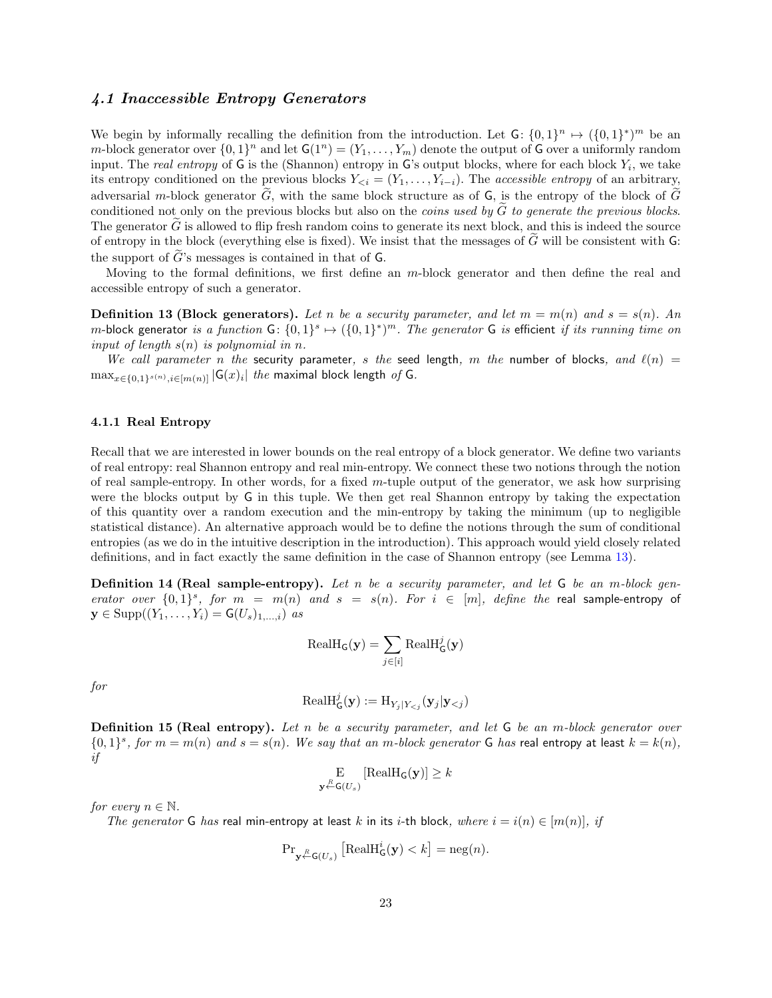## 4.1 Inaccessible Entropy Generators

We begin by informally recalling the definition from the introduction. Let  $G: \{0,1\}^n \mapsto (\{0,1\}^*)^m$  be an m-block generator over  $\{0,1\}^n$  and let  $\mathsf{G}(1^n) = (Y_1,\ldots,Y_m)$  denote the output of G over a uniformly random input. The real entropy of  $G$  is the (Shannon) entropy in  $G$ 's output blocks, where for each block  $Y_i$ , we take its entropy conditioned on the previous blocks  $Y_{\leq i} = (Y_1, \ldots, Y_{i-i})$ . The *accessible entropy* of an arbitrary, adversarial m-block generator  $\tilde{G}$ , with the same block structure as of G, is the entropy of the block of  $\tilde{G}$ conditioned not only on the previous blocks but also on the *coins used by G to generate the previous blocks*. The generator  $G$  is allowed to flip fresh random coins to generate its next block, and this is indeed the source of entropy in the block (everything else is fixed). We insist that the messages of  $\tilde{G}$  will be consistent with G: the support of  $\tilde{G}$ 's messages is contained in that of G.

Moving to the formal definitions, we first define an  $m$ -block generator and then define the real and accessible entropy of such a generator.

<span id="page-25-0"></span>**Definition 13 (Block generators).** Let n be a security parameter, and let  $m = m(n)$  and  $s = s(n)$ . An m-block generator is a function  $G: \{0,1\}^s \mapsto (\{0,1\}^*)^m$ . The generator G is efficient if its running time on input of length  $s(n)$  is polynomial in n.

We call parameter n the security parameter, s the seed length, m the number of blocks, and  $\ell(n) =$  $\max_{x \in \{0,1\}^{s(n)}, i \in [m(n)]} |\mathsf{G}(x)_i|$  the maximal block length of  $\mathsf{G}.$ 

#### 4.1.1 Real Entropy

Recall that we are interested in lower bounds on the real entropy of a block generator. We define two variants of real entropy: real Shannon entropy and real min-entropy. We connect these two notions through the notion of real sample-entropy. In other words, for a fixed m-tuple output of the generator, we ask how surprising were the blocks output by G in this tuple. We then get real Shannon entropy by taking the expectation of this quantity over a random execution and the min-entropy by taking the minimum (up to negligible statistical distance). An alternative approach would be to define the notions through the sum of conditional entropies (as we do in the intuitive description in the introduction). This approach would yield closely related definitions, and in fact exactly the same definition in the case of Shannon entropy (see Lemma [13\)](#page-26-0).

Definition 14 (Real sample-entropy). Let n be a security parameter, and let G be an m-block generator over  $\{0,1\}^s$ , for  $m = m(n)$  and  $s = s(n)$ . For  $i \in [m]$ , define the real sample-entropy of  $y \in \text{Supp}((Y_1, ..., Y_i) = G(U_s)_{1,...,i})$  as

$$
\text{RealH}_{\sf G}(\textbf{y}) = \sum_{j \in [i]} \text{RealH}^{j}_{\sf G}(\textbf{y})
$$

for

$$
\text{RealH}_{\mathsf{G}}^j(\mathbf{y}) := \text{H}_{Y_j|Y_{
$$

**Definition 15 (Real entropy).** Let n be a security parameter, and let  $G$  be an m-block generator over  $\{0,1\}^s$ , for  $m = m(n)$  and  $s = s(n)$ . We say that an m-block generator G has real entropy at least  $k = k(n)$ , if

$$
\underset{\mathbf{y} \leftarrow \mathsf{G}(U_s)}{\mathrm{E}}\left[\mathrm{RealH}_{\mathsf{G}}(\mathbf{y})\right] \geq k
$$

for every  $n \in \mathbb{N}$ .

The generator G has real min-entropy at least k in its i-th block, where  $i = i(n) \in [m(n)]$ , if

$$
\mathrm{Pr}_{\mathbf{y} \leftarrow \mathbf{G}(U_s)} \left[ \mathrm{RealH}_{\mathbf{G}}^i(\mathbf{y}) < k \right] = \mathrm{neg}(n).
$$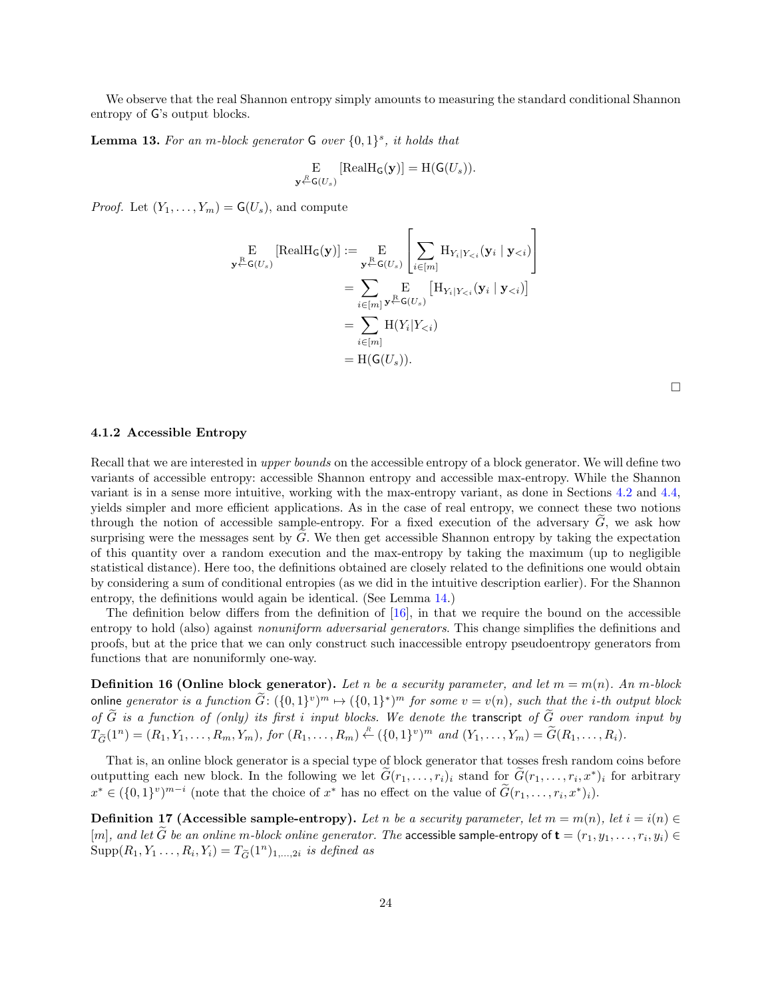We observe that the real Shannon entropy simply amounts to measuring the standard conditional Shannon entropy of G's output blocks.

<span id="page-26-0"></span>**Lemma 13.** For an m-block generator  $\mathsf{G}$  over  $\{0,1\}^s$ , it holds that

$$
\underset{\mathbf{y} \stackrel{R}{\leftarrow} \mathsf{G}(U_s)}{\mathbf{E}} \left[ \text{RealH}_{\mathsf{G}}(\mathbf{y}) \right] = \mathbf{H}(\mathsf{G}(U_s)).
$$

*Proof.* Let  $(Y_1, \ldots, Y_m) = \mathsf{G}(U_s)$ , and compute

$$
\begin{aligned} \mathbf{E} &= [\text{RealH}_{\mathsf{G}}(\mathbf{y})] := \mathbf{E} \\ & \mathbf{y}^{\mathsf{R}} \mathsf{G}(U_s) \end{aligned} \left[ \sum_{i \in [m]} \mathbf{H}_{Y_i|Y_{< i}}(\mathbf{y}_i \mid \mathbf{y}_{< i}) \right] \\ &= \sum_{i \in [m]} \mathbf{E} \left[ \mathbf{H}_{Y_i|Y_{< i}}(\mathbf{y}_i \mid \mathbf{y}_{< i}) \right] \\ &= \sum_{i \in [m]} \mathbf{H}(Y_i|Y_{< i}) \\ &= \mathbf{H}(G(U_s)).
$$

#### 4.1.2 Accessible Entropy

Recall that we are interested in upper bounds on the accessible entropy of a block generator. We will define two variants of accessible entropy: accessible Shannon entropy and accessible max-entropy. While the Shannon variant is in a sense more intuitive, working with the max-entropy variant, as done in Sections [4.2](#page-27-0) and [4.4,](#page-35-0) yields simpler and more efficient applications. As in the case of real entropy, we connect these two notions through the notion of accessible sample-entropy. For a fixed execution of the adversary  $G$ , we ask how surprising were the messages sent by  $G$ . We then get accessible Shannon entropy by taking the expectation of this quantity over a random execution and the max-entropy by taking the maximum (up to negligible statistical distance). Here too, the definitions obtained are closely related to the definitions one would obtain by considering a sum of conditional entropies (as we did in the intuitive description earlier). For the Shannon entropy, the definitions would again be identical. (See Lemma [14.](#page-27-1))

The definition below differs from the definition of [\[16\]](#page-46-14), in that we require the bound on the accessible entropy to hold (also) against *nonuniform adversarial generators*. This change simplifies the definitions and proofs, but at the price that we can only construct such inaccessible entropy pseudoentropy generators from functions that are nonuniformly one-way.

**Definition 16 (Online block generator).** Let n be a security parameter, and let  $m = m(n)$ . An m-block online generator is a function  $\tilde{G}$ :  $(\{0,1\}^v)^m \mapsto (\{0,1\}^*)^m$  for some  $v = v(n)$ , such that the *i*-th output block of G is a function of (only) its first i input blocks. We denote the transcript of G over random input by  $T_{\widetilde{G}}(1^n) = (R_1, Y_1, \ldots, R_m, Y_m)$ , for  $(R_1, \ldots, R_m) \stackrel{R}{\leftarrow} (\{0, 1\}^v)^m$  and  $(Y_1, \ldots, Y_m) = \widetilde{G}(R_1, \ldots, R_i)$ .

That is, an online block generator is a special type of block generator that tosses fresh random coins before outputting each new block. In the following we let  $\tilde{G}(r_1,\ldots,r_i)$  stand for  $\tilde{G}(r_1,\ldots,r_i,x^*)$  for arbitrary  $x^* \in (\{0,1\}^v)^{m-i}$  (note that the choice of  $x^*$  has no effect on the value of  $\tilde{G}(r_1,\ldots,r_i,x^*)_i$ ).

Definition 17 (Accessible sample-entropy). Let n be a security parameter, let  $m = m(n)$ , let  $i = i(n) \in$  $[m]$ , and let G be an online m-block online generator. The accessible sample-entropy of  $\mathbf{t} = (r_1, y_1, \dots, r_i, y_i) \in$  $\text{Supp}(R_1, Y_1 \ldots, R_i, Y_i) = T_{\widetilde{G}}(1^n)_{1,\ldots,2i}$  is defined as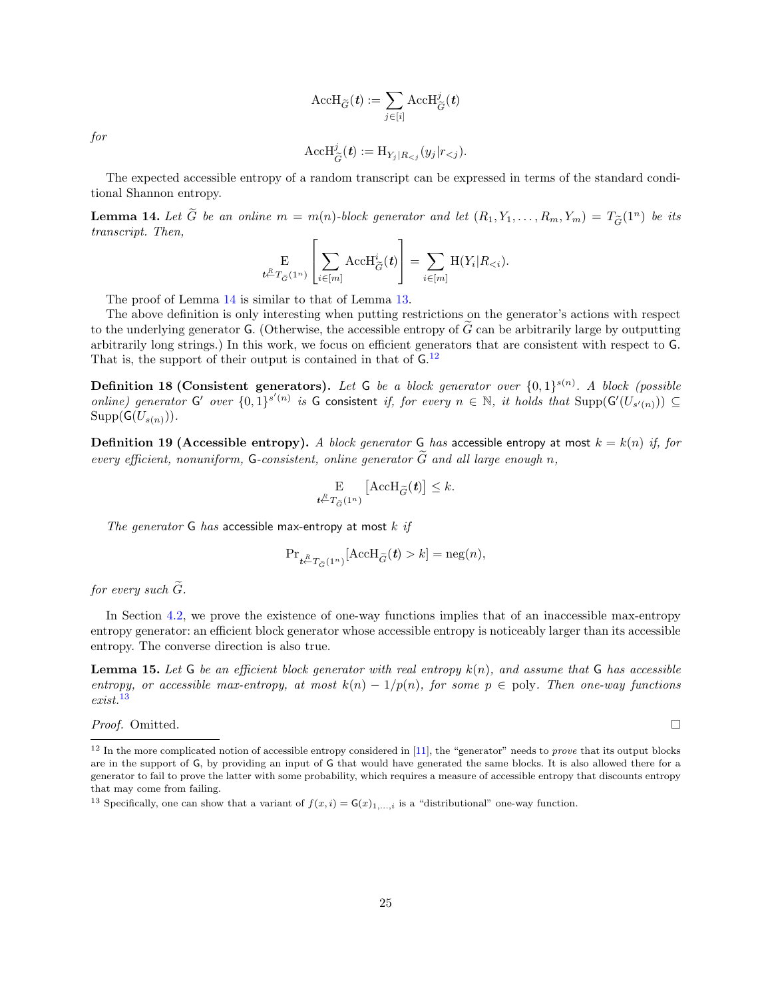$$
\mathrm{AccH}_{\widetilde{G}}({\boldsymbol t}) := \sum_{j \in [i]} \mathrm{AccH}^j_{\widetilde{G}}({\boldsymbol t})
$$

for

$$
\mathrm{AccH}_{\widetilde{G}}^j(\boldsymbol{t}) := \mathrm{H}_{Y_j|R_{< j}}(y_j|r_{< j}).
$$

The expected accessible entropy of a random transcript can be expressed in terms of the standard conditional Shannon entropy.

**Lemma 14.** Let  $\tilde{G}$  be an online  $m = m(n)$ -block generator and let  $(R_1, Y_1, \ldots, R_m, Y_m) = T_{\tilde{G}}(1^n)$  be its transcript. Then,

<span id="page-27-1"></span>
$$
\underset{\boldsymbol{t}\in T_{\widetilde{G}}(1^n)}{\mathbb{E}}\left[\sum_{i\in[m]} \mathrm{AccH}_{\widetilde{G}}^i(\boldsymbol{t})\right] = \sum_{i\in[m]} \mathrm{H}(Y_i|R_{< i}).
$$

The proof of Lemma [14](#page-27-1) is similar to that of Lemma [13.](#page-26-0)

The above definition is only interesting when putting restrictions on the generator's actions with respect to the underlying generator  $\mathsf{G}$ . (Otherwise, the accessible entropy of G can be arbitrarily large by outputting arbitrarily long strings.) In this work, we focus on efficient generators that are consistent with respect to G. That is, the support of their output is contained in that of  $\mathsf{G}^{12}$  $\mathsf{G}^{12}$  $\mathsf{G}^{12}$ 

**Definition 18 (Consistent generators).** Let G be a block generator over  $\{0,1\}^{s(n)}$ . A block (possible online) generator G' over  $\{0,1\}^{s'(n)}$  is G consistent if, for every  $n \in \mathbb{N}$ , it holds that  $\text{Supp}(G'(U_{s'(n)})) \subseteq$  $\text{Supp}(\mathsf{G}(U_{s(n)})).$ 

**Definition 19 (Accessible entropy).** A block generator G has accessible entropy at most  $k = k(n)$  if, for every efficient, nonuniform, G-consistent, online generator  $\tilde{G}$  and all large enough n,

$$
\mathop{\mathrm{E}}_{t \leftarrow T_{\widetilde{G}}(1^n)} \left[ \mathrm{AccH}_{\widetilde{G}}(\boldsymbol{t}) \right] \leq k.
$$

The generator G has accessible max-entropy at most  $k$  if

<span id="page-27-4"></span>
$$
\mathrm{Pr}_{t \stackrel{R}{\leftarrow} T_{\widetilde{G}}(1^n)}[\mathrm{AccH}_{\widetilde{G}}(t) > k] = \mathrm{neg}(n),
$$

for every such  $\tilde{G}$ .

In Section [4.2,](#page-27-0) we prove the existence of one-way functions implies that of an inaccessible max-entropy entropy generator: an efficient block generator whose accessible entropy is noticeably larger than its accessible entropy. The converse direction is also true.

**Lemma 15.** Let G be an efficient block generator with real entropy  $k(n)$ , and assume that G has accessible entropy, or accessible max-entropy, at most  $k(n) - 1/p(n)$ , for some  $p \in \text{poly}$ . Then one-way functions  $exist.$ <sup>[13](#page-27-3)</sup>

#### Proof. Omitted. □

<span id="page-27-2"></span><span id="page-27-0"></span> $12$  In the more complicated notion of accessible entropy considered in [\[11\]](#page-46-3), the "generator" needs to *prove* that its output blocks are in the support of G, by providing an input of G that would have generated the same blocks. It is also allowed there for a generator to fail to prove the latter with some probability, which requires a measure of accessible entropy that discounts entropy that may come from failing.

<span id="page-27-3"></span><sup>&</sup>lt;sup>13</sup> Specifically, one can show that a variant of  $f(x, i) = G(x)_{1,...,i}$  is a "distributional" one-way function.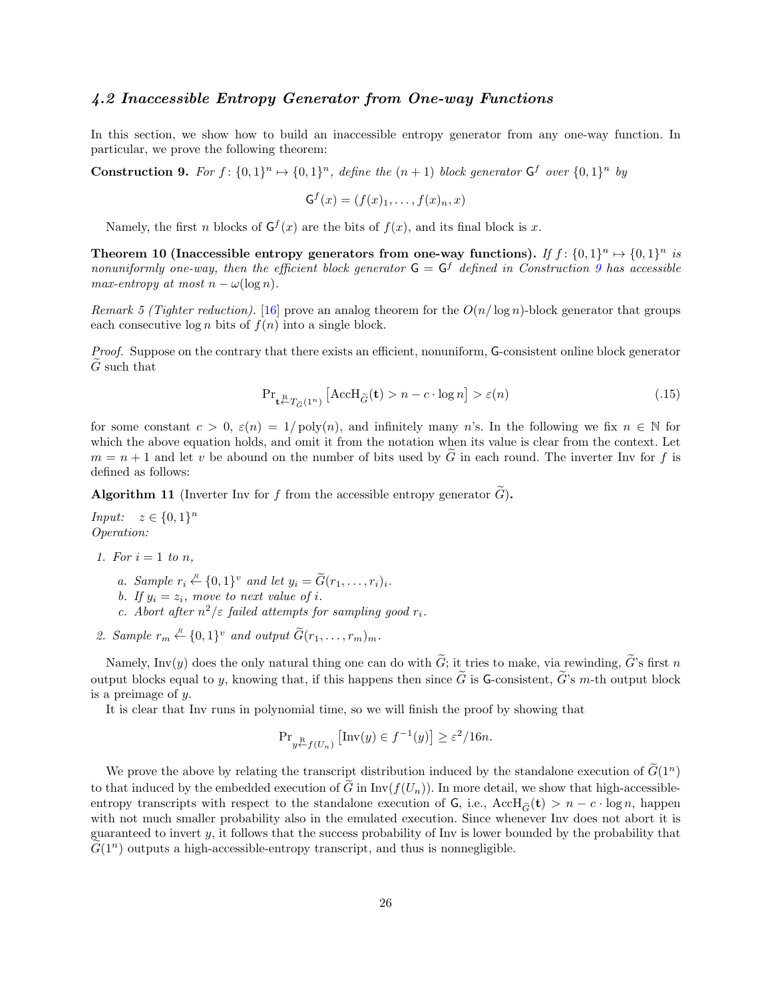## 4.2 Inaccessible Entropy Generator from One-way Functions

In this section, we show how to build an inaccessible entropy generator from any one-way function. In particular, we prove the following theorem:

<span id="page-28-0"></span>**Construction 9.** For  $f: \{0,1\}^n \mapsto \{0,1\}^n$ , define the  $(n+1)$  block generator  $\mathsf{G}^f$  over  $\{0,1\}^n$  by

$$
\mathsf{G}^f(x) = (f(x)_1, \ldots, f(x)_n, x)
$$

Namely, the first *n* blocks of  $G^f(x)$  are the bits of  $f(x)$ , and its final block is x.

<span id="page-28-1"></span>Theorem 10 (Inaccessible entropy generators from one-way functions). If  $f: \{0,1\}^n \mapsto \{0,1\}^n$  is nonuniformly one-way, then the efficient block generator  $G = G^f$  defined in Construction [9](#page-28-0) has accessible max-entropy at most  $n - \omega(\log n)$ .

<span id="page-28-2"></span>Remark 5 (Tighter reduction). [\[16\]](#page-46-14) prove an analog theorem for the  $O(n/\log n)$ -block generator that groups each consecutive  $\log n$  bits of  $f(n)$  into a single block.

Proof. Suppose on the contrary that there exists an efficient, nonuniform, G-consistent online block generator  $\tilde{G}$  such that

$$
\Pr_{\mathbf{t}_{\mathcal{L}} \to T_{\widetilde{G}}(1^n)} \left[ \text{AccH}_{\widetilde{G}}(\mathbf{t}) > n - c \cdot \log n \right] > \varepsilon(n) \tag{.15}
$$

for some constant  $c > 0$ ,  $\varepsilon(n) = 1/\text{poly}(n)$ , and infinitely many n's. In the following we fix  $n \in \mathbb{N}$  for which the above equation holds, and omit it from the notation when its value is clear from the context. Let  $m = n + 1$  and let v be abound on the number of bits used by  $\tilde{G}$  in each round. The inverter Inv for f is defined as follows:

**Algorithm 11** (Inverter Inv for f from the accessible entropy generator  $\tilde{G}$ ).

*Input:*  $z \in \{0,1\}^n$ Operation:

- 1. For  $i=1$  to n.
	- a. Sample  $r_i \stackrel{R}{\leftarrow} \{0,1\}^v$  and let  $y_i = \widetilde{G}(r_1, \ldots, r_i)_i$ .
	- b. If  $y_i = z_i$ , move to next value of i.
	- c. Abort after  $n^2/\varepsilon$  failed attempts for sampling good  $r_i$ .
- 2. Sample  $r_m \stackrel{R}{\leftarrow} \{0,1\}^v$  and output  $\widetilde{G}(r_1,\ldots,r_m)_m$ .

Namely, Inv(y) does the only natural thing one can do with  $\tilde{G}$ ; it tries to make, via rewinding,  $\tilde{G}'$ 's first n output blocks equal to y, knowing that, if this happens then since  $\tilde{G}$  is G-consistent,  $\tilde{G}$ 's m-th output block is a preimage of y.

It is clear that Inv runs in polynomial time, so we will finish the proof by showing that

$$
\mathrm{Pr}_{y \leftarrow f(U_n)} \left[ \mathrm{Inv}(y) \in f^{-1}(y) \right] \ge \varepsilon^2 / 16n.
$$

We prove the above by relating the transcript distribution induced by the standalone execution of  $\tilde{G}(1^n)$ to that induced by the embedded execution of  $\tilde{G}$  in Inv( $f(U_n)$ ). In more detail, we show that high-accessibleentropy transcripts with respect to the standalone execution of G, i.e., AccH<sub> $\tilde{c}$ </sub>(t) > n – c · log n, happen with not much smaller probability also in the emulated execution. Since whenever Inv does not abort it is guaranteed to invert  $y$ , it follows that the success probability of Inv is lower bounded by the probability that  $G(1^n)$  outputs a high-accessible-entropy transcript, and thus is nonnegligible.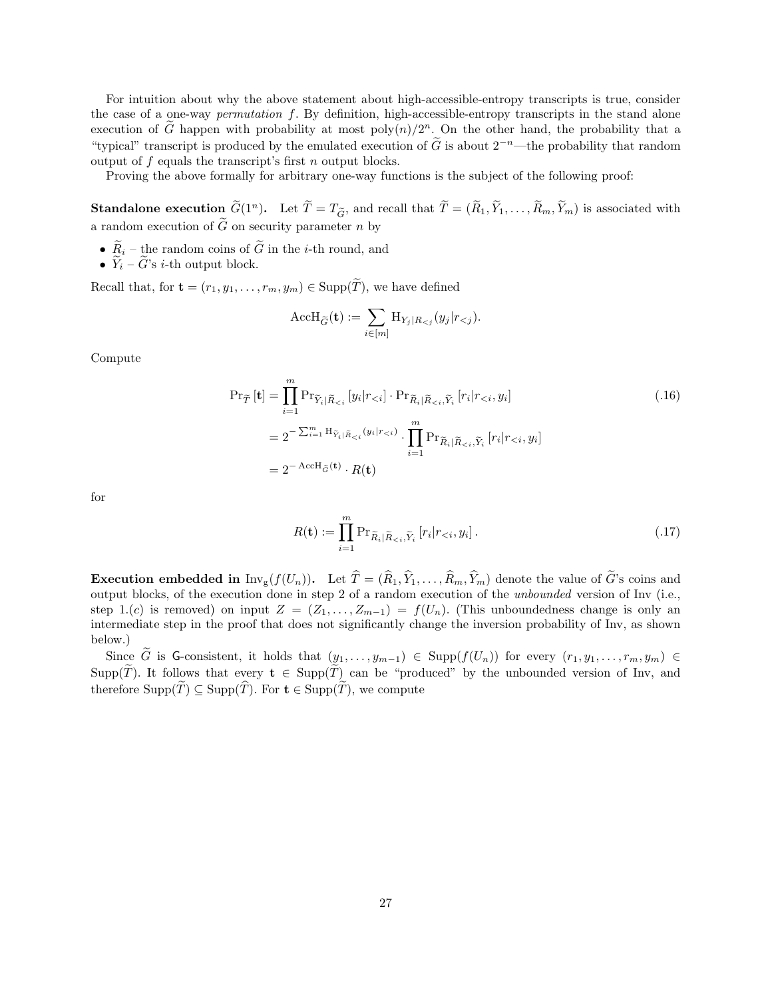For intuition about why the above statement about high-accessible-entropy transcripts is true, consider the case of a one-way *permutation*  $f$ . By definition, high-accessible-entropy transcripts in the stand alone execution of  $\tilde{G}$  happen with probability at most  $\text{poly}(n)/2^n$ . On the other hand, the probability that a "typical" transcript is produced by the emulated execution of  $\tilde{G}$  is about 2<sup>-n</sup>—the probability that random output of  $f$  equals the transcript's first  $n$  output blocks.

Proving the above formally for arbitrary one-way functions is the subject of the following proof:

**Standalone execution**  $\widetilde{G}(1^n)$ . Let  $\widetilde{T} = T_{\widetilde{G}}$ , and recall that  $\widetilde{T} = (\widetilde{R}_1, \widetilde{Y}_1, \ldots, \widetilde{R}_m, \widetilde{Y}_m)$  is associated with a random execution of  $\widetilde{G}$  on security parameter  $n$  by

- $R_i$  the random coins of G in the *i*-th round, and
- $Y_i$   $G$ 's *i*-th output block.

Recall that, for  $\mathbf{t} = (r_1, y_1, \dots, r_m, y_m) \in \text{Supp}(\widetilde{T})$ , we have defined

<span id="page-29-0"></span>
$$
\mathrm{AccH}_{\widetilde{G}}(\mathbf{t}) := \sum_{i \in [m]} \mathrm{H}_{Y_j|R_{
$$

Compute

$$
\Pr_{\widetilde{T}}\left[\mathbf{t}\right] = \prod_{i=1}^{m} \Pr_{\widetilde{Y}_{i}|\widetilde{R}_{\n
$$
= 2^{-\sum_{i=1}^{m} \mathcal{H}_{\widetilde{Y}_{i}|\widetilde{R}_{\n
$$
= 2^{-\text{AccH}_{\widetilde{G}}(\mathbf{t})} \cdot R(\mathbf{t}) \tag{16}
$$
$$
$$

for

$$
R(\mathbf{t}) := \prod_{i=1}^{m} \Pr_{\widetilde{R}_i | \widetilde{R}_{< i}, \widetilde{Y}_i} [r_i | r_{< i}, y_i]. \tag{.17}
$$

**Execution embedded in**  $\text{Inv}_{g}(f(U_n))$ . Let  $\hat{T} = (\hat{R}_1, \hat{Y}_1, \dots, \hat{R}_m, \hat{Y}_m)$  denote the value of  $\tilde{G}$ 's coins and output blocks, of the execution done in step 2 of a random execution of the unbounded version of Inv (i.e., step 1.(c) is removed) on input  $Z = (Z_1, \ldots, Z_{m-1}) = f(U_n)$ . (This unboundedness change is only an intermediate step in the proof that does not significantly change the inversion probability of Inv, as shown below.)

Since G is G-consistent, it holds that  $(y_1, \ldots, y_{m-1}) \in \text{Supp}(f(U_n))$  for every  $(r_1, y_1, \ldots, r_m, y_m) \in$ Supp $(\tilde{T})$ . It follows that every  $\mathbf{t} \in \text{Supp}(\tilde{T})$  can be "produced" by the unbounded version of Inv, and therefore  $\text{Supp}(\widetilde{T}) \subseteq \text{Supp}(\widehat{T})$ . For  $\mathbf{t} \in \text{Supp}(\widetilde{T})$ , we compute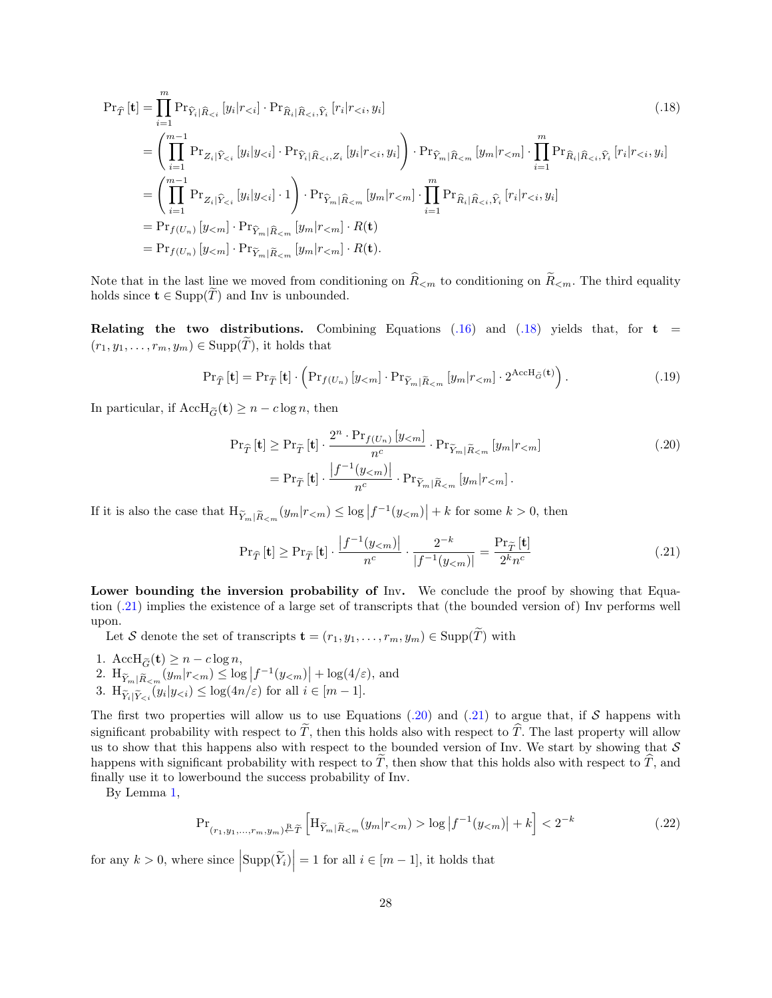$$
\Pr_{\widehat{T}}\left[\mathbf{t}\right] = \prod_{i=1}^{m} \Pr_{\widehat{Y}_{i}|\widehat{R}_{< i}}\left[y_{i}|r_{< i}\right] \cdot \Pr_{\widehat{R}_{i}|\widehat{R}_{< i},\widehat{Y}_{i}}\left[r_{i}|r_{< i}, y_{i}\right]
$$
\n
$$
= \left(\prod_{i=1}^{m-1} \Pr_{Z_{i}|\widehat{Y}_{< i}}\left[y_{i}|y_{< i}\right] \cdot \Pr_{\widehat{Y}_{i}|\widehat{R}_{< i}, Z_{i}}\left[y_{i}|r_{< i}, y_{i}\right]\right) \cdot \Pr_{\widehat{Y}_{m}|\widehat{R}_{< m}}\left[y_{m}|r_{< m}\right] \cdot \prod_{i=1}^{m} \Pr_{\widehat{R}_{i}|\widehat{R}_{< i},\widehat{Y}_{i}}\left[r_{i}|r_{< i}, y_{i}\right]
$$
\n
$$
= \left(\prod_{i=1}^{m-1} \Pr_{Z_{i}|\widehat{Y}_{< i}}\left[y_{i}|y_{< i}\right] \cdot 1\right) \cdot \Pr_{\widehat{Y}_{m}|\widehat{R}_{< m}}\left[y_{m}|r_{< m}\right] \cdot \prod_{i=1}^{m} \Pr_{\widehat{R}_{i}|\widehat{R}_{< i},\widehat{Y}_{i}}\left[r_{i}|r_{< i}, y_{i}\right]
$$
\n
$$
= \Pr_{f(U_{n})}\left[y_{< m}\right] \cdot \Pr_{\widehat{Y}_{m}|\widehat{R}_{< m}}\left[y_{m}|r_{< m}\right] \cdot R(\mathbf{t})
$$
\n
$$
= \Pr_{f(U_{n})}\left[y_{< m}\right] \cdot \Pr_{\widetilde{Y}_{m}|\widehat{R}_{< m}}\left[y_{m}|r_{< m}\right] \cdot R(\mathbf{t}).
$$
\n(18)

Note that in the last line we moved from conditioning on  $\hat{R}_{\leq m}$  to conditioning on  $\tilde{R}_{\leq m}$ . The third equality holds since  $\mathbf{t} \in \text{Supp}(T)$  and Inv is unbounded.

Relating the two distributions. Combining Equations [\(.16\)](#page-29-0) and [\(.18\)](#page-30-0) yields that, for  $t =$  $(r_1, y_1, \ldots, r_m, y_m) \in \text{Supp}(\tilde{T})$ , it holds that

<span id="page-30-0"></span>
$$
\Pr_{\widehat{T}}\left[\mathbf{t}\right] = \Pr_{\widetilde{T}}\left[\mathbf{t}\right] \cdot \left(\Pr_{f(U_n)}\left[y_{< m}\right] \cdot \Pr_{\widetilde{Y}_m|\widetilde{R}_{< m}}\left[y_m|r_{< m}\right] \cdot 2^{\text{AccH}_{\widetilde{G}}(\mathbf{t})}\right). \tag{.19}
$$

In particular, if  $\text{AccH}_{\tilde{G}}(\mathbf{t}) \geq n - c \log n$ , then

<span id="page-30-2"></span>
$$
\Pr_{\widehat{T}}\left[\mathbf{t}\right] \geq \Pr_{\widetilde{T}}\left[\mathbf{t}\right] \cdot \frac{2^n \cdot \Pr_{f(U_n)}\left[y_{\leq m}\right]}{n^c} \cdot \Pr_{\widetilde{Y}_m|\widetilde{R}_{\leq m}}\left[y_m|r_{\leq m}\right] \tag{20}
$$
\n
$$
= \Pr_{\widetilde{T}}\left[\mathbf{t}\right] \cdot \frac{\left|f^{-1}(y_{\leq m})\right|}{n^c} \cdot \Pr_{\widetilde{Y}_m|\widetilde{R}_{\leq m}}\left[y_m|r_{\leq m}\right].
$$

If it is also the case that  $H_{\widetilde{Y}_m|\widetilde{R}_{\leq m}}(y_m|r_{\leq m}) \leq \log |f^{-1}(y_{\leq m})| + k$  for some  $k > 0$ , then

<span id="page-30-1"></span>
$$
\Pr_{\widehat{T}}\left[\mathbf{t}\right] \geq \Pr_{\widetilde{T}}\left[\mathbf{t}\right] \cdot \frac{\left|f^{-1}(y_{< m})\right|}{n^c} \cdot \frac{2^{-k}}{\left|f^{-1}(y_{< m})\right|} = \frac{\Pr_{\widetilde{T}}\left[\mathbf{t}\right]}{2^k n^c} \tag{21}
$$

Lower bounding the inversion probability of Inv. We conclude the proof by showing that Equation [\(.21\)](#page-30-1) implies the existence of a large set of transcripts that (the bounded version of) Inv performs well upon.

Let S denote the set of transcripts  $\mathbf{t} = (r_1, y_1, \ldots, r_m, y_m) \in \text{Supp}(\tilde{T})$  with

- 1. AccH<sub> $\tilde{G}$ </sub>(t)  $\geq n c \log n$ ,
- 2.  $\text{H}_{\widetilde{Y}_m | \widetilde{R}_{\leq m}}(y_m | r_{\leq m}) \leq \log |f^{-1}(y_{\leq m})| + \log(4/\varepsilon)$ , and
- 3.  $H_{\widetilde{Y}_i|\widetilde{Y}_{< i}}(y_i|y_{< i}) \leq \log(4n/\varepsilon)$  for all  $i \in [m-1]$ .

The first two properties will allow us to use Equations  $(.20)$  and  $(.21)$  to argue that, if S happens with significant probability with respect to  $\tilde{T}$ , then this holds also with respect to  $\hat{T}$ . The last property will allow us to show that this happens also with respect to the bounded version of Inv. We start by showing that  $S$ happens with significant probability with respect to  $\tilde{T}$ , then show that this holds also with respect to  $\tilde{T}$ , and finally use it to lowerbound the success probability of Inv.

By Lemma [1,](#page-9-2)

<span id="page-30-3"></span>
$$
\Pr_{(r_1, y_1, \dots, r_m, y_m) \stackrel{R}{\leftarrow} \tilde{T}} \left[ H_{\tilde{Y}_m | \tilde{R}_{ \log |f^{-1}(y_{
$$

for any  $k > 0$ , where since  $|\text{Supp}(\widetilde{Y}_i)| = 1$  for all  $i \in [m-1]$ , it holds that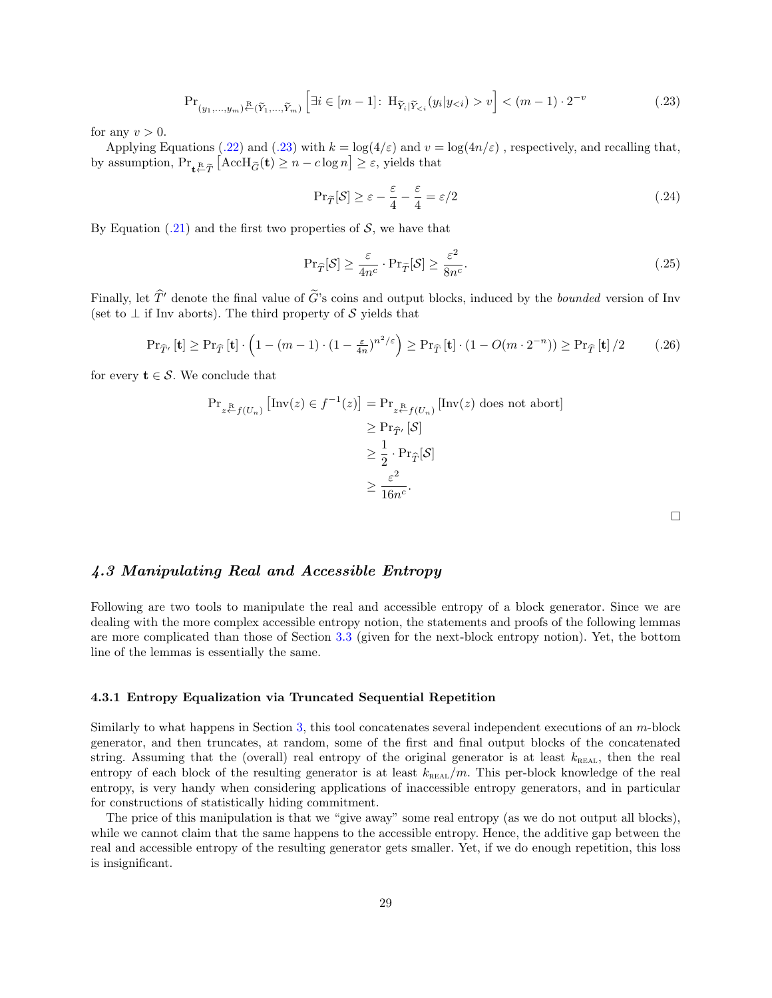$$
\Pr_{(y_1, \dots, y_m) \stackrel{R}{\leftarrow} (\tilde{Y}_1, \dots, \tilde{Y}_m)} \left[ \exists i \in [m-1] \colon \mathcal{H}_{\tilde{Y}_i | \tilde{Y}_{< i}}(y_i | y_{< i}) > v \right] < (m-1) \cdot 2^{-v} \tag{23}
$$

for any  $v > 0$ .

Applying Equations [\(.22\)](#page-30-3) and [\(.23\)](#page-31-1) with  $k = \log(4/\varepsilon)$  and  $v = \log(4n/\varepsilon)$ , respectively, and recalling that, by assumption,  $Pr_{\mathbf{t}, \mathbb{R}\tilde{T}}\left[\text{AccH}_{\tilde{G}}(\mathbf{t}) \geq n - c\log n\right] \geq \varepsilon$ , yields that

<span id="page-31-1"></span>
$$
\Pr_{\widetilde{T}}[\mathcal{S}] \ge \varepsilon - \frac{\varepsilon}{4} - \frac{\varepsilon}{4} = \varepsilon/2 \tag{.24}
$$

By Equation  $(.21)$  and the first two properties of S, we have that

$$
\Pr_{\widehat{T}}[\mathcal{S}] \ge \frac{\varepsilon}{4n^c} \cdot \Pr_{\widetilde{T}}[\mathcal{S}] \ge \frac{\varepsilon^2}{8n^c}.\tag{.25}
$$

Finally, let  $\hat{T}'$  denote the final value of  $\tilde{G}'s$  coins and output blocks, induced by the *bounded* version of Inv (set to  $\perp$  if Inv aborts). The third property of S yields that

$$
\Pr_{\hat{T}'}\left[\mathbf{t}\right] \ge \Pr_{\hat{T}}\left[\mathbf{t}\right] \cdot \left(1 - (m-1) \cdot \left(1 - \frac{\varepsilon}{4n}\right)^{n^2/\varepsilon}\right) \ge \Pr_{\hat{T}}\left[\mathbf{t}\right] \cdot \left(1 - O(m \cdot 2^{-n})\right) \ge \Pr_{\hat{T}}\left[\mathbf{t}\right] / 2 \tag{26}
$$

for every  $\mathbf{t} \in \mathcal{S}$ . We conclude that

$$
\begin{aligned} \Pr_{z \in f(U_n)} \left[ \text{Inv}(z) \in f^{-1}(z) \right] &= \Pr_{z \in f(U_n)} \left[ \text{Inv}(z) \text{ does not abort} \right] \\ &\ge \Pr_{\widehat{T}'} \left[ \mathcal{S} \right] \\ &\ge \frac{1}{2} \cdot \Pr_{\widehat{T}}[\mathcal{S}] \\ &\ge \frac{\varepsilon^2}{16n^c} .\end{aligned}
$$

## <span id="page-31-0"></span>4.3 Manipulating Real and Accessible Entropy

Following are two tools to manipulate the real and accessible entropy of a block generator. Since we are dealing with the more complex accessible entropy notion, the statements and proofs of the following lemmas are more complicated than those of Section [3.3](#page-19-0) (given for the next-block entropy notion). Yet, the bottom line of the lemmas is essentially the same.

#### 4.3.1 Entropy Equalization via Truncated Sequential Repetition

Similarly to what happens in Section [3,](#page-13-0) this tool concatenates several independent executions of an m-block generator, and then truncates, at random, some of the first and final output blocks of the concatenated string. Assuming that the (overall) real entropy of the original generator is at least  $k_{\text{REAL}}$ , then the real entropy of each block of the resulting generator is at least  $k_{\text{ReAL}}/m$ . This per-block knowledge of the real entropy, is very handy when considering applications of inaccessible entropy generators, and in particular for constructions of statistically hiding commitment.

<span id="page-31-2"></span>The price of this manipulation is that we "give away" some real entropy (as we do not output all blocks), while we cannot claim that the same happens to the accessible entropy. Hence, the additive gap between the real and accessible entropy of the resulting generator gets smaller. Yet, if we do enough repetition, this loss is insignificant.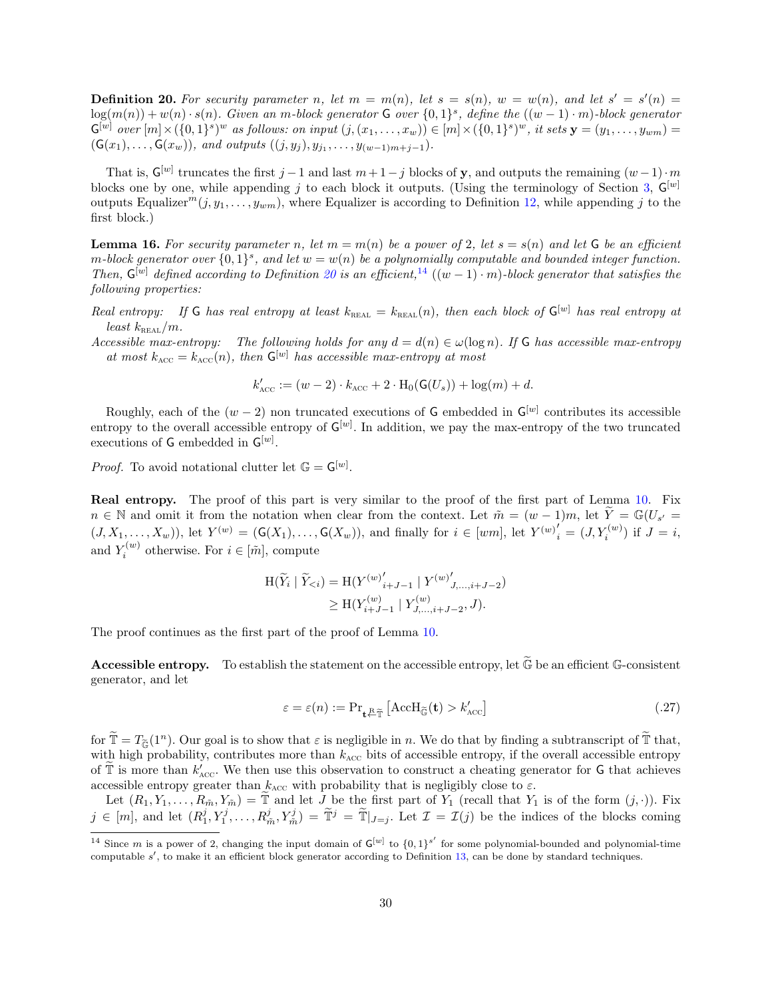**Definition 20.** For security parameter n, let  $m = m(n)$ , let  $s = s(n)$ ,  $w = w(n)$ , and let  $s' = s'(n) =$  $log(m(n)) + w(n) \cdot s(n)$ . Given an m-block generator G over  $\{0,1\}^s$ , define the  $((w-1) \cdot m)$ -block generator  $\mathsf{G}^{[w]}$  over  $[m]\times(\{0,1\}^s)^w$  as follows: on input  $(j,(x_1,\ldots,x_w))\in [m]\times(\{0,1\}^s)^w$ , it sets  $\mathbf{y}=(y_1,\ldots,y_{wm})=$  $(G(x_1),...,G(x_w)),$  and outputs  $((j,y_j),y_{j_1},...,y_{(w-1)m+j-1}).$ 

That is,  $\mathsf{G}^{[w]}$  truncates the first j – 1 and last  $m+1-j$  blocks of y, and outputs the remaining  $(w-1)\cdot m$ blocks one by one, while appending j to each block it outputs. (Using the terminology of Section [3,](#page-13-0)  $\mathsf{G}^{[w]}$ outputs Equalizer<sup>m</sup> $(j, y_1, \ldots, y_{wm})$ , where Equalizer is according to Definition [12,](#page-20-2) while appending j to the first block.)

<span id="page-32-1"></span>**Lemma 16.** For security parameter n, let  $m = m(n)$  be a power of 2, let  $s = s(n)$  and let G be an efficient m-block generator over  $\{0,1\}^s$ , and let  $w=w(n)$  be a polynomially computable and bounded integer function. Then,  $G^{[w]}$  defined according to Definition [20](#page-31-2) is an efficient,<sup>[14](#page-32-0)</sup> ((w - 1) · m)-block generator that satisfies the following properties:

Real entropy: If G has real entropy at least  $k_{\text{REAL}} = k_{\text{REAL}}(n)$ , then each block of  $\mathsf{G}^{[w]}$  has real entropy at least  $k_{\text{real}}/m$ .

Accessible max-entropy: The following holds for any  $d = d(n) \in \omega(\log n)$ . If G has accessible max-entropy at most  $k_{\text{ACC}} = k_{\text{ACC}}(n)$ , then  $\mathsf{G}^{[w]}$  has accessible max-entropy at most

$$
k'_{\text{ACC}} := (w - 2) \cdot k_{\text{ACC}} + 2 \cdot H_0(\mathsf{G}(U_s)) + \log(m) + d.
$$

Roughly, each of the  $(w-2)$  non truncated executions of G embedded in  $\mathsf{G}^{[w]}$  contributes its accessible entropy to the overall accessible entropy of  $\mathsf{G}^{[w]}$ . In addition, we pay the max-entropy of the two truncated executions of  $G$  embedded in  $G^{[w]}$ .

*Proof.* To avoid notational clutter let  $\mathbb{G} = \mathsf{G}^{[w]}$ .

Real entropy. The proof of this part is very similar to the proof of the first part of Lemma [10.](#page-20-1) Fix  $n \in \mathbb{N}$  and omit it from the notation when clear from the context. Let  $\tilde{m} = (w-1)m$ , let  $\tilde{Y} = \mathbb{G}(U_{s'} =$  $(J, X_1, \ldots, X_w)$ , let  $Y^{(w)} = (G(X_1), \ldots, G(X_w))$ , and finally for  $i \in [wm]$ , let  $Y^{(w)}'_{i} = (J, Y_i^{(w)})$  if  $J = i$ , and  $Y_i^{(w)}$  otherwise. For  $i \in [\tilde{m}]$ , compute

$$
\begin{aligned} \mathcal{H}(\widetilde{Y}_i \mid \widetilde{Y}_{
$$

The proof continues as the first part of the proof of Lemma [10.](#page-20-1)

**Accessible entropy.** To establish the statement on the accessible entropy, let  $\tilde{\mathbb{G}}$  be an efficient G-consistent generator, and let

$$
\varepsilon = \varepsilon(n) := \Pr_{\mathbf{t}, \mathcal{L} \tilde{\mathcal{T}}} \left[ \text{AccH}_{\tilde{\mathbb{G}}}(\mathbf{t}) > k_{\text{ACC}}' \right] \tag{.27}
$$

for  $\mathbb{T} = T_{\widetilde{\mathbb{G}}}(\mathbb{1}^n)$ . Our goal is to show that  $\varepsilon$  is negligible in n. We do that by finding a subtranscript of  $\widetilde{\mathbb{T}}$  that, with high probability, contributes more than  $k_{\text{ACC}}$  bits of accessible entropy, if the overall accessible entropy of  $\tilde{T}$  is more than  $k'_{\text{ACC}}$ . We then use this observation to construct a cheating generator for G that achieves accessible entropy greater than  $k_{\text{ACC}}$  with probability that is negligibly close to  $\varepsilon$ .

Let  $(R_1, Y_1, \ldots, R_{\tilde{m}}, Y_{\tilde{m}}) = \tilde{T}$  and let J be the first part of  $Y_1$  (recall that  $Y_1$  is of the form  $(j, \cdot)$ ). Fix  $j \in [m]$ , and let  $(R_1^j, Y_1^j, \ldots, R_{\tilde{m}}^j, Y_{\tilde{m}}^j) = \tilde{T}^j = \tilde{T}|_{J=j}$ . Let  $\mathcal{I} = \mathcal{I}(j)$  be the indices of the blocks coming

<span id="page-32-0"></span><sup>&</sup>lt;sup>14</sup> Since m is a power of 2, changing the input domain of  $G^{[w]}$  to  $\{0,1\}^{s'}$  for some polynomial-bounded and polynomial-time computable s', to make it an efficient block generator according to Definition [13,](#page-25-0) can be done by standard techniques.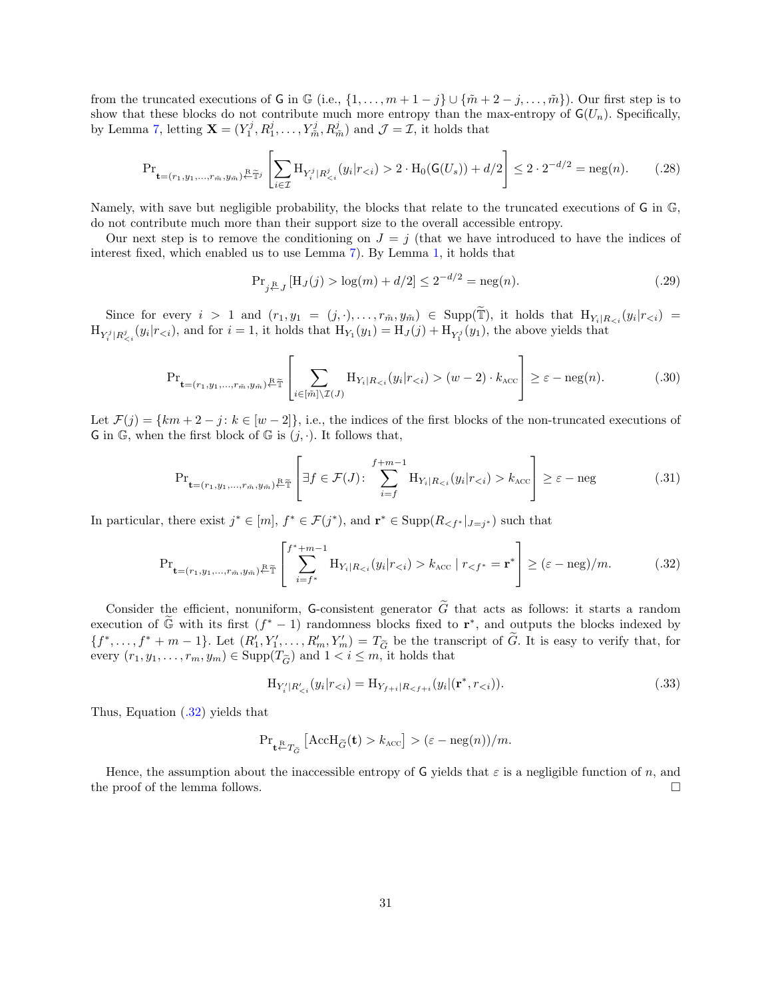from the truncated executions of G in G (i.e.,  $\{1,\ldots,m+1-j\} \cup \{\tilde{m}+2-j,\ldots,\tilde{m}\}\)$ . Our first step is to show that these blocks do not contribute much more entropy than the max-entropy of  $\mathsf{G}(U_n)$ . Specifically, by Lemma [7,](#page-11-2) letting  $\mathbf{X} = (Y_1^j, R_1^j, \dots, Y_{\tilde{m}}^j, R_{\tilde{m}}^j)$  and  $\mathcal{J} = \mathcal{I}$ , it holds that

$$
\Pr_{\mathbf{t}=(r_1,y_1,\ldots,r_{\bar{m}},y_{\bar{m}})\in\widetilde{\mathbb{T}}^j} \left[ \sum_{i\in\mathcal{I}} \mathcal{H}_{Y_i^j|R_{ 2 \cdot \mathcal{H}_0(\mathsf{G}(U_s)) + d/2 \right] \le 2 \cdot 2^{-d/2} = \text{neg}(n). \tag{28}
$$

Namely, with save but negligible probability, the blocks that relate to the truncated executions of G in G, do not contribute much more than their support size to the overall accessible entropy.

Our next step is to remove the conditioning on  $J = j$  (that we have introduced to have the indices of interest fixed, which enabled us to use Lemma [7\)](#page-11-2). By Lemma [1,](#page-9-2) it holds that

$$
\Pr_{j \leftarrow J} \left[ H_J(j) > \log(m) + d/2 \right] \le 2^{-d/2} = \operatorname{neg}(n). \tag{.29}
$$

Since for every  $i > 1$  and  $(r_1, y_1 = (j, \cdot), \ldots, r_{\tilde{m}}, y_{\tilde{m}}) \in \text{Supp}(\tilde{\mathbb{T}})$ , it holds that  $H_{Y_i|R_{i_i}}(y_i|r_{i_i}) =$  $H_{Y_i^j|R_{\leq i}^j}(y_i|r_{\leq i})$ , and for  $i=1$ , it holds that  $H_{Y_1}(y_1) = H_J(j) + H_{Y_1^j}(y_1)$ , the above yields that

$$
\Pr_{\mathbf{t}=(r_1,y_1,\ldots,r_{\tilde{m}},y_{\tilde{m}})} \underset{\mathbf{t} \in [\tilde{m}]\backslash \mathcal{I}(J)}{\sum} \mathbf{H}_{Y_i|R_{< i}}(y_i|r_{< i}) > (w-2) \cdot k_{\text{ACC}} \right] \geq \varepsilon - \text{neg}(n). \tag{30}
$$

Let  $\mathcal{F}(j) = \{km + 2 - j : k \in [w - 2]\},\$ i.e., the indices of the first blocks of the non-truncated executions of G in  $\mathbb{G}$ , when the first block of  $\mathbb{G}$  is  $(j, \cdot)$ . It follows that,

$$
\Pr_{\mathbf{t}=(r_1,y_1,\ldots,r_{\tilde{m}},y_{\tilde{m}})} \underset{\mathbf{t} \in \mathcal{F}}{\mathbb{E}} \left[ \exists f \in \mathcal{F}(J) : \sum_{i=f}^{f+m-1} \mathcal{H}_{Y_i|R_{< i}}(y_i|r_{< i}) > k_{\text{ACC}} \right] \geq \varepsilon - \text{neg} \tag{31}
$$

In particular, there exist  $j^* \in [m]$ ,  $f^* \in \mathcal{F}(j^*)$ , and  $\mathbf{r}^* \in \text{Supp}(R_{\leq j^*}|_{J=j^*})$  such that

$$
\Pr_{\mathbf{t}=(r_1,y_1,\ldots,r_{\tilde{m}},y_{\tilde{m}})} \mathbb{E}_{\tilde{\mathbb{T}}}\left[\sum_{i=f^*}^{f^*+m-1} \mathcal{H}_{Y_i|R_{< i}}(y_i|r_{< i}) > k_{\text{ACC}} \mid r_{< f^*} = \mathbf{r}^*\right] \ge (\varepsilon - \text{neg})/m. \tag{32}
$$

Consider the efficient, nonuniform, G-consistent generator  $\tilde{G}$  that acts as follows: it starts a random execution of  $\widetilde{\mathbb{G}}$  with its first  $(f^*-1)$  randomness blocks fixed to  $\mathbf{r}^*$ , and outputs the blocks indexed by  ${f^*, \ldots, f^* + m - 1}$ . Let  $(R'_1, Y'_1, \ldots, R'_m, Y'_m) = T_{\widetilde{G}}$  be the transcript of  $\widetilde{G}$ . It is easy to verify that, for every  $(r_1, y_1, \ldots, r_m, y_m) \in \text{Supp}(T_{\widetilde{G}})$  and  $1 < i \leq m$ , it holds that

<span id="page-33-0"></span>
$$
H_{Y_i'|R'_{< i}}(y_i|r_{< i}) = H_{Y_{f+i}|R_{< f+i}}(y_i|(\mathbf{r}^*, r_{< i})).\tag{.33}
$$

Thus, Equation [\(.32\)](#page-33-0) yields that

$$
\mathrm{Pr}_{\mathbf{t}_{\mathcal{L}^{\mathcal{R}}T_{\widetilde{G}}}}\left[\mathrm{AccH}_{\widetilde{G}}(\mathbf{t}) > k_{\mathrm{Acc}}\right] > (\varepsilon - \mathrm{neg}(n))/m.
$$

Hence, the assumption about the inaccessible entropy of G yields that  $\varepsilon$  is a negligible function of n, and the proof of the lemma follows.  $\Box$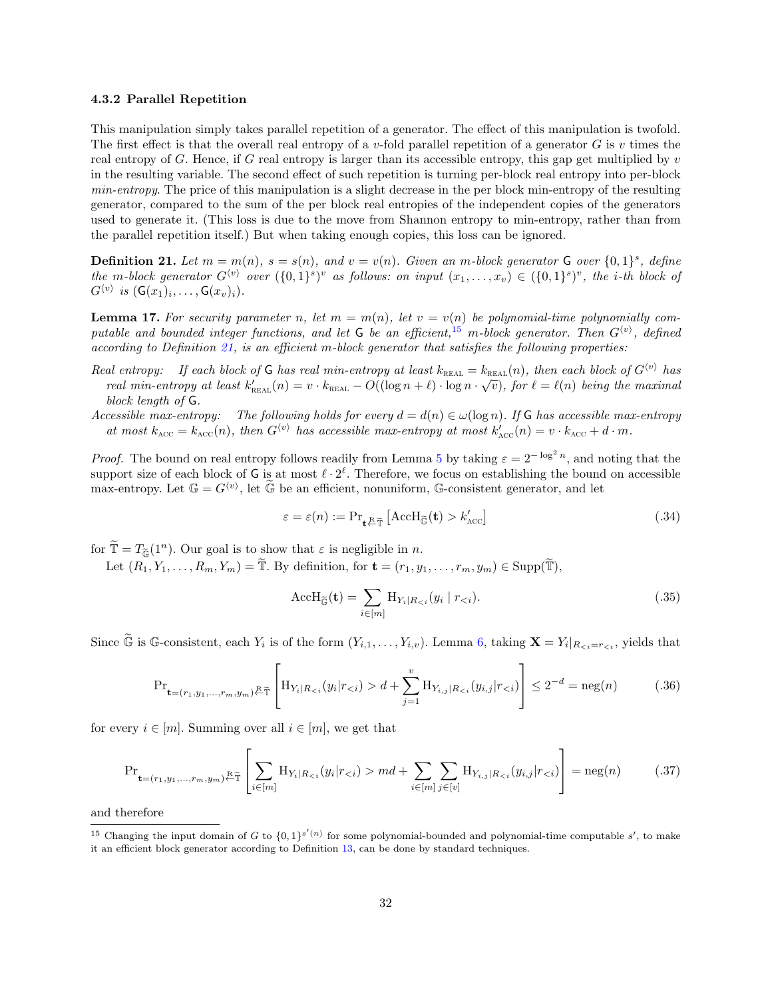#### 4.3.2 Parallel Repetition

This manipulation simply takes parallel repetition of a generator. The effect of this manipulation is twofold. The first effect is that the overall real entropy of a v-fold parallel repetition of a generator  $G$  is v times the real entropy of G. Hence, if G real entropy is larger than its accessible entropy, this gap get multiplied by  $v$ in the resulting variable. The second effect of such repetition is turning per-block real entropy into per-block min-entropy. The price of this manipulation is a slight decrease in the per block min-entropy of the resulting generator, compared to the sum of the per block real entropies of the independent copies of the generators used to generate it. (This loss is due to the move from Shannon entropy to min-entropy, rather than from the parallel repetition itself.) But when taking enough copies, this loss can be ignored.

<span id="page-34-1"></span>**Definition 21.** Let  $m = m(n)$ ,  $s = s(n)$ , and  $v = v(n)$ . Given an m-block generator G over  $\{0,1\}^s$ , define the m-block generator  $G^{(v)}$  over  $(\{0,1\}^s)^v$  as follows: on input  $(x_1,\ldots,x_v) \in (\{0,1\}^s)^v$ , the *i*-th block of  $G^{\langle v \rangle}$  is  $(\mathsf{G}(x_1)_i, \ldots, \mathsf{G}(x_v)_i).$ 

<span id="page-34-2"></span>**Lemma 17.** For security parameter n, let  $m = m(n)$ , let  $v = v(n)$  be polynomial-time polynomially computable and bounded integer functions, and let G be an efficient,  $^{15}$  $^{15}$  $^{15}$  m-block generator. Then  $G^{(v)}$ , defined according to Definition [21,](#page-34-1) is an efficient m-block generator that satisfies the following properties:

- Real entropy: If each block of G has real min-entropy at least  $k_{\text{REAL}} = k_{\text{REAL}}(n)$ , then each block of  $G^{\langle v \rangle}$  has real min-entropy at least  $k'_{\text{real}}(n) = v \cdot k_{\text{real}} - O((\log n + \ell) \cdot \log n \cdot \sqrt{v})$ , for  $\ell = \ell(n)$  being the maximal block length of G.
- Accessible max-entropy: The following holds for every  $d = d(n) \in \omega(\log n)$ . If G has accessible max-entropy at most  $k_{\text{ACC}} = k_{\text{ACC}}(n)$ , then  $G^{\langle v \rangle}$  has accessible max-entropy at most  $k'_{\text{ACC}}(n) = v \cdot k_{\text{ACC}} + d \cdot m$ .

*Proof.* The bound on real entropy follows readily from Lemma [5](#page-11-1) by taking  $\varepsilon = 2^{-\log^2 n}$ , and noting that the support size of each block of G is at most  $\ell \cdot 2^{\ell}$ . Therefore, we focus on establishing the bound on accessible max-entropy. Let  $\mathbb{G} = G^{\langle v \rangle}$ , let  $\widetilde{\mathbb{G}}$  be an efficient, nonuniform, G-consistent generator, and let

$$
\varepsilon = \varepsilon(n) := \Pr_{\mathbf{t}, \mathcal{L} \tilde{\mathcal{T}}} \left[ \text{AccH}_{\tilde{\mathbb{G}}}(\mathbf{t}) > k_{\text{ACC}}' \right] \tag{34}
$$

for  $\widetilde{\mathbb{T}} = T_{\widetilde{\mathcal{C}}}(1^n)$ . Our goal is to show that  $\varepsilon$  is negligible in *n*.

Let  $(R_1, Y_1, \ldots, R_m, Y_m) = \tilde{\mathbb{T}}$ . By definition, for  $\mathbf{t} = (r_1, y_1, \ldots, r_m, y_m) \in \text{Supp}(\tilde{\mathbb{T}})$ ,

$$
\text{AccH}_{\widetilde{\mathbb{G}}}(\mathbf{t}) = \sum_{i \in [m]} \mathbf{H}_{Y_i | R_{< i}}(y_i | r_{< i}).\tag{.35}
$$

Since  $\widetilde{\mathbb{G}}$  is G-consistent, each  $Y_i$  is of the form  $(Y_{i,1},\ldots,Y_{i,v})$ . Lemma [6,](#page-11-3) taking  $\mathbf{X}=Y_i|_{R_{, yields that$ 

$$
\Pr_{\mathbf{t}=(r_1,y_1,\ldots,r_m,y_m)\in\widetilde{\mathbb{T}}} \left[ H_{Y_i|R_{< i}}(y_i|r_{< i}) > d + \sum_{j=1}^v H_{Y_{i,j}|R_{< i}}(y_{i,j}|r_{< i}) \right] \le 2^{-d} = \text{neg}(n) \tag{36}
$$

for every  $i \in [m]$ . Summing over all  $i \in [m]$ , we get that

$$
\Pr_{\mathbf{t}=(r_1,y_1,\ldots,r_m,y_m)\stackrel{R}{\leftarrow}\tilde{\mathbb{T}}} \left[ \sum_{i\in[m]} \mathcal{H}_{Y_i|R_{< i}}(y_i|r_{< i}) > md + \sum_{i\in[m]} \sum_{j\in[v]} \mathcal{H}_{Y_{i,j}|R_{< i}}(y_{i,j}|r_{< i}) \right] = \text{neg}(n) \tag{37}
$$

and therefore

<span id="page-34-0"></span><sup>&</sup>lt;sup>15</sup> Changing the input domain of G to  $\{0,1\}^{s'(n)}$  for some polynomial-bounded and polynomial-time computable s', to make it an efficient block generator according to Definition [13,](#page-25-0) can be done by standard techniques.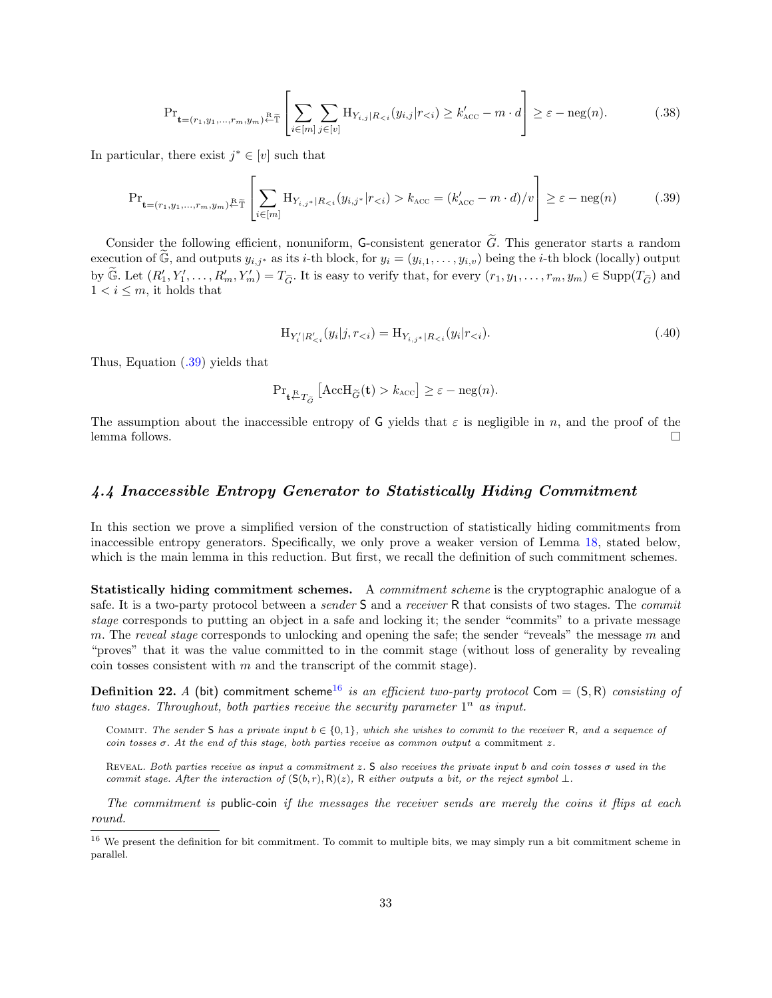$$
\Pr_{\mathbf{t}=(r_1,y_1,\ldots,r_m,y_m)}\mathbb{E}_{\widetilde{\mathbb{T}}}\left[\sum_{i\in[m]}\sum_{j\in[v]}H_{Y_{i,j}|R_{
$$

In particular, there exist  $j^* \in [v]$  such that

$$
\Pr_{\mathbf{t} = (r_1, y_1, \dots, r_m, y_m) \stackrel{R}{\leftarrow} \mathbb{T}} \left[ \sum_{i \in [m]} \mathbf{H}_{Y_{i,j^*} | R_{< i}}(y_{i,j^*} | r_{< i}) > k_{\text{ACC}} = (k_{\text{ACC}}' - m \cdot d) / v \right] \ge \varepsilon - \text{neg}(n) \tag{39}
$$

Consider the following efficient, nonuniform, G-consistent generator  $\tilde{G}$ . This generator starts a random execution of  $\widetilde{\mathbb{G}}$ , and outputs  $y_{i,j^*}$  as its *i*-th block, for  $y_i = (y_{i,1}, \ldots, y_{i,\nu})$  being the *i*-th block (locally) output by  $\widetilde{\mathfrak{G}}$ . Let  $(R'_1, Y'_1, \ldots, R'_m, Y'_m) = T_{\widetilde{G}}$ . It is easy to verify that, for every  $(r_1, y_1, \ldots, r_m, y_m) \in \text{Supp}(T_{\widetilde{G}})$  and  $1 < i \leq m$ , it holds that

<span id="page-35-1"></span>
$$
H_{Y_i'|R_{\leq i}'}(y_i|j, r_{\leq i}) = H_{Y_{i,j^*}|R_{\leq i}}(y_i|r_{\leq i}).
$$
\n(.40)

Thus, Equation [\(.39\)](#page-35-1) yields that

$$
\mathrm{Pr}_{\mathbf{t} \stackrel{\text{R}}{\leftarrow} T_{\widetilde{G}}} \left[ \mathrm{AccH}_{\widetilde{G}}(\mathbf{t}) > k_{\mathrm{ACC}} \right] \geq \varepsilon - \mathrm{neg}(n).
$$

<span id="page-35-0"></span>The assumption about the inaccessible entropy of G yields that  $\varepsilon$  is negligible in n, and the proof of the lemma follows.

## 4.4 Inaccessible Entropy Generator to Statistically Hiding Commitment

In this section we prove a simplified version of the construction of statistically hiding commitments from inaccessible entropy generators. Specifically, we only prove a weaker version of Lemma [18,](#page-37-0) stated below, which is the main lemma in this reduction. But first, we recall the definition of such commitment schemes.

Statistically hiding commitment schemes. A commitment scheme is the cryptographic analogue of a safe. It is a two-party protocol between a *sender* S and a *receiver* R that consists of two stages. The *commit* stage corresponds to putting an object in a safe and locking it; the sender "commits" to a private message m. The reveal stage corresponds to unlocking and opening the safe; the sender "reveals" the message m and "proves" that it was the value committed to in the commit stage (without loss of generality by revealing coin tosses consistent with  $m$  and the transcript of the commit stage).

**Definition 22.** A (bit) commitment scheme<sup>[16](#page-35-2)</sup> is an efficient two-party protocol Com = (S, R) consisting of two stages. Throughout, both parties receive the security parameter  $1^n$  as input.

COMMIT. The sender S has a private input  $b \in \{0,1\}$ , which she wishes to commit to the receiver R, and a sequence of coin tosses  $\sigma$ . At the end of this stage, both parties receive as common output a commitment z.

REVEAL. Both parties receive as input a commitment z. S also receives the private input b and coin tosses  $\sigma$  used in the commit stage. After the interaction of  $(S(b, r), R)(z)$ , R either outputs a bit, or the reject symbol  $\bot$ .

The commitment is public-coin if the messages the receiver sends are merely the coins it flips at each round.

<span id="page-35-2"></span> $16$  We present the definition for bit commitment. To commit to multiple bits, we may simply run a bit commitment scheme in parallel.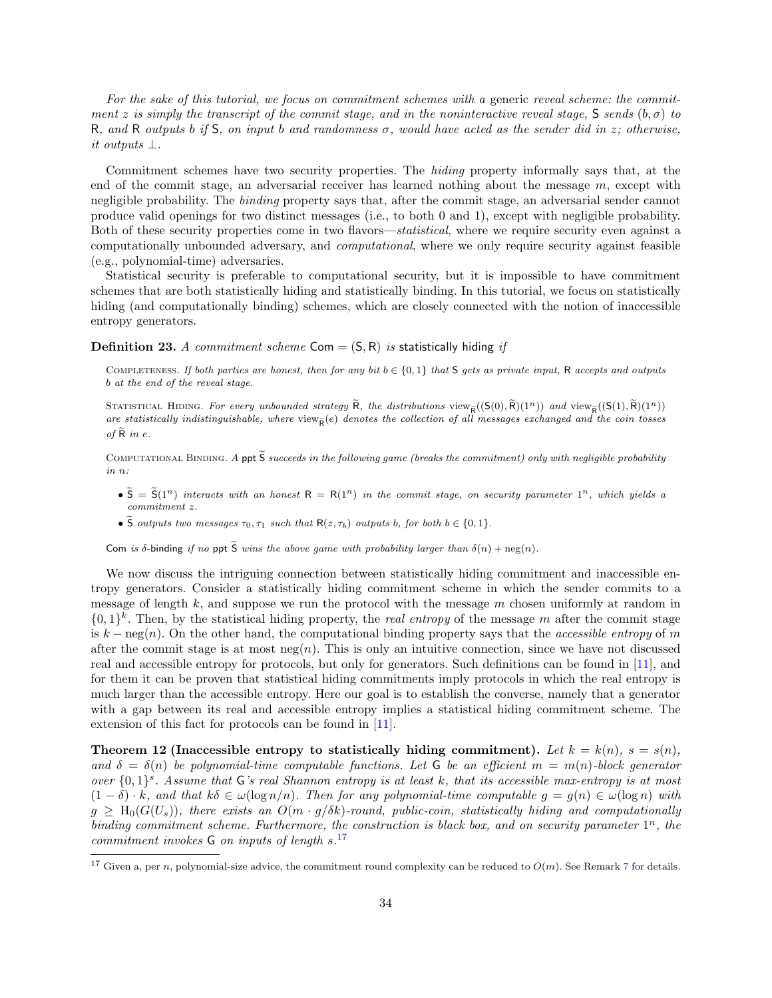For the sake of this tutorial, we focus on commitment schemes with a generic reveal scheme: the commitment z is simply the transcript of the commit stage, and in the noninteractive reveal stage,  $S$  sends  $(b, \sigma)$  to R, and R outputs b if S, on input b and randomness  $\sigma$ , would have acted as the sender did in z; otherwise, it outputs ⊥.

Commitment schemes have two security properties. The hiding property informally says that, at the end of the commit stage, an adversarial receiver has learned nothing about the message m, except with negligible probability. The binding property says that, after the commit stage, an adversarial sender cannot produce valid openings for two distinct messages (i.e., to both 0 and 1), except with negligible probability. Both of these security properties come in two flavors—statistical, where we require security even against a computationally unbounded adversary, and computational, where we only require security against feasible (e.g., polynomial-time) adversaries.

Statistical security is preferable to computational security, but it is impossible to have commitment schemes that are both statistically hiding and statistically binding. In this tutorial, we focus on statistically hiding (and computationally binding) schemes, which are closely connected with the notion of inaccessible entropy generators.

#### **Definition 23.** A commitment scheme Com =  $(S, R)$  is statistically hiding if

COMPLETENESS. If both parties are honest, then for any bit  $b \in \{0,1\}$  that S gets as private input, R accepts and outputs b at the end of the reveal stage.

STATISTICAL HIDING. For every unbounded strategy  $\widetilde{R}$ , the distributions view<sub> $\widetilde{R}((S(0), \widetilde{R})(1^n))$  and view $_{\widetilde{R}}((S(1), \widetilde{R})(1^n))$ </sub> are statistically indistinguishable, where view<sub> $\bar{\mathbf{e}}(e)$ </sub> denotes the collection of all messages exchanged and the coin tosses of  $\widetilde{R}$  in e.

COMPUTATIONAL BINDING. A ppt  $\tilde{S}$  succeeds in the following game (breaks the commitment) only with negligible probability in n:

- $\bullet$   $\widetilde{S} = \widetilde{S}(1^n)$  interacts with an honest  $R = R(1^n)$  in the commit stage, on security parameter  $1^n$ , which yields a commitment z.
- $\tilde{S}$  outputs two messages  $\tau_0, \tau_1$  such that  $R(z, \tau_b)$  outputs b, for both  $b \in \{0, 1\}$ .

Com is δ-binding if no ppt  $\widetilde{S}$  wins the above game with probability larger than  $\delta(n) + \text{neg}(n)$ .

We now discuss the intriguing connection between statistically hiding commitment and inaccessible entropy generators. Consider a statistically hiding commitment scheme in which the sender commits to a message of length  $k$ , and suppose we run the protocol with the message  $m$  chosen uniformly at random in  $\{0,1\}^k$ . Then, by the statistical hiding property, the *real entropy* of the message m after the commit stage is  $k - \text{neg}(n)$ . On the other hand, the computational binding property says that the *accessible entropy* of m after the commit stage is at most  $neg(n)$ . This is only an intuitive connection, since we have not discussed real and accessible entropy for protocols, but only for generators. Such definitions can be found in [\[11\]](#page-46-3), and for them it can be proven that statistical hiding commitments imply protocols in which the real entropy is much larger than the accessible entropy. Here our goal is to establish the converse, namely that a generator with a gap between its real and accessible entropy implies a statistical hiding commitment scheme. The extension of this fact for protocols can be found in [\[11\]](#page-46-3).

<span id="page-36-1"></span>Theorem 12 (Inaccessible entropy to statistically hiding commitment). Let  $k = k(n)$ ,  $s = s(n)$ , and  $\delta = \delta(n)$  be polynomial-time computable functions. Let G be an efficient  $m = m(n)$ -block generator over  $\{0,1\}^s$ . Assume that G's real Shannon entropy is at least k, that its accessible max-entropy is at most  $(1 - \delta) \cdot k$ , and that  $k\delta \in \omega(\log n/n)$ . Then for any polynomial-time computable  $g = g(n) \in \omega(\log n)$  with  $g \geq H_0(G(U_s))$ , there exists an  $O(m \cdot g/\delta k)$ -round, public-coin, statistically hiding and computationally binding commitment scheme. Furthermore, the construction is black box, and on security parameter  $1^n$ , the commitment invokes  $G$  on inputs of length  $s$ .<sup>[17](#page-36-0)</sup>

<span id="page-36-0"></span><sup>&</sup>lt;sup>1[7](#page-38-0)</sup> Given a, per n, polynomial-size advice, the commitment round complexity can be reduced to  $O(m)$ . See Remark 7 for details.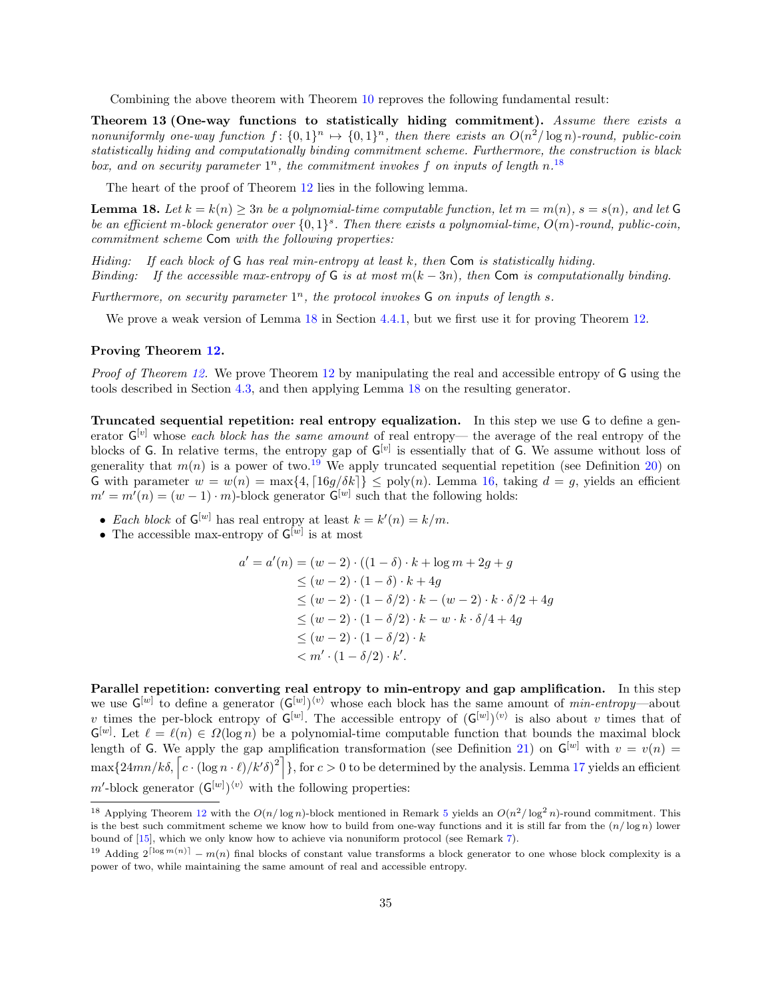Combining the above theorem with Theorem [10](#page-28-1) reproves the following fundamental result:

Theorem 13 (One-way functions to statistically hiding commitment). Assume there exists a nonuniformly one-way function  $f: \{0,1\}^n \mapsto \{0,1\}^n$ , then there exists an  $O(n^2/\log n)$ -round, public-coin statistically hiding and computationally binding commitment scheme. Furthermore, the construction is black box, and on security parameter  $1^n$ , the commitment invokes f on inputs of length n.<sup>[18](#page-37-1)</sup>

<span id="page-37-0"></span>The heart of the proof of Theorem [12](#page-36-1) lies in the following lemma.

**Lemma 18.** Let  $k = k(n) \geq 3n$  be a polynomial-time computable function, let  $m = m(n)$ ,  $s = s(n)$ , and let G be an efficient m-block generator over  $\{0,1\}^s$ . Then there exists a polynomial-time,  $O(m)$ -round, public-coin, commitment scheme Com with the following properties:

Hiding: If each block of  $G$  has real min-entropy at least  $k$ , then  $Com$  is statistically hiding. Binding: If the accessible max-entropy of G is at most  $m(k-3n)$ , then Com is computationally binding.

Furthermore, on security parameter  $1^n$ , the protocol invokes G on inputs of length s.

We prove a weak version of Lemma [18](#page-37-0) in Section [4.4.1,](#page-38-1) but we first use it for proving Theorem [12.](#page-36-1)

#### Proving Theorem [12.](#page-36-1)

Proof of Theorem [12.](#page-36-1) We prove Theorem [12](#page-36-1) by manipulating the real and accessible entropy of G using the tools described in Section [4.3,](#page-31-0) and then applying Lemma [18](#page-37-0) on the resulting generator.

Truncated sequential repetition: real entropy equalization. In this step we use G to define a generator  $\mathsf{G}^{[v]}$  whose each block has the same amount of real entropy— the average of the real entropy of the blocks of G. In relative terms, the entropy gap of  $G^{[v]}$  is essentially that of G. We assume without loss of generality that  $m(n)$  is a power of two.<sup>[19](#page-37-2)</sup> We apply truncated sequential repetition (see Definition [20\)](#page-31-2) on G with parameter  $w = w(n) = \max\{4, \lceil 16g/\delta k \rceil\} \leq \text{poly}(n)$ . Lemma [16,](#page-32-1) taking  $d = g$ , yields an efficient  $m' = m'(n) = (w - 1) \cdot m$ -block generator  $\mathsf{G}^{[w]}$  such that the following holds:

- Each block of  $\mathsf{G}^{[w]}$  has real entropy at least  $k = k'(n) = k/m$ .
- The accessible max-entropy of  $\mathsf{G}^{[w]}$  is at most

$$
a' = a'(n) = (w - 2) \cdot ((1 - \delta) \cdot k + \log m + 2g + g
$$
  
\n
$$
\leq (w - 2) \cdot (1 - \delta) \cdot k + 4g
$$
  
\n
$$
\leq (w - 2) \cdot (1 - \delta/2) \cdot k - (w - 2) \cdot k \cdot \delta/2 + 4g
$$
  
\n
$$
\leq (w - 2) \cdot (1 - \delta/2) \cdot k - w \cdot k \cdot \delta/4 + 4g
$$
  
\n
$$
\leq (w - 2) \cdot (1 - \delta/2) \cdot k
$$
  
\n
$$
< m' \cdot (1 - \delta/2) \cdot k'.
$$

Parallel repetition: converting real entropy to min-entropy and gap amplification. In this step we use  $\mathsf{G}^{[w]}$  to define a generator  $(\mathsf{G}^{[w]})^{\langle v \rangle}$  whose each block has the same amount of *min-entropy*—about v times the per-block entropy of  $\mathsf{G}^{[w]}$ . The accessible entropy of  $(\mathsf{G}^{[w]})^{\langle v \rangle}$  is also about v times that of  $\mathsf{G}^{[w]}$ . Let  $\ell = \ell(n) \in \Omega(\log n)$  be a polynomial-time computable function that bounds the maximal block length of G. We apply the gap amplification transformation (see Definition [21\)](#page-34-1) on  $\mathsf{G}^{[w]}$  with  $v = v(n)$  $\max\{24mn/k\delta,\left[c\cdot(\log n\cdot\ell)/k'\delta)^2\right]\},$  for  $c>0$  to be determined by the analysis. Lemma [17](#page-34-2) yields an efficient m'-block generator  $(\mathsf{G}^{[w]})^{\langle v \rangle}$  with the following properties:

<span id="page-37-1"></span><sup>&</sup>lt;sup>18</sup> Applying Theorem [12](#page-36-1) with the  $O(n/\log n)$ -block mentioned in Remark [5](#page-28-2) yields an  $O(n^2/\log^2 n)$ -round commitment. This is the best such commitment scheme we know how to build from one-way functions and it is still far from the  $(n/\log n)$  lower bound of [\[15\]](#page-46-17), which we only know how to achieve via nonuniform protocol (see Remark [7\)](#page-38-0).

<span id="page-37-2"></span><sup>&</sup>lt;sup>19</sup> Adding  $2^{\lceil \log m(n) \rceil} - m(n)$  final blocks of constant value transforms a block generator to one whose block complexity is a power of two, while maintaining the same amount of real and accessible entropy.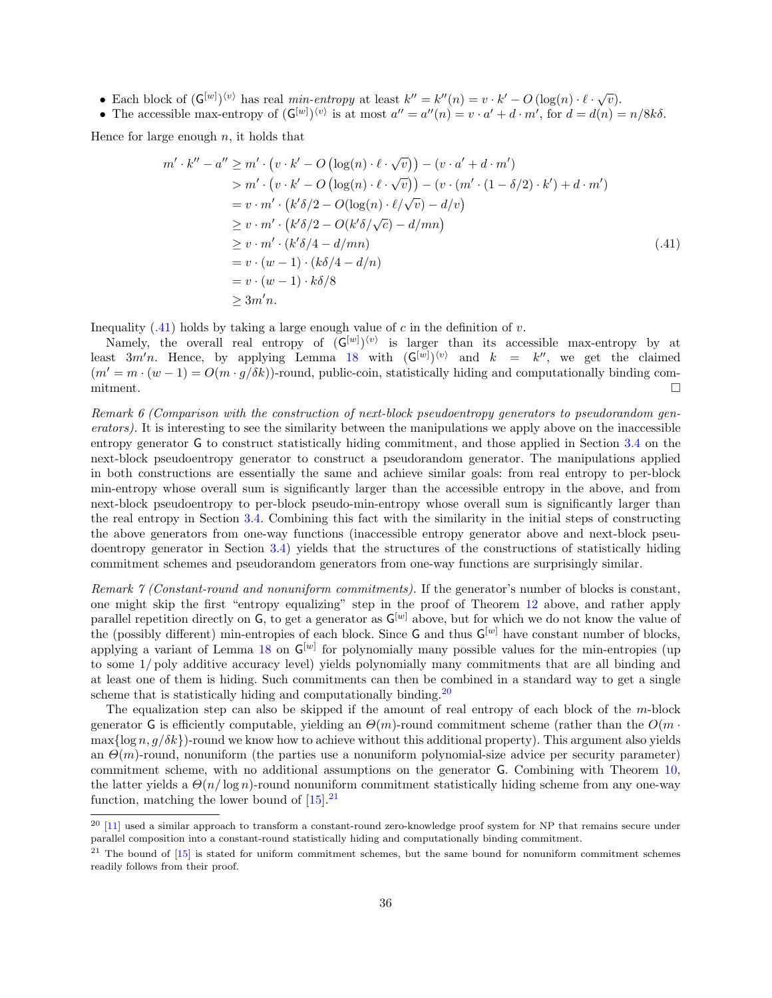- Each block of  $(\mathsf{G}^{[w]})^{\langle v \rangle}$  has real min-entropy at least  $k'' = k''(n) = v \cdot k' O(\log(n) \cdot \ell \cdot \sqrt{v}).$
- The accessible max-entropy of  $(G^{[w]})^{\langle v \rangle}$  is at most  $a'' = a''(n) = v \cdot a' + d \cdot m'$ , for  $d = d(n) = n/8k\delta$ .

Hence for large enough  $n$ , it holds that

<span id="page-38-2"></span>
$$
m' \cdot k'' - a'' \ge m' \cdot (v \cdot k' - O(\log(n) \cdot \ell \cdot \sqrt{v})) - (v \cdot a' + d \cdot m')
$$
  
\n
$$
> m' \cdot (v \cdot k' - O(\log(n) \cdot \ell \cdot \sqrt{v})) - (v \cdot (m' \cdot (1 - \delta/2) \cdot k') + d \cdot m')
$$
  
\n
$$
= v \cdot m' \cdot (k'\delta/2 - O(\log(n) \cdot \ell/\sqrt{v}) - d/v)
$$
  
\n
$$
\ge v \cdot m' \cdot (k'\delta/2 - O(k'\delta/\sqrt{c}) - d/mn)
$$
  
\n
$$
\ge v \cdot m' \cdot (k'\delta/4 - d/mn)
$$
  
\n
$$
= v \cdot (w - 1) \cdot (k\delta/4 - d/n)
$$
  
\n
$$
= v \cdot (w - 1) \cdot k\delta/8
$$
  
\n
$$
\ge 3m'n.
$$
 (41)

Inequality  $(.41)$  holds by taking a large enough value of c in the definition of v.

Namely, the overall real entropy of  $(\mathsf{G}^{[w]})^{\langle v \rangle}$  is larger than its accessible max-entropy by at least  $3m'n$ . Hence, by applying Lemma [18](#page-37-0) with  $(\mathsf{G}^{[w]})^{\langle v \rangle}$  and  $k = k''$ , we get the claimed  $(m' = m \cdot (w - 1) = O(m \cdot g/\delta k)$ -round, public-coin, statistically hiding and computationally binding commitment.  $\Box$ 

Remark 6 (Comparison with the construction of next-block pseudoentropy generators to pseudorandom generators). It is interesting to see the similarity between the manipulations we apply above on the inaccessible entropy generator G to construct statistically hiding commitment, and those applied in Section [3.4](#page-22-0) on the next-block pseudoentropy generator to construct a pseudorandom generator. The manipulations applied in both constructions are essentially the same and achieve similar goals: from real entropy to per-block min-entropy whose overall sum is significantly larger than the accessible entropy in the above, and from next-block pseudoentropy to per-block pseudo-min-entropy whose overall sum is significantly larger than the real entropy in Section [3.4.](#page-22-0) Combining this fact with the similarity in the initial steps of constructing the above generators from one-way functions (inaccessible entropy generator above and next-block pseudoentropy generator in Section [3.4\)](#page-22-0) yields that the structures of the constructions of statistically hiding commitment schemes and pseudorandom generators from one-way functions are surprisingly similar.

<span id="page-38-0"></span>Remark 7 (Constant-round and nonuniform commitments). If the generator's number of blocks is constant, one might skip the first "entropy equalizing" step in the proof of Theorem [12](#page-36-1) above, and rather apply parallel repetition directly on  $\mathsf{G}$ , to get a generator as  $\mathsf{G}^{[w]}$  above, but for which we do not know the value of the (possibly different) min-entropies of each block. Since  $G$  and thus  $G^{[w]}$  have constant number of blocks, applying a variant of Lemma [18](#page-37-0) on  $\mathsf{G}^{[w]}$  for polynomially many possible values for the min-entropies (up to some 1/ poly additive accuracy level) yields polynomially many commitments that are all binding and at least one of them is hiding. Such commitments can then be combined in a standard way to get a single scheme that is statistically hiding and computationally binding.  $20$ 

The equalization step can also be skipped if the amount of real entropy of each block of the m-block generator G is efficiently computable, yielding an  $\Theta(m)$ -round commitment scheme (rather than the  $O(m \cdot m)$  $\max\{\log n, g/\delta k\}$ -round we know how to achieve without this additional property). This argument also yields an  $\Theta(m)$ -round, nonuniform (the parties use a nonuniform polynomial-size advice per security parameter) commitment scheme, with no additional assumptions on the generator G. Combining with Theorem [10,](#page-28-1) the latter yields a  $\Theta(n/\log n)$ -round nonuniform commitment statistically hiding scheme from any one-way function, matching the lower bound of  $[15]$ .<sup>[21](#page-38-4)</sup>

<span id="page-38-3"></span><span id="page-38-1"></span> $^{20}$  [\[11\]](#page-46-3) used a similar approach to transform a constant-round zero-knowledge proof system for NP that remains secure under parallel composition into a constant-round statistically hiding and computationally binding commitment.

<span id="page-38-4"></span> $^{21}$  The bound of [\[15\]](#page-46-17) is stated for uniform commitment schemes, but the same bound for nonuniform commitment schemes readily follows from their proof.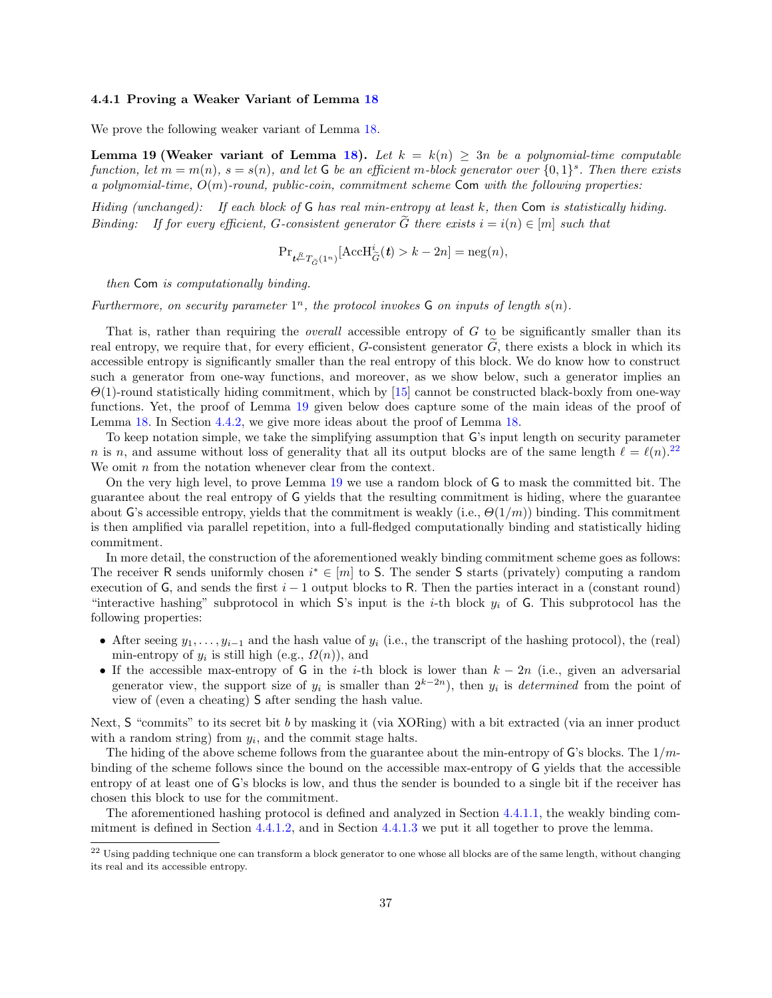#### 4.4.1 Proving a Weaker Variant of Lemma [18](#page-37-0)

<span id="page-39-0"></span>We prove the following weaker variant of Lemma [18.](#page-37-0)

Lemma 19 (Weaker variant of Lemma [18\)](#page-37-0). Let  $k = k(n) \ge 3n$  be a polynomial-time computable function, let  $m = m(n)$ ,  $s = s(n)$ , and let G be an efficient m-block generator over  $\{0,1\}^s$ . Then there exists a polynomial-time,  $O(m)$ -round, public-coin, commitment scheme Com with the following properties:

Hiding (unchanged): If each block of G has real min-entropy at least k, then Com is statistically hiding. Binding: If for every efficient, G-consistent generator  $\tilde{G}$  there exists  $i = i(n) \in [m]$  such that

$$
\mathrm{Pr}_{\mathbf{t} \stackrel{R}{\leftarrow} T_{\widetilde{G}}(1^n)}[\mathrm{AccH}_{\widetilde{G}}^i(\mathbf{t}) > k - 2n] = \mathrm{neg}(n),
$$

then Com is computationally binding.

Furthermore, on security parameter  $1^n$ , the protocol invokes G on inputs of length  $s(n)$ .

That is, rather than requiring the *overall* accessible entropy of  $G$  to be significantly smaller than its real entropy, we require that, for every efficient,  $G$ -consistent generator  $G$ , there exists a block in which its accessible entropy is significantly smaller than the real entropy of this block. We do know how to construct such a generator from one-way functions, and moreover, as we show below, such a generator implies an  $\Theta(1)$ -round statistically hiding commitment, which by [\[15\]](#page-46-17) cannot be constructed black-boxly from one-way functions. Yet, the proof of Lemma [19](#page-39-0) given below does capture some of the main ideas of the proof of Lemma [18.](#page-37-0) In Section [4.4.2,](#page-44-0) we give more ideas about the proof of Lemma [18.](#page-37-0)

To keep notation simple, we take the simplifying assumption that G's input length on security parameter n is n, and assume without loss of generality that all its output blocks are of the same length  $\ell = \ell(n)$ .<sup>[22](#page-39-1)</sup> We omit *n* from the notation whenever clear from the context.

On the very high level, to prove Lemma [19](#page-39-0) we use a random block of G to mask the committed bit. The guarantee about the real entropy of G yields that the resulting commitment is hiding, where the guarantee about G's accessible entropy, yields that the commitment is weakly (i.e.,  $\Theta(1/m)$ ) binding. This commitment is then amplified via parallel repetition, into a full-fledged computationally binding and statistically hiding commitment.

In more detail, the construction of the aforementioned weakly binding commitment scheme goes as follows: The receiver R sends uniformly chosen  $i^* \in [m]$  to S. The sender S starts (privately) computing a random execution of G, and sends the first  $i - 1$  output blocks to R. Then the parties interact in a (constant round) "interactive hashing" subprotocol in which  $S$ 's input is the *i*-th block  $y_i$  of G. This subprotocol has the following properties:

- After seeing  $y_1, \ldots, y_{i-1}$  and the hash value of  $y_i$  (i.e., the transcript of the hashing protocol), the (real) min-entropy of  $y_i$  is still high (e.g.,  $\Omega(n)$ ), and
- If the accessible max-entropy of G in the i-th block is lower than  $k 2n$  (i.e., given an adversarial generator view, the support size of  $y_i$  is smaller than  $2^{k-2n}$ ), then  $y_i$  is *determined* from the point of view of (even a cheating) S after sending the hash value.

Next, S "commits" to its secret bit b by masking it (via XORing) with a bit extracted (via an inner product with a random string) from  $y_i$ , and the commit stage halts.

The hiding of the above scheme follows from the guarantee about the min-entropy of  $\mathsf{G}'$ 's blocks. The  $1/m$ binding of the scheme follows since the bound on the accessible max-entropy of G yields that the accessible entropy of at least one of G's blocks is low, and thus the sender is bounded to a single bit if the receiver has chosen this block to use for the commitment.

The aforementioned hashing protocol is defined and analyzed in Section [4.4.1.1,](#page-39-2) the weakly binding commitment is defined in Section [4.4.1.2,](#page-40-0) and in Section [4.4.1.3](#page-44-1) we put it all together to prove the lemma.

<span id="page-39-2"></span><span id="page-39-1"></span> $^{22}$  Using padding technique one can transform a block generator to one whose all blocks are of the same length, without changing its real and its accessible entropy.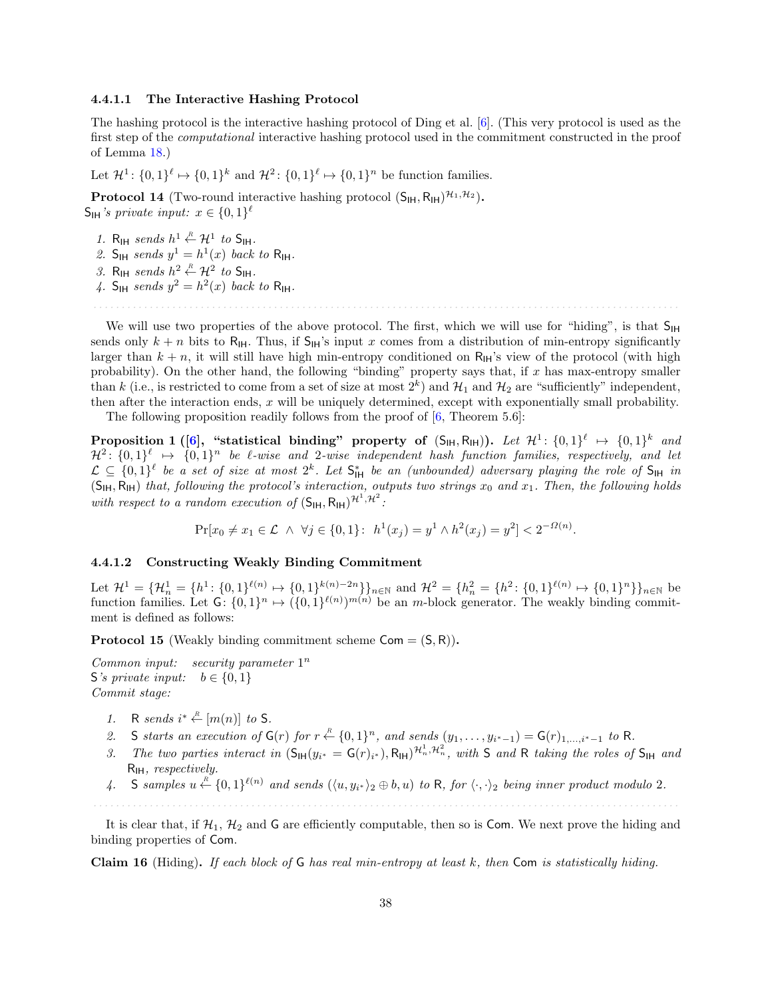#### 4.4.1.1 The Interactive Hashing Protocol

The hashing protocol is the interactive hashing protocol of Ding et al. [\[6\]](#page-46-18). (This very protocol is used as the first step of the computational interactive hashing protocol used in the commitment constructed in the proof of Lemma [18.](#page-37-0))

Let  $\mathcal{H}^1$ :  $\{0,1\}^{\ell} \mapsto \{0,1\}^k$  and  $\mathcal{H}^2$ :  $\{0,1\}^{\ell} \mapsto \{0,1\}^n$  be function families.

**Protocol 14** (Two-round interactive hashing protocol  $(S_{HH}, R_{HH})^{\mathcal{H}_1, \mathcal{H}_2}$ ).  $S_{\text{IH}}$ 's private input:  $x \in \{0,1\}^{\ell}$ 

- 1. R<sub>IH</sub> sends  $h^1 \stackrel{R}{\leftarrow} \mathcal{H}^1$  to  $S_H$ .
- 2.  $S_H$  sends  $y^1 = h^1(x)$  back to  $R_H$ .
- 3. R<sub>IH</sub> sends  $h^2 \overset{R}{\leftarrow} \mathcal{H}^2$  to  $S_H$ .
- 4.  $S_H$  sends  $y^2 = h^2(x)$  back to  $R_H$ .
- 

We will use two properties of the above protocol. The first, which we will use for "hiding", is that  $S_{\text{IH}}$ sends only  $k + n$  bits to R<sub>IH</sub>. Thus, if  $S_H$ 's input x comes from a distribution of min-entropy significantly larger than  $k + n$ , it will still have high min-entropy conditioned on  $R<sub>IH</sub>$ 's view of the protocol (with high probability). On the other hand, the following "binding" property says that, if  $x$  has max-entropy smaller than k (i.e., is restricted to come from a set of size at most  $2^k$ ) and  $\mathcal{H}_1$  and  $\mathcal{H}_2$  are "sufficiently" independent, then after the interaction ends, x will be uniquely determined, except with exponentially small probability.

The following proposition readily follows from the proof of  $[6,$  Theorem 5.6]:

Proposition 1 ([\[6\]](#page-46-18), "statistical binding" property of  $(S_H, R_H)$ ). Let  $\mathcal{H}^1$ :  $\{0,1\}^{\ell} \rightarrow \{0,1\}^k$  and  $\mathcal{H}^2$ :  $\{0,1\}^{\ell} \rightarrow \{0,1\}^n$  be  $\ell$ -wise and 2-wise independent hash function families, respectively, and let  $\mathcal{L} \subseteq \{0,1\}^{\ell}$  be a set of size at most  $2^k$ . Let  $S^*_{\text{IH}}$  be an (unbounded) adversary playing the role of  $S_{\text{IH}}$  in  $(S<sub>IH</sub>, R<sub>IH</sub>)$  that, following the protocol's interaction, outputs two strings  $x<sub>0</sub>$  and  $x<sub>1</sub>$ . Then, the following holds with respect to a random execution of  $(S_{H}, R_{H})^{\mathcal{H}^1, \mathcal{H}^2}$ .

<span id="page-40-1"></span>
$$
\Pr[x_0 \neq x_1 \in \mathcal{L} \ \land \ \forall j \in \{0, 1\}: \ h^1(x_j) = y^1 \land h^2(x_j) = y^2] < 2^{-\Omega(n)}.
$$

#### <span id="page-40-0"></span>4.4.1.2 Constructing Weakly Binding Commitment

Let  $\mathcal{H}^1 = \{h^1 : \{0,1\}^{\ell(n)} \mapsto \{0,1\}^{k(n)-2n}\}\}_{n\in\mathbb{N}}$  and  $\mathcal{H}^2 = \{h^2 : \{0,1\}^{\ell(n)} \mapsto \{0,1\}^n\}\}_{n\in\mathbb{N}}$  be function families. Let  $G: \{0,1\}^n \mapsto (\{0,1\}^{\ell(n)})^{m(n)}$  be an m-block generator. The weakly binding commitment is defined as follows:

<span id="page-40-3"></span>**Protocol 15** (Weakly binding commitment scheme  $Com = (S, R)$ ).

Common input: security parameter  $1^n$ S's private input:  $b \in \{0, 1\}$ Commit stage:

- 1. R sends  $i^* \stackrel{R}{\leftarrow} [m(n)]$  to S.
- 2. S starts an execution of  $G(r)$  for  $r \stackrel{R}{\leftarrow} \{0,1\}^n$ , and sends  $(y_1,\ldots,y_{i^*-1}) = G(r)_{1,\ldots,i^*-1}$  to R.
- 3. The two parties interact in  $(S_H(y_{i^*} = G(r)_{i^*}), R_H)$   $\mathcal{H}_n^1, \mathcal{H}_n^2$ , with S and R taking the roles of  $S_H$  and  $R_{IH}$ , respectively.
- 4. S samples  $u \stackrel{R}{\leftarrow} \{0,1\}^{\ell(n)}$  and sends  $(\langle u, y_{i^*} \rangle_2 \oplus b, u)$  to R, for  $\langle \cdot, \cdot \rangle_2$  being inner product modulo 2.

It is clear that, if  $\mathcal{H}_1$ ,  $\mathcal{H}_2$  and G are efficiently computable, then so is Com. We next prove the hiding and binding properties of Com.

<span id="page-40-2"></span>**Claim 16** (Hiding). If each block of  $G$  has real min-entropy at least k, then  $Com$  is statistically hiding.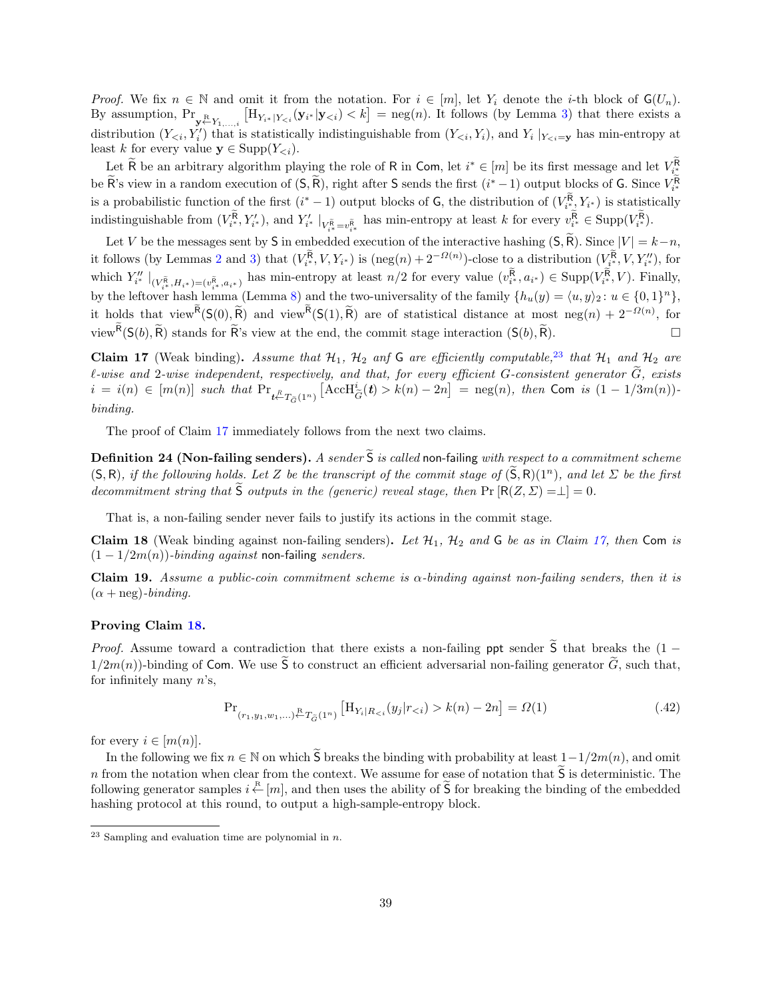*Proof.* We fix  $n \in \mathbb{N}$  and omit it from the notation. For  $i \in [m]$ , let  $Y_i$  denote the *i*-th block of  $\mathsf{G}(U_n)$ . By assumption,  $Pr_{\mathbf{y}_{i} \in Y_{1,...,i}} \left[ H_{Y_{i^*} | Y_{i} \leftarrow i}(\mathbf{y}_{i^*} | \mathbf{y}_{i} \right) < k \right] = \text{neg}(n)$ . It follows (by Lemma [3\)](#page-10-0) that there exists a distribution  $(Y_{\leq i}, Y'_i)$  that is statistically indistinguishable from  $(Y_{\leq i}, Y_i)$ , and  $Y_i|_{Y_{\leq i} = \mathbf{y}}$  has min-entropy at least k for every value  $y \in \text{Supp}(Y_{< i})$ .

Let  $\tilde{\mathsf{R}}$  be an arbitrary algorithm playing the role of R in Com, let  $i^* \in [m]$  be its first message and let  $V_{i^*_{\tilde{\mathsf{R}}}}^{\mathsf{R}}$ be R's view in a random execution of  $(S, \hat{R})$ , right after S sends the first  $(i^*-1)$  output blocks of G. Since  $V^R_{i^*}$ is a probabilistic function of the first  $(i^*-1)$  output blocks of G, the distribution of  $(V^{\mathsf{R}}_{i^*}, Y_{i^*})$  is statistically indistinguishable from  $(V_i^{\mathsf{R}}, V'_{i^*})$ , and  $Y'_{i^*}|_{V_i^{\widetilde{\mathsf{R}}} = v_{i^*}^{\widetilde{\mathsf{R}}}$  has min-entropy at least k for every  $v_i^{\mathsf{R}} \in \text{Supp}(V_i^{\mathsf{R}})$ .

Let V be the messages sent by S in embedded execution of the interactive hashing  $(S, \tilde{R})$ . Since  $|V| = k-n$ , it follows (by Lemmas [2](#page-10-1) and [3\)](#page-10-0) that  $(V^{\mathsf{R}}_{i^*}, V, Y_{i^*})$  is  $(\text{neg}(n) + 2^{-\Omega(n)})$ -close to a distribution  $(V^{\mathsf{R}}_{i^*}, V, Y''_{i^*})$ , for which  $Y''_{i^*}|_{(V^{\tilde{R}}_{i^*}, H_{i^*})=(v^{\tilde{R}}_{i^*}, a_{i^*})}$  has min-entropy at least  $n/2$  for every value  $(v^{\tilde{R}}_{i^*}, a_{i^*}) \in \text{Supp}(V^{\tilde{R}}_{i^*}, V)$ . Finally, by the leftover hash lemma (Lemma [8\)](#page-12-2) and the two-universality of the family  $\{h_u(y) = \langle u, y \rangle_2 : u \in \{0,1\}^n\}$ , it holds that view<sup>R</sup> $(S(0), \tilde{R})$  and view<sup>R</sup> $(S(1), \tilde{R})$  are of statistical distance at most neg(n) + 2<sup>- $\Omega(n)$ </sup>, for view<sup>R</sup>(S(b),  $\widetilde{R}$ ) stands for  $\widetilde{R}$ 's view at the end, the commit stage interaction (S(b),  $\widetilde{R}$ ).

<span id="page-41-1"></span>Claim 17 (Weak binding). Assume that  $H_1$ ,  $H_2$  anf G are efficiently computable,<sup>[23](#page-41-0)</sup> that  $H_1$  and  $H_2$  are  $\ell$ -wise and 2-wise independent, respectively, and that, for every efficient G-consistent generator  $\tilde{G}$ , exists  $i = i(n) \in [m(n)]$  such that  $Pr_{t \stackrel{R}{\hookrightarrow} T_{\tilde{G}}(1^n)} \left[ \text{AccH}_{\tilde{G}}^i(t) > k(n) - 2n \right] = \text{neg}(n)$ , then Com is  $(1 - 1/3m(n))$ binding.

The proof of Claim [17](#page-41-1) immediately follows from the next two claims.

Definition 24 (Non-failing senders). A sender  $\widetilde{S}$  is called non-failing with respect to a commitment scheme (S, R), if the following holds. Let Z be the transcript of the commit stage of  $(\mathcal{S}, \mathcal{R})(1^n)$ , and let  $\Sigma$  be the first decommitment string that  $\widetilde{S}$  outputs in the (generic) reveal stage, then Pr  $\lbrack R(Z, \Sigma) = \perp \rbrack = 0$ .

That is, a non-failing sender never fails to justify its actions in the commit stage.

<span id="page-41-2"></span>Claim 18 (Weak binding against non-failing senders). Let  $H_1$ ,  $H_2$  and G be as in Claim [17,](#page-41-1) then Com is  $(1 - 1/2m(n))$ -binding against non-failing senders.

<span id="page-41-3"></span>Claim 19. Assume a public-coin commitment scheme is α-binding against non-failing senders, then it is  $(\alpha + \text{neg})$ -binding.

#### Proving Claim [18.](#page-41-2)

*Proof.* Assume toward a contradiction that there exists a non-failing ppt sender  $\tilde{S}$  that breaks the (1 −  $1/2m(n)$ -binding of Com. We use  $\widetilde{S}$  to construct an efficient adversarial non-failing generator  $\widetilde{G}$ , such that, for infinitely many  $n$ 's,

$$
\Pr_{(r_1, y_1, w_1, \dots) \stackrel{R}{\leftarrow} T_{\tilde{G}}(1^n)} \left[ H_{Y_i | R_{< i}}(y_j | r_{< i}) > k(n) - 2n \right] = \Omega(1) \tag{.42}
$$

for every  $i \in [m(n)]$ .

In the following we fix  $n \in \mathbb{N}$  on which  $\widetilde{S}$  breaks the binding with probability at least  $1-\frac{1}{2m(n)}$ , and omit n from the notation when clear from the context. We assume for ease of notation that  $\widetilde{S}$  is deterministic. The following generator samples  $i \stackrel{R}{\leftarrow} [m]$ , and then uses the ability of  $\widetilde{S}$  for breaking the binding of the embedded hashing protocol at this round, to output a high-sample-entropy block.

<span id="page-41-0"></span> $23$  Sampling and evaluation time are polynomial in n.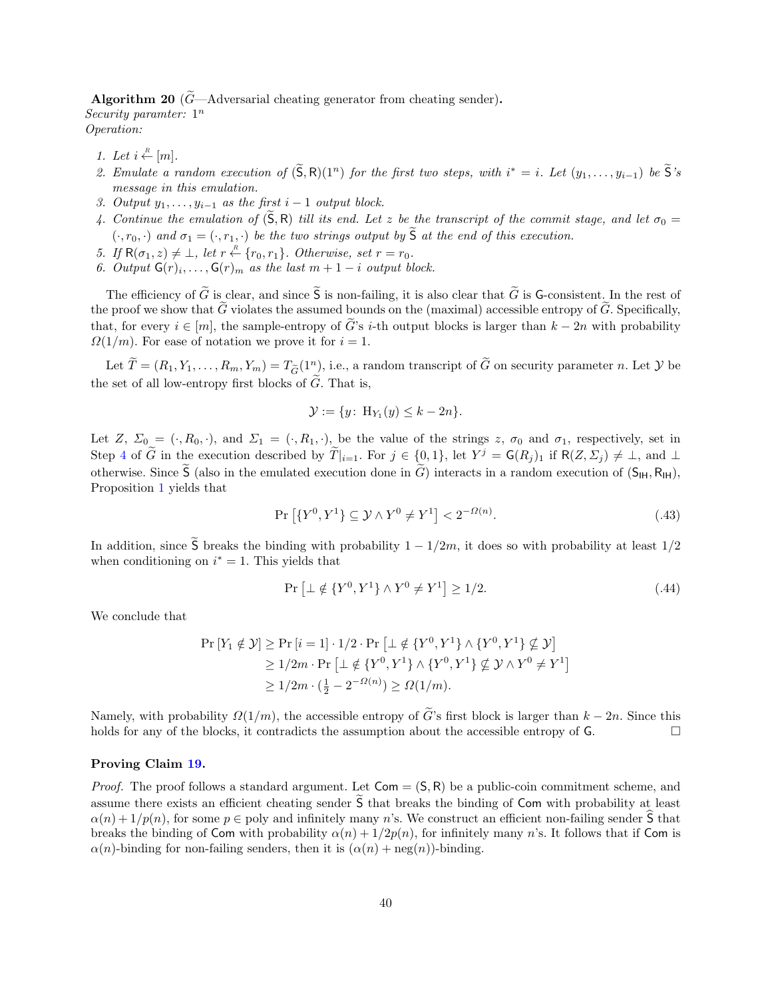Algorithm 20 ( $\widetilde{G}$ —Adversarial cheating generator from cheating sender).

Security paramter:  $1<sup>n</sup>$ Operation:

- 1. Let  $i \stackrel{R}{\leftarrow} [m]$ .
- 2. Emulate a random execution of  $(\tilde{S}, R)(1^n)$  for the first two steps, with  $i^* = i$ . Let  $(y_1, \ldots, y_{i-1})$  be  $\tilde{S}'$ 's message in this emulation.
- 3. Output  $y_1, \ldots, y_{i-1}$  as the first  $i-1$  output block.
- <span id="page-42-0"></span>4. Continue the emulation of  $(\widetilde{S}, R)$  till its end. Let z be the transcript of the commit stage, and let  $\sigma_0 =$  $(\cdot, r_0, \cdot)$  and  $\sigma_1 = (\cdot, r_1, \cdot)$  be the two strings output by  $\widetilde{S}$  at the end of this execution.
- 5. If  $R(\sigma_1, z) \neq \bot$ , let  $r \stackrel{R}{\leftarrow} \{r_0, r_1\}$ . Otherwise, set  $r = r_0$ .
- 6. Output  $\mathsf{G}(r)_i,\ldots,\mathsf{G}(r)_m$  as the last  $m+1-i$  output block.

The efficiency of  $\tilde{G}$  is clear, and since  $\tilde{S}$  is non-failing, it is also clear that  $\tilde{G}$  is G-consistent. In the rest of the proof we show that  $G$  violates the assumed bounds on the (maximal) accessible entropy of  $G$ . Specifically, that, for every  $i \in [m]$ , the sample-entropy of  $\tilde{G}$ 's i-th output blocks is larger than  $k - 2n$  with probability  $\Omega(1/m)$ . For ease of notation we prove it for  $i = 1$ .

Let  $\widetilde{T}=(R_1,Y_1,\ldots,R_m,Y_m)=T_{\widetilde{G}}(1^n)$ , i.e., a random transcript of  $\widetilde{G}$  on security parameter n. Let  $\mathcal Y$  be the set of all low-entropy first blocks of  $\tilde{G}$ . That is,

$$
\mathcal{Y} := \{ y \colon \, \text{H}_{Y_1}(y) \leq k - 2n \}.
$$

Let Z,  $\Sigma_0 = (\cdot, R_0, \cdot)$ , and  $\Sigma_1 = (\cdot, R_1, \cdot)$ , be the value of the strings z,  $\sigma_0$  and  $\sigma_1$ , respectively, set in Step [4](#page-42-0) of  $\tilde{G}$  in the execution described by  $\tilde{T}|_{i=1}$ . For  $j \in \{0,1\}$ , let  $Y^j = \mathsf{G}(R_j)_1$  if  $\mathsf{R}(Z, \Sigma_j) \neq \bot$ , and  $\bot$ otherwise. Since  $\tilde{S}$  (also in the emulated execution done in  $\tilde{G}$ ) interacts in a random execution of  $(S_{H}, R_{H})$ , Proposition [1](#page-40-1) yields that

$$
\Pr\left[\{Y^0, Y^1\} \subseteq \mathcal{Y} \land Y^0 \neq Y^1\right] < 2^{-\Omega(n)}.\tag{43}
$$

In addition, since  $\tilde{S}$  breaks the binding with probability  $1 - 1/2m$ , it does so with probability at least  $1/2$ when conditioning on  $i^* = 1$ . This yields that

$$
\Pr\left[\bot \notin \{Y^0, Y^1\} \land Y^0 \neq Y^1\right] \ge 1/2. \tag{.44}
$$

We conclude that

$$
\Pr[Y_1 \notin \mathcal{Y}] \ge \Pr[i = 1] \cdot 1/2 \cdot \Pr[\bot \notin \{Y^0, Y^1\} \wedge \{Y^0, Y^1\} \nsubseteq \mathcal{Y}]
$$
  
\n
$$
\ge 1/2m \cdot \Pr[\bot \notin \{Y^0, Y^1\} \wedge \{Y^0, Y^1\} \nsubseteq \mathcal{Y} \wedge Y^0 \ne Y^1]
$$
  
\n
$$
\ge 1/2m \cdot (\frac{1}{2} - 2^{-\Omega(n)}) \ge \Omega(1/m).
$$

Namely, with probability  $\Omega(1/m)$ , the accessible entropy of  $\tilde{G}$ 's first block is larger than  $k - 2n$ . Since this holds for any of the blocks, it contradicts the assumption about the accessible entropy of  $\mathsf{G}$ . holds for any of the blocks, it contradicts the assumption about the accessible entropy of G.

#### Proving Claim [19.](#page-41-3)

*Proof.* The proof follows a standard argument. Let  $Com = (S, R)$  be a public-coin commitment scheme, and assume there exists an efficient cheating sender  $\tilde{S}$  that breaks the binding of Com with probability at least  $\alpha(n) + 1/p(n)$ , for some  $p \in \text{poly}$  and infinitely many n's. We construct an efficient non-failing sender S that breaks the binding of Com with probability  $\alpha(n) + 1/2p(n)$ , for infinitely many n's. It follows that if Com is  $\alpha(n)$ -binding for non-failing senders, then it is  $(\alpha(n) + \text{neg}(n))$ -binding.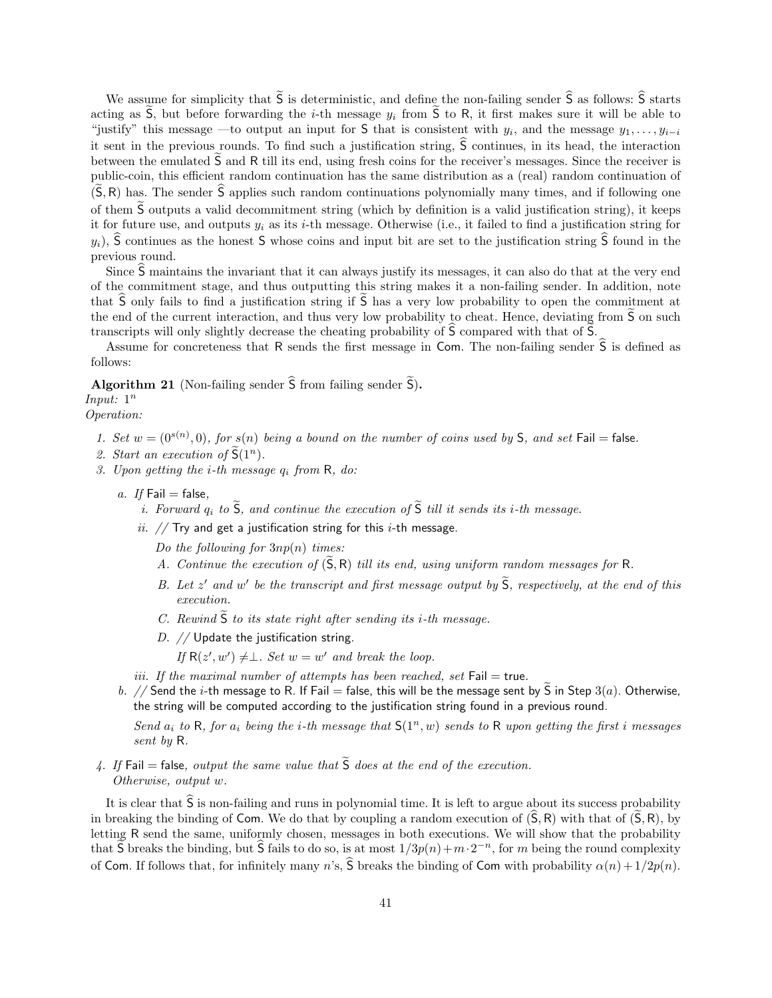We assume for simplicity that  $\tilde{S}$  is deterministic, and define the non-failing sender  $\hat{S}$  as follows:  $\hat{S}$  starts acting as  $\overline{S}$ , but before forwarding the *i*-th message  $y_i$  from  $\overline{S}$  to R, it first makes sure it will be able to "justify" this message —to output an input for S that is consistent with  $y_i$ , and the message  $y_1, \ldots, y_{i-i}$ it sent in the previous rounds. To find such a justification string,  $\widehat{S}$  continues, in its head, the interaction between the emulated S and R till its end, using fresh coins for the receiver's messages. Since the receiver is public-coin, this efficient random continuation has the same distribution as a (real) random continuation of  $(\widetilde{S}, R)$  has. The sender  $\widehat{S}$  applies such random continuations polynomially many times, and if following one of them  $\tilde{S}$  outputs a valid decommitment string (which by definition is a valid justification string), it keeps it for future use, and outputs  $y_i$  as its *i*-th message. Otherwise (i.e., it failed to find a justification string for  $y_i$ ), S continues as the honest S whose coins and input bit are set to the justification string S found in the previous round.

Since  $\overline{S}$  maintains the invariant that it can always justify its messages, it can also do that at the very end of the commitment stage, and thus outputting this string makes it a non-failing sender. In addition, note that  $\hat{S}$  only fails to find a justification string if  $\hat{S}$  has a very low probability to open the commitment at the end of the current interaction, and thus very low probability to cheat. Hence, deviating from S on such transcripts will only slightly decrease the cheating probability of  $\widehat{S}$  compared with that of  $\widehat{S}$ .

Assume for concreteness that R sends the first message in Com. The non-failing sender  $\hat{S}$  is defined as follows:

Algorithm 21 (Non-failing sender  $\hat{S}$  from failing sender  $\tilde{S}$ ).

 $Input: 1<sup>n</sup>$ 

Operation:

- 1. Set  $w = (0^{s(n)}, 0)$ , for  $s(n)$  being a bound on the number of coins used by S, and set Fail = false.
- 2. Start an execution of  $\widetilde{\mathsf{S}}(1^n)$ .
- 3. Upon getting the *i*-th message  $q_i$  from  $R$ , do:

a. If Fail  $=$  false,

i. Forward  $q_i$  to  $\widetilde{\mathsf{S}}$ , and continue the execution of  $\widetilde{\mathsf{S}}$  till it sends its *i*-th message.

ii.  $//$  Try and get a justification string for this *i*-th message.

Do the following for  $3np(n)$  times:

- A. Continue the execution of  $(\tilde{S}, R)$  till its end, using uniform random messages for R.
- B. Let  $z'$  and  $w'$  be the transcript and first message output by  $\tilde{S}$ , respectively, at the end of this execution.
- C. Rewind  $\widetilde{S}$  to its state right after sending its *i*-th message.
- D.  $//$  Update the justification string.
	- If  $R(z', w') \neq \perp$ . Set  $w = w'$  and break the loop.
- iii. If the maximal number of attempts has been reached, set  $\textsf{Fail} = \textsf{true}.$
- b. // Send the *i*-th message to R. If Fail = false, this will be the message sent by  $\tilde{S}$  in Step 3(*a*). Otherwise, the string will be computed according to the justification string found in a previous round.

Send  $a_i$  to R, for  $a_i$  being the *i*-th message that  $S(1^n, w)$  sends to R upon getting the first *i* messages sent by R.

4. If Fail = false, output the same value that  $\widetilde{S}$  does at the end of the execution. Otherwise, output w.

It is clear that  $\widehat{S}$  is non-failing and runs in polynomial time. It is left to argue about its success probability in breaking the binding of Com. We do that by coupling a random execution of  $(S, R)$  with that of  $(S, R)$ , by letting R send the same, uniformly chosen, messages in both executions. We will show that the probability that  $\tilde{S}$  breaks the binding, but  $\tilde{S}$  fails to do so, is at most  $1/3p(n)+m\cdot 2^{-n}$ , for m being the round complexity of Com. If follows that, for infinitely many n's,  $\widehat{S}$  breaks the binding of Com with probability  $\alpha(n) + 1/2p(n)$ .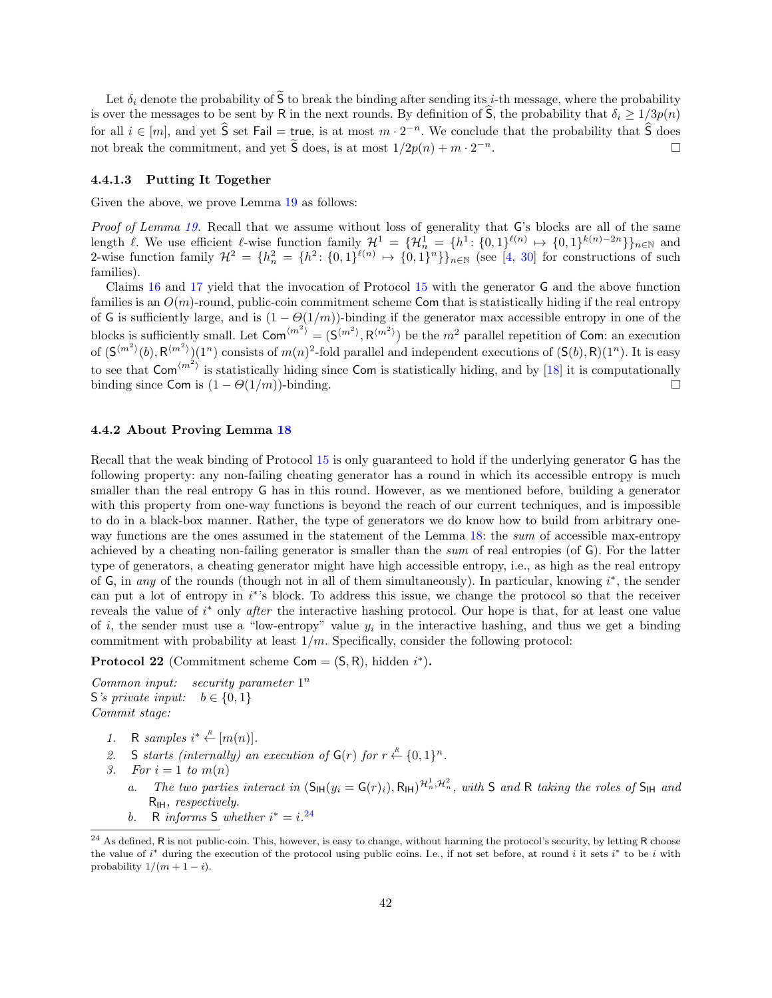Let  $\delta_i$  denote the probability of  $\tilde{S}$  to break the binding after sending its *i*-th message, where the probability is over the messages to be sent by R in the next rounds. By definition of  $\widehat{S}$ , the probability that  $\delta_i \geq 1/3p(n)$ for all  $i \in [m]$ , and yet  $\widehat{S}$  set Fail = true, is at most  $m \cdot 2^{-n}$ . We conclude that the probability that  $\widehat{S}$  does not break the commitment, and yet  $\widetilde{S}$  does, is at most  $1/2p(n) + m \cdot 2^{-n}$ .  $-\frac{n}{\sqrt{2}}$ .

#### <span id="page-44-1"></span>4.4.1.3 Putting It Together

Given the above, we prove Lemma [19](#page-39-0) as follows:

Proof of Lemma [19.](#page-39-0) Recall that we assume without loss of generality that G's blocks are all of the same length  $\ell$ . We use efficient  $\ell$ -wise function family  $\mathcal{H}^1 = {\mathcal{H}_n^1 = \{h^1 : \{0,1\}^{\ell(n)} \mapsto \{0,1\}^{k(n)-2n}\}}_{n \in \mathbb{N}}$  and 2-wise function family  $\mathcal{H}^2 = \{h_n^2 : \{0,1\}^{\ell(n)} \mapsto \{0,1\}^n\}\}_{n\in\mathbb{N}}$  (see [\[4,](#page-46-19) [30\]](#page-47-10) for constructions of such families).

Claims [16](#page-40-2) and [17](#page-41-1) yield that the invocation of Protocol [15](#page-40-3) with the generator G and the above function families is an  $O(m)$ -round, public-coin commitment scheme Com that is statistically hiding if the real entropy of G is sufficiently large, and is  $(1 - \Theta(1/m))$ -binding if the generator max accessible entropy in one of the blocks is sufficiently small. Let  $\textsf{Com}^{\langle m^2 \rangle} = (\textsf{S}^{\langle m^2 \rangle}, \textsf{R}^{\langle m^2 \rangle})$  be the  $m^2$  parallel repetition of  $\textsf{Com}$ : an execution of  $(\mathsf{S}^{\langle m^2 \rangle}(b), \mathsf{R}^{\langle m^2 \rangle})(1^n)$  consists of  $m(n)^2$ -fold parallel and independent executions of  $(\mathsf{S}(b), \mathsf{R})(1^n)$ . It is easy to see that  $\textsf{Com}^{\langle m^2 \rangle}$  is statistically hiding since Com is statistically hiding, and by [\[18\]](#page-46-20) it is computationally binding since Com is  $(1 - \Theta(1/m))$ -binding.

#### <span id="page-44-0"></span>4.4.2 About Proving Lemma [18](#page-37-0)

Recall that the weak binding of Protocol [15](#page-40-3) is only guaranteed to hold if the underlying generator G has the following property: any non-failing cheating generator has a round in which its accessible entropy is much smaller than the real entropy G has in this round. However, as we mentioned before, building a generator with this property from one-way functions is beyond the reach of our current techniques, and is impossible to do in a black-box manner. Rather, the type of generators we do know how to build from arbitrary one-way functions are the ones assumed in the statement of the Lemma [18:](#page-37-0) the *sum* of accessible max-entropy achieved by a cheating non-failing generator is smaller than the sum of real entropies (of G). For the latter type of generators, a cheating generator might have high accessible entropy, i.e., as high as the real entropy of G, in any of the rounds (though not in all of them simultaneously). In particular, knowing  $i^*$ , the sender can put a lot of entropy in i<sup>\*</sup>'s block. To address this issue, we change the protocol so that the receiver reveals the value of  $i^*$  only *after* the interactive hashing protocol. Our hope is that, for at least one value of i, the sender must use a "low-entropy" value  $y_i$  in the interactive hashing, and thus we get a binding commitment with probability at least  $1/m$ . Specifically, consider the following protocol:

**Protocol 22** (Commitment scheme  $Com = (S, R)$ , hidden  $i^*$ ).

Common input: security parameter  $1^n$ S's private input:  $b \in \{0, 1\}$ Commit stage:

- 1. R samples  $i^* \stackrel{R}{\leftarrow} [m(n)]$ .
- 2. S starts (internally) an execution of  $G(r)$  for  $r \stackrel{R}{\leftarrow} \{0,1\}^n$ .
- 3. For  $i = 1$  to  $m(n)$ 
	- a. The two parties interact in  $(S_H(y_i = G(r)_i), R_H)$ <sup> $\mathcal{H}_n^1, \mathcal{H}_n^2$ , with S and R taking the roles of  $S_H$  and</sup>  $R_{\text{IH}}$ , respectively. b. R informs S whether  $i^* = i^{24}$  $i^* = i^{24}$  $i^* = i^{24}$

<span id="page-44-2"></span> $^{24}$  As defined, R is not public-coin. This, however, is easy to change, without harming the protocol's security, by letting R choose the value of  $i^*$  during the execution of the protocol using public coins. I.e., if not set before, at round i it sets  $i^*$  to be i with probability  $1/(m + 1 - i)$ .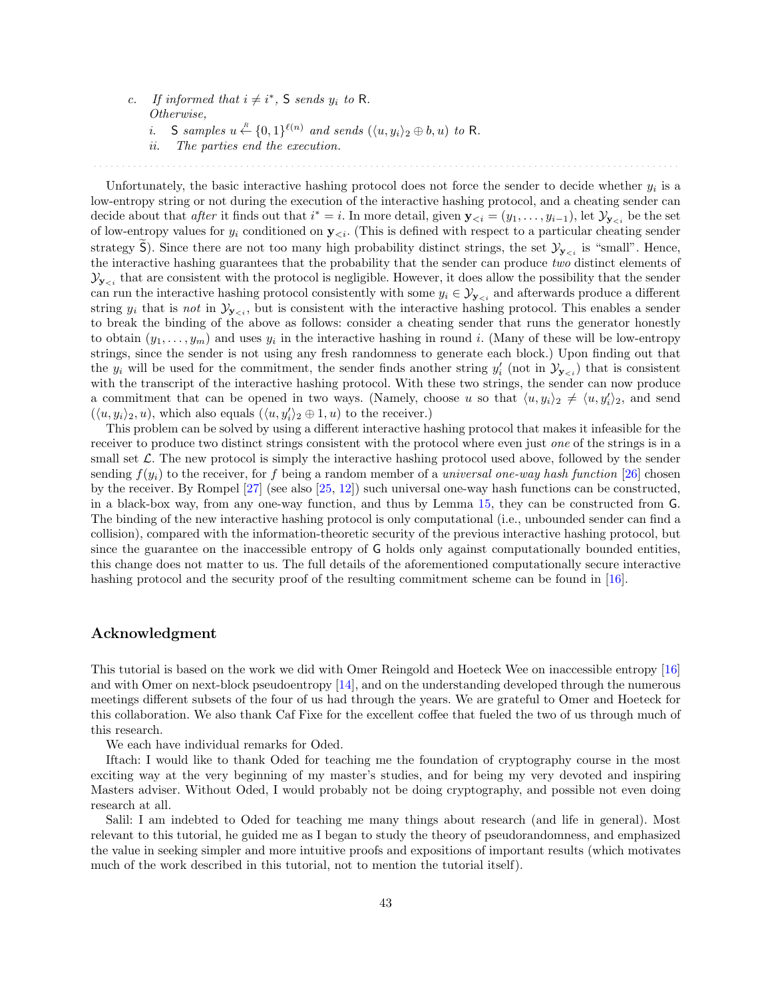- c. If informed that  $i \neq i^*$ , S sends  $y_i$  to R. Otherwise,
	- *i.* S samples  $u \stackrel{R}{\leftarrow} \{0,1\}^{\ell(n)}$  and sends  $(\langle u, y_i \rangle_2 \oplus b, u)$  to R.
	- The parties end the execution.

<span id="page-45-0"></span>Unfortunately, the basic interactive hashing protocol does not force the sender to decide whether  $y_i$  is a low-entropy string or not during the execution of the interactive hashing protocol, and a cheating sender can decide about that *after* it finds out that  $i^* = i$ . In more detail, given  $\mathbf{y}_{< i} = (y_1, \ldots, y_{i-1})$ , let  $\mathcal{Y}_{\mathbf{y}_{< i}}$  be the set of low-entropy values for  $y_i$  conditioned on  $y_{i}$ . (This is defined with respect to a particular cheating sender strategy  $\tilde{S}$ ). Since there are not too many high probability distinct strings, the set  $\mathcal{Y}_{y \lt i}$  is "small". Hence, the interactive hashing guarantees that the probability that the sender can produce two distinct elements of  $\mathcal{Y}_{\mathbf{y}_{\leq i}}$  that are consistent with the protocol is negligible. However, it does allow the possibility that the sender can run the interactive hashing protocol consistently with some  $y_i \in \mathcal{Y}_{\mathbf{y}_{\leq i}}$  and afterwards produce a different string  $y_i$  that is not in  $\mathcal{Y}_{\mathbf{y}_{\leq i}}$ , but is consistent with the interactive hashing protocol. This enables a sender to break the binding of the above as follows: consider a cheating sender that runs the generator honestly to obtain  $(y_1, \ldots, y_m)$  and uses  $y_i$  in the interactive hashing in round i. (Many of these will be low-entropy strings, since the sender is not using any fresh randomness to generate each block.) Upon finding out that the  $y_i$  will be used for the commitment, the sender finds another string  $y'_i$  (not in  $\mathcal{Y}_{\mathbf{y}_{\leq i}}$ ) that is consistent with the transcript of the interactive hashing protocol. With these two strings, the sender can now produce a commitment that can be opened in two ways. (Namely, choose u so that  $\langle u, y_i \rangle_2 \neq \langle u, y_i' \rangle_2$ , and send  $(\langle u, y_i \rangle_2, u)$ , which also equals  $(\langle u, y_i' \rangle_2 \oplus 1, u)$  to the receiver.)

This problem can be solved by using a different interactive hashing protocol that makes it infeasible for the receiver to produce two distinct strings consistent with the protocol where even just one of the strings is in a small set  $\mathcal L$ . The new protocol is simply the interactive hashing protocol used above, followed by the sender sending  $f(y_i)$  to the receiver, for f being a random member of a universal one-way hash function [\[26\]](#page-47-1) chosen by the receiver. By Rompel [\[27\]](#page-47-2) (see also [\[25,](#page-47-11) [12\]](#page-46-5)) such universal one-way hash functions can be constructed, in a black-box way, from any one-way function, and thus by Lemma [15,](#page-27-4) they can be constructed from G. The binding of the new interactive hashing protocol is only computational (i.e., unbounded sender can find a collision), compared with the information-theoretic security of the previous interactive hashing protocol, but since the guarantee on the inaccessible entropy of G holds only against computationally bounded entities, this change does not matter to us. The full details of the aforementioned computationally secure interactive hashing protocol and the security proof of the resulting commitment scheme can be found in [\[16\]](#page-46-14).

## Acknowledgment

This tutorial is based on the work we did with Omer Reingold and Hoeteck Wee on inaccessible entropy [\[16\]](#page-46-14) and with Omer on next-block pseudoentropy [\[14\]](#page-46-2), and on the understanding developed through the numerous meetings different subsets of the four of us had through the years. We are grateful to Omer and Hoeteck for this collaboration. We also thank Caf Fixe for the excellent coffee that fueled the two of us through much of this research.

We each have individual remarks for Oded.

Iftach: I would like to thank Oded for teaching me the foundation of cryptography course in the most exciting way at the very beginning of my master's studies, and for being my very devoted and inspiring Masters adviser. Without Oded, I would probably not be doing cryptography, and possible not even doing research at all.

Salil: I am indebted to Oded for teaching me many things about research (and life in general). Most relevant to this tutorial, he guided me as I began to study the theory of pseudorandomness, and emphasized the value in seeking simpler and more intuitive proofs and expositions of important results (which motivates much of the work described in this tutorial, not to mention the tutorial itself).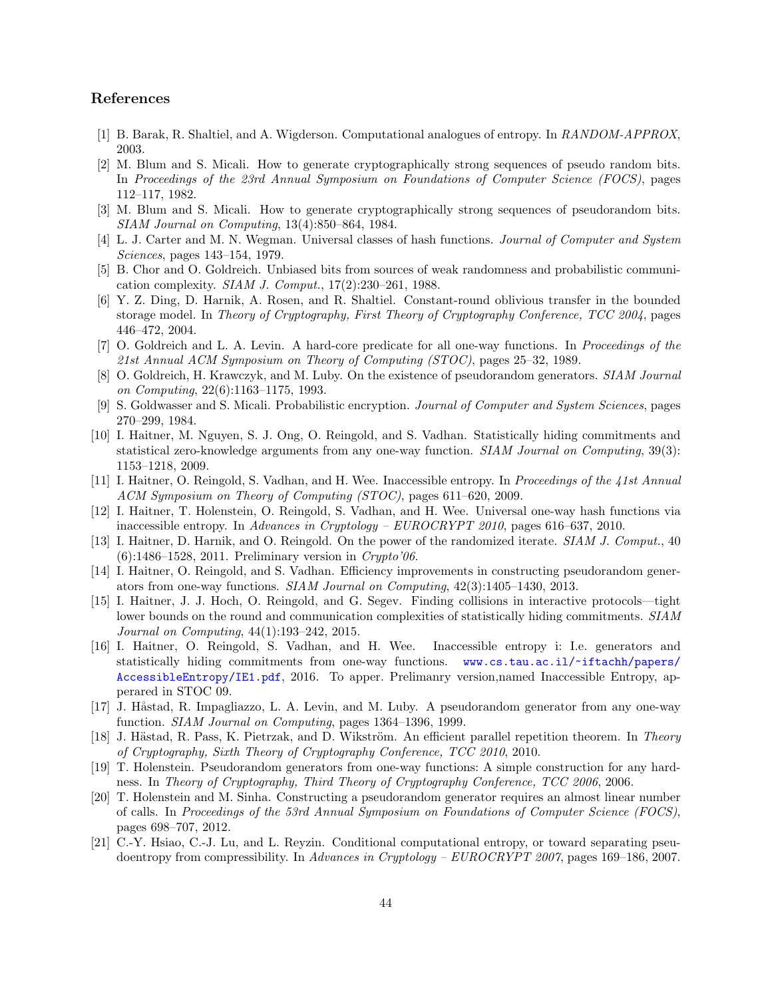## References

- <span id="page-46-12"></span>[1] B. Barak, R. Shaltiel, and A. Wigderson. Computational analogues of entropy. In RANDOM-APPROX, 2003.
- <span id="page-46-6"></span>[2] M. Blum and S. Micali. How to generate cryptographically strong sequences of pseudo random bits. In Proceedings of the 23rd Annual Symposium on Foundations of Computer Science (FOCS), pages 112–117, 1982.
- <span id="page-46-9"></span>[3] M. Blum and S. Micali. How to generate cryptographically strong sequences of pseudorandom bits. SIAM Journal on Computing, 13(4):850–864, 1984.
- <span id="page-46-19"></span>[4] L. J. Carter and M. N. Wegman. Universal classes of hash functions. Journal of Computer and System Sciences, pages 143–154, 1979.
- <span id="page-46-16"></span>[5] B. Chor and O. Goldreich. Unbiased bits from sources of weak randomness and probabilistic communication complexity. SIAM J. Comput., 17(2):230–261, 1988.
- <span id="page-46-18"></span>[6] Y. Z. Ding, D. Harnik, A. Rosen, and R. Shaltiel. Constant-round oblivious transfer in the bounded storage model. In Theory of Cryptography, First Theory of Cryptography Conference, TCC 2004, pages 446–472, 2004.
- <span id="page-46-15"></span>[7] O. Goldreich and L. A. Levin. A hard-core predicate for all one-way functions. In Proceedings of the 21st Annual ACM Symposium on Theory of Computing (STOC), pages 25–32, 1989.
- <span id="page-46-11"></span>[8] O. Goldreich, H. Krawczyk, and M. Luby. On the existence of pseudorandom generators. SIAM Journal on Computing, 22(6):1163–1175, 1993.
- <span id="page-46-0"></span>[9] S. Goldwasser and S. Micali. Probabilistic encryption. Journal of Computer and System Sciences, pages 270–299, 1984.
- <span id="page-46-4"></span>[10] I. Haitner, M. Nguyen, S. J. Ong, O. Reingold, and S. Vadhan. Statistically hiding commitments and statistical zero-knowledge arguments from any one-way function. SIAM Journal on Computing, 39(3): 1153–1218, 2009.
- <span id="page-46-3"></span>[11] I. Haitner, O. Reingold, S. Vadhan, and H. Wee. Inaccessible entropy. In Proceedings of the 41st Annual ACM Symposium on Theory of Computing (STOC), pages 611–620, 2009.
- <span id="page-46-5"></span>[12] I. Haitner, T. Holenstein, O. Reingold, S. Vadhan, and H. Wee. Universal one-way hash functions via inaccessible entropy. In Advances in Cryptology – EUROCRYPT 2010, pages 616–637, 2010.
- <span id="page-46-7"></span>[13] I. Haitner, D. Harnik, and O. Reingold. On the power of the randomized iterate. SIAM J. Comput., 40  $(6)$ :1486–1528, 2011. Preliminary version in Crypto'06.
- <span id="page-46-2"></span>[14] I. Haitner, O. Reingold, and S. Vadhan. Efficiency improvements in constructing pseudorandom generators from one-way functions. SIAM Journal on Computing, 42(3):1405–1430, 2013.
- <span id="page-46-17"></span>[15] I. Haitner, J. J. Hoch, O. Reingold, and G. Segev. Finding collisions in interactive protocols—tight lower bounds on the round and communication complexities of statistically hiding commitments. SIAM Journal on Computing, 44(1):193–242, 2015.
- <span id="page-46-14"></span>[16] I. Haitner, O. Reingold, S. Vadhan, and H. Wee. Inaccessible entropy i: I.e. generators and statistically hiding commitments from one-way functions. [www.cs.tau.ac.il/~iftachh/papers/](www.cs.tau.ac.il/~iftachh/papers/AccessibleEntropy/IE1.pdf) [AccessibleEntropy/IE1.pdf](www.cs.tau.ac.il/~iftachh/papers/AccessibleEntropy/IE1.pdf), 2016. To apper. Prelimanry version,named Inaccessible Entropy, apperared in STOC 09.
- <span id="page-46-1"></span>[17] J. Håstad, R. Impagliazzo, L. A. Levin, and M. Luby. A pseudorandom generator from any one-way function. SIAM Journal on Computing, pages 1364–1396, 1999.
- <span id="page-46-20"></span>[18] J. Hästad, R. Pass, K. Pietrzak, and D. Wikström. An efficient parallel repetition theorem. In Theory of Cryptography, Sixth Theory of Cryptography Conference, TCC 2010, 2010.
- <span id="page-46-8"></span>[19] T. Holenstein. Pseudorandom generators from one-way functions: A simple construction for any hardness. In Theory of Cryptography, Third Theory of Cryptography Conference, TCC 2006, 2006.
- <span id="page-46-10"></span>[20] T. Holenstein and M. Sinha. Constructing a pseudorandom generator requires an almost linear number of calls. In Proceedings of the 53rd Annual Symposium on Foundations of Computer Science (FOCS), pages 698–707, 2012.
- <span id="page-46-13"></span>[21] C.-Y. Hsiao, C.-J. Lu, and L. Reyzin. Conditional computational entropy, or toward separating pseudoentropy from compressibility. In Advances in Cryptology – EUROCRYPT 2007, pages 169–186, 2007.